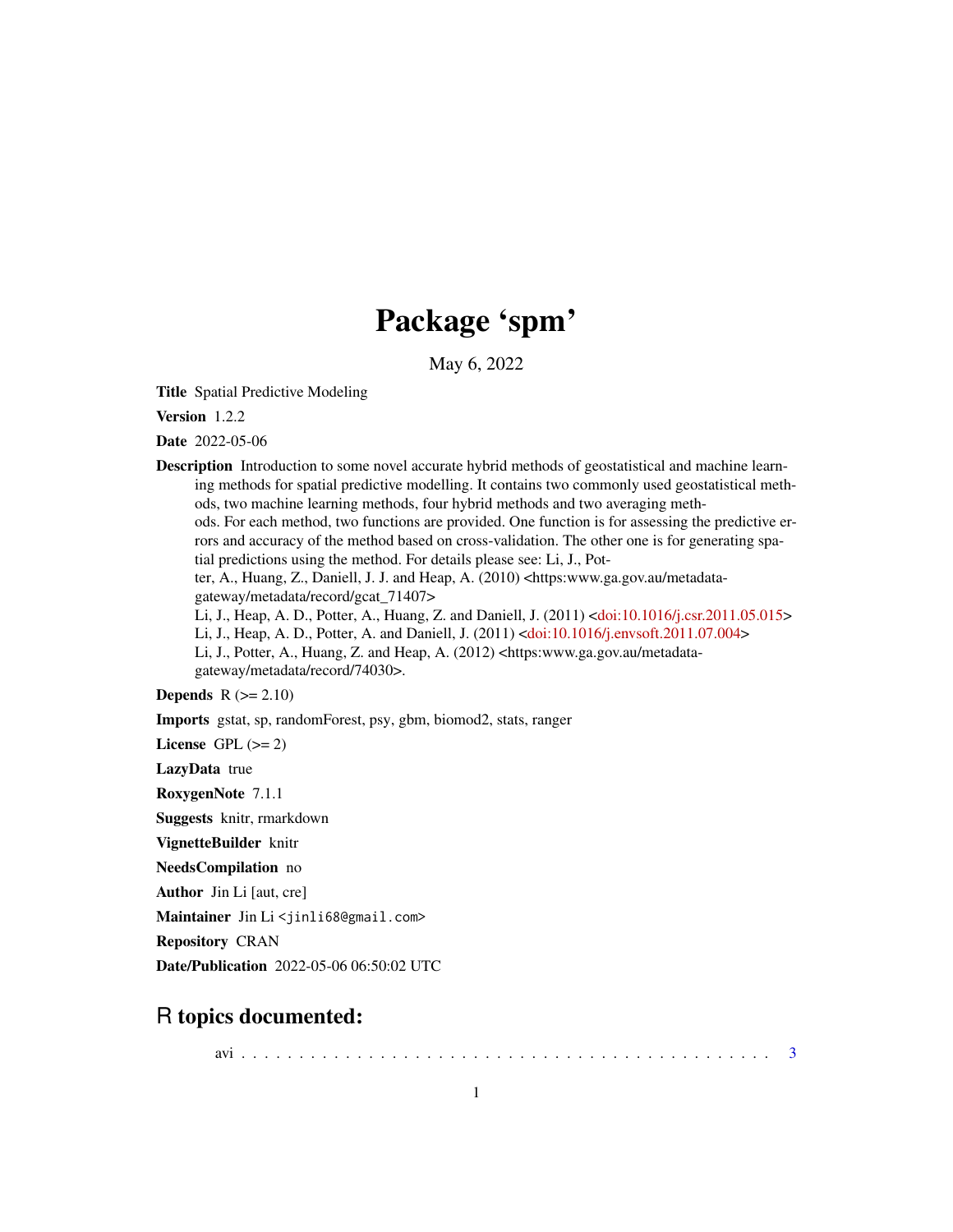# Package 'spm'

May 6, 2022

Title Spatial Predictive Modeling

Version 1.2.2

Date 2022-05-06

Description Introduction to some novel accurate hybrid methods of geostatistical and machine learning methods for spatial predictive modelling. It contains two commonly used geostatistical methods, two machine learning methods, four hybrid methods and two averaging methods. For each method, two functions are provided. One function is for assessing the predictive errors and accuracy of the method based on cross-validation. The other one is for generating spatial predictions using the method. For details please see: Li, J., Potter, A., Huang, Z., Daniell, J. J. and Heap, A. (2010) <https:www.ga.gov.au/metadatagateway/metadata/record/gcat\_71407> Li, J., Heap, A. D., Potter, A., Huang, Z. and Daniell, J. (2011) [<doi:10.1016/j.csr.2011.05.015>](https://doi.org/10.1016/j.csr.2011.05.015) Li, J., Heap, A. D., Potter, A. and Daniell, J. (2011) [<doi:10.1016/j.envsoft.2011.07.004>](https://doi.org/10.1016/j.envsoft.2011.07.004) Li, J., Potter, A., Huang, Z. and Heap, A. (2012) <https:www.ga.gov.au/metadatagateway/metadata/record/74030>. **Depends**  $R (= 2.10)$ 

Imports gstat, sp, randomForest, psy, gbm, biomod2, stats, ranger

License GPL  $(>= 2)$ 

LazyData true

RoxygenNote 7.1.1

Suggests knitr, rmarkdown

VignetteBuilder knitr

NeedsCompilation no

Author Jin Li [aut, cre]

Maintainer Jin Li<jinli68@gmail.com>

Repository CRAN

Date/Publication 2022-05-06 06:50:02 UTC

## R topics documented:

avi . . . . . . . . . . . . . . . . . . . . . . . . . . . . . . . . . . . . . . . . . . . . . . [3](#page-2-0)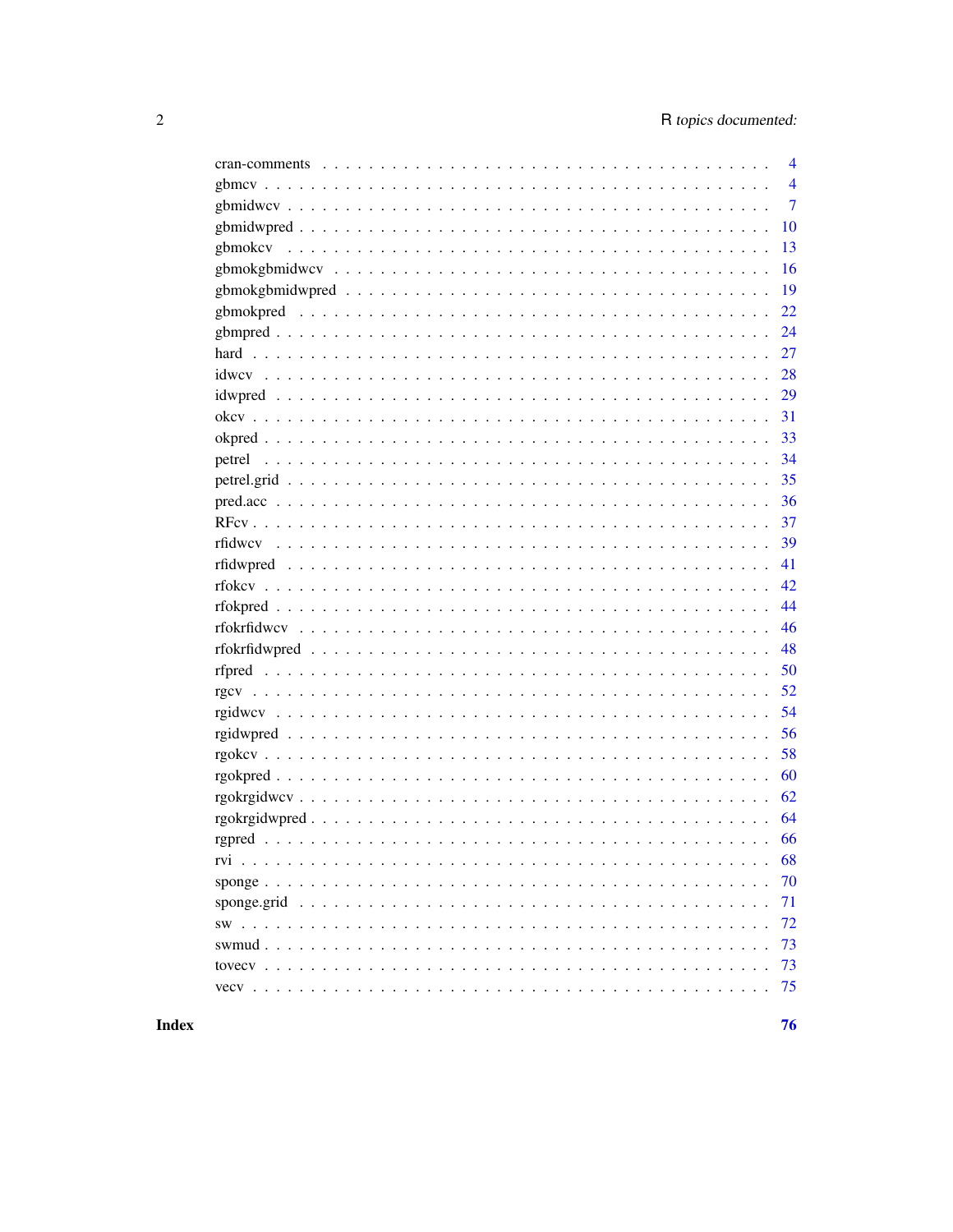| $\overline{4}$ |
|----------------|
| $\overline{4}$ |
| $\overline{7}$ |
| <b>10</b>      |
|                |
|                |
| 19             |
|                |
|                |
| 27             |
| 28             |
|                |
|                |
|                |
|                |
|                |
|                |
|                |
| 39             |
| 41             |
| 42             |
| 44             |
| 46             |
| 48             |
|                |
|                |
| 54             |
|                |
| 58             |
| 60             |
| 62             |
| 64             |
| 66             |
| 68             |
| 70             |
| 71             |
| 72             |
| 73             |
| 73             |
| 75             |
|                |

**Index**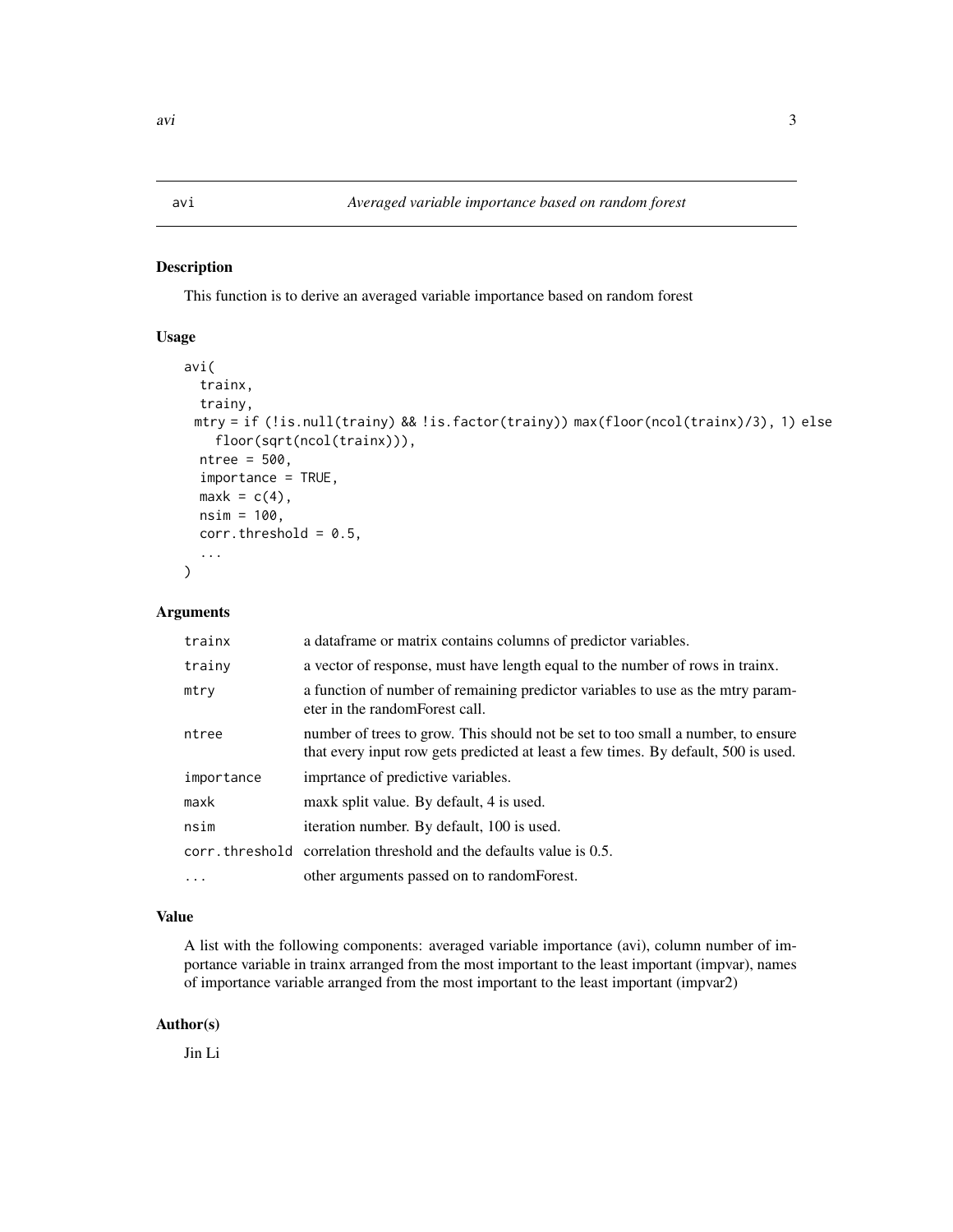<span id="page-2-0"></span>This function is to derive an averaged variable importance based on random forest

#### Usage

```
avi(
  trainx,
  trainy,
 mtry = if (!is.null(trainy) && !is.factor(trainy)) max(floor(ncol(trainx)/3), 1) else
    floor(sqrt(ncol(trainx))),
 ntree = 500,
  importance = TRUE,
 maxk = c(4),
 nsim = 100,
  corr.threshold = 0.5,
  ...
)
```
#### Arguments

| trainx     | a dataframe or matrix contains columns of predictor variables.                                                                                                         |
|------------|------------------------------------------------------------------------------------------------------------------------------------------------------------------------|
| trainy     | a vector of response, must have length equal to the number of rows in trainx.                                                                                          |
| mtry       | a function of number of remaining predictor variables to use as the mtry param-<br>eter in the random Forest call.                                                     |
| ntree      | number of trees to grow. This should not be set to too small a number, to ensure<br>that every input row gets predicted at least a few times. By default, 500 is used. |
| importance | imprtance of predictive variables.                                                                                                                                     |
| maxk       | maxk split value. By default, 4 is used.                                                                                                                               |
| nsim       | iteration number. By default, 100 is used.                                                                                                                             |
|            | corr. threshold correlation threshold and the defaults value is 0.5.                                                                                                   |
| $\ddots$ . | other arguments passed on to random Forest.                                                                                                                            |

#### Value

A list with the following components: averaged variable importance (avi), column number of importance variable in trainx arranged from the most important to the least important (impvar), names of importance variable arranged from the most important to the least important (impvar2)

#### Author(s)

Jin Li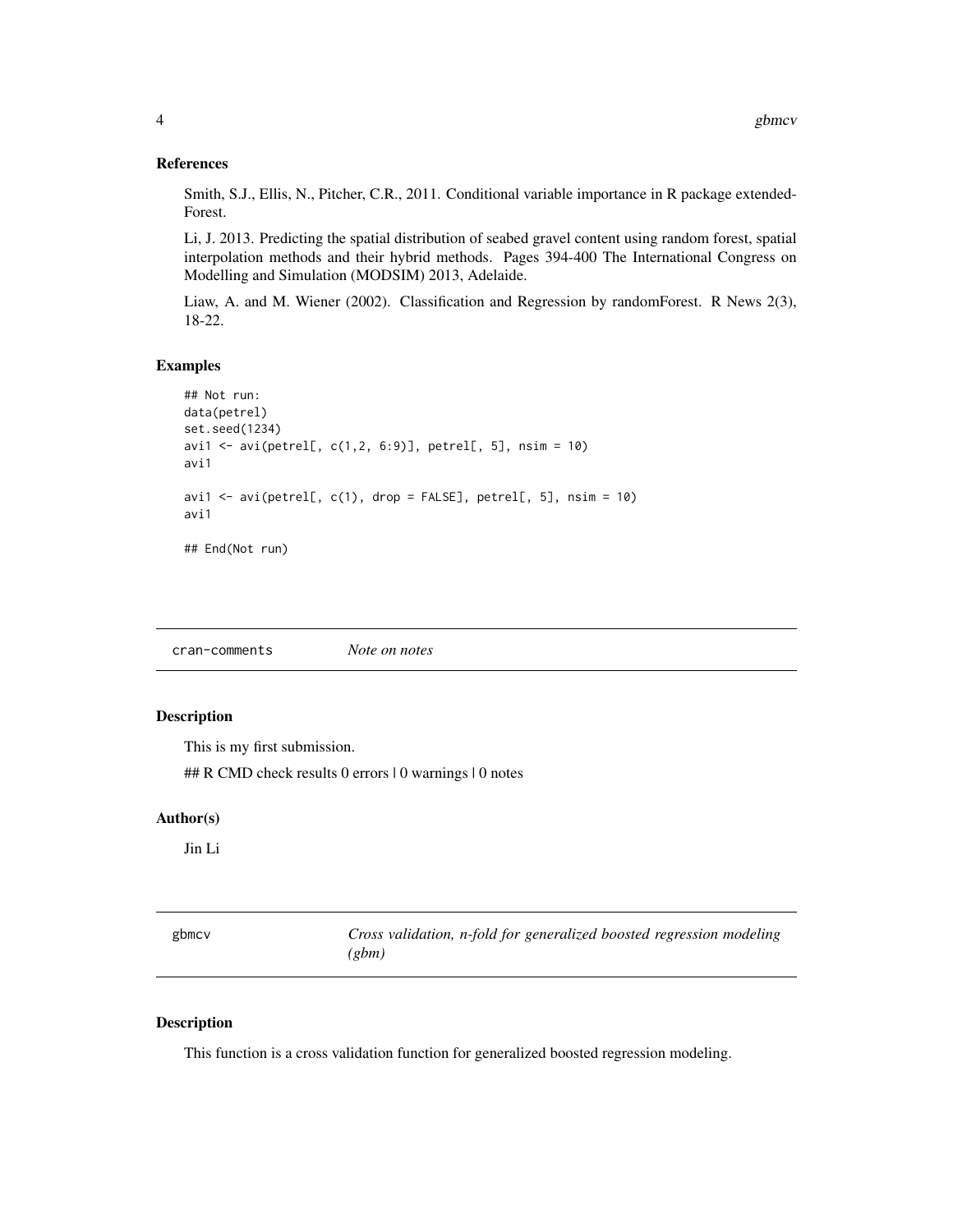#### <span id="page-3-0"></span>References

Smith, S.J., Ellis, N., Pitcher, C.R., 2011. Conditional variable importance in R package extended-Forest.

Li, J. 2013. Predicting the spatial distribution of seabed gravel content using random forest, spatial interpolation methods and their hybrid methods. Pages 394-400 The International Congress on Modelling and Simulation (MODSIM) 2013, Adelaide.

Liaw, A. and M. Wiener (2002). Classification and Regression by randomForest. R News 2(3), 18-22.

#### Examples

```
## Not run:
data(petrel)
set.seed(1234)
avi1 <- avi(petrel[, c(1,2, 6:9)], petrel[, 5], nsim = 10)
avi1
avi1 <- avi(petrel[, c(1), drop = FALSE], petrel[, 5], nsim = 10)
avi1
## End(Not run)
```
cran-comments *Note on notes*

#### Description

This is my first submission.

## R CMD check results 0 errors | 0 warnings | 0 notes

#### Author(s)

Jin Li

| gbmcv | Cross validation, n-fold for generalized boosted regression modeling |
|-------|----------------------------------------------------------------------|
|       | (gbm)                                                                |

#### Description

This function is a cross validation function for generalized boosted regression modeling.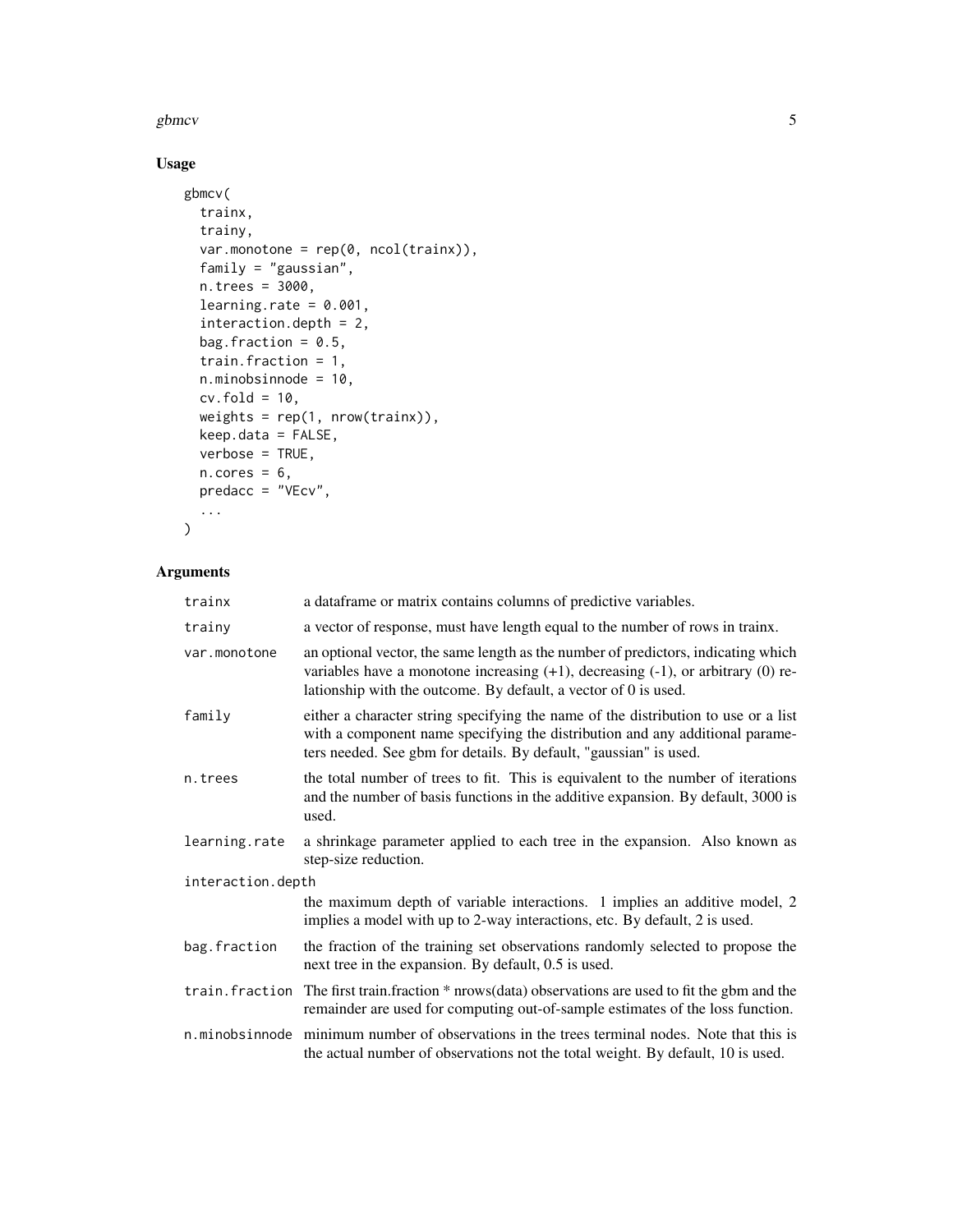#### gbmcv 5

## Usage

```
gbmcv(
  trainx,
  trainy,
  var.monotone = rep(0, ncol(trainx)),family = "gaussian",
  n.trees = 3000,
  learning.rate = 0.001,
  interaction.depth = 2,
  bag.fraction = 0.5,
  train.fraction = 1,
  n.minobsinnode = 10,
  cv.fold = 10,
  weights = rep(1, nrow(trainx)),
  keep.data = FALSE,
  verbose = TRUE,
  n.core<sub>s</sub> = 6,
 predacc = "VEcv",
  ...
\mathcal{L}
```

| trainx            | a dataframe or matrix contains columns of predictive variables.                                                                                                                                                                                  |  |
|-------------------|--------------------------------------------------------------------------------------------------------------------------------------------------------------------------------------------------------------------------------------------------|--|
| trainy            | a vector of response, must have length equal to the number of rows in trainx.                                                                                                                                                                    |  |
| var.monotone      | an optional vector, the same length as the number of predictors, indicating which<br>variables have a monotone increasing $(+1)$ , decreasing $(-1)$ , or arbitrary $(0)$ re-<br>lationship with the outcome. By default, a vector of 0 is used. |  |
| family            | either a character string specifying the name of the distribution to use or a list<br>with a component name specifying the distribution and any additional parame-<br>ters needed. See gbm for details. By default, "gaussian" is used.          |  |
| n.trees           | the total number of trees to fit. This is equivalent to the number of iterations<br>and the number of basis functions in the additive expansion. By default, 3000 is<br>used.                                                                    |  |
| learning.rate     | a shrinkage parameter applied to each tree in the expansion. Also known as<br>step-size reduction.                                                                                                                                               |  |
| interaction.depth |                                                                                                                                                                                                                                                  |  |
|                   | the maximum depth of variable interactions. 1 implies an additive model, 2<br>implies a model with up to 2-way interactions, etc. By default, 2 is used.                                                                                         |  |
| bag.fraction      | the fraction of the training set observations randomly selected to propose the<br>next tree in the expansion. By default, 0.5 is used.                                                                                                           |  |
|                   | train. fraction The first train. fraction * nrows (data) observations are used to fit the gbm and the<br>remainder are used for computing out-of-sample estimates of the loss function.                                                          |  |
|                   | n.minobsinnode minimum number of observations in the trees terminal nodes. Note that this is<br>the actual number of observations not the total weight. By default, 10 is used.                                                                  |  |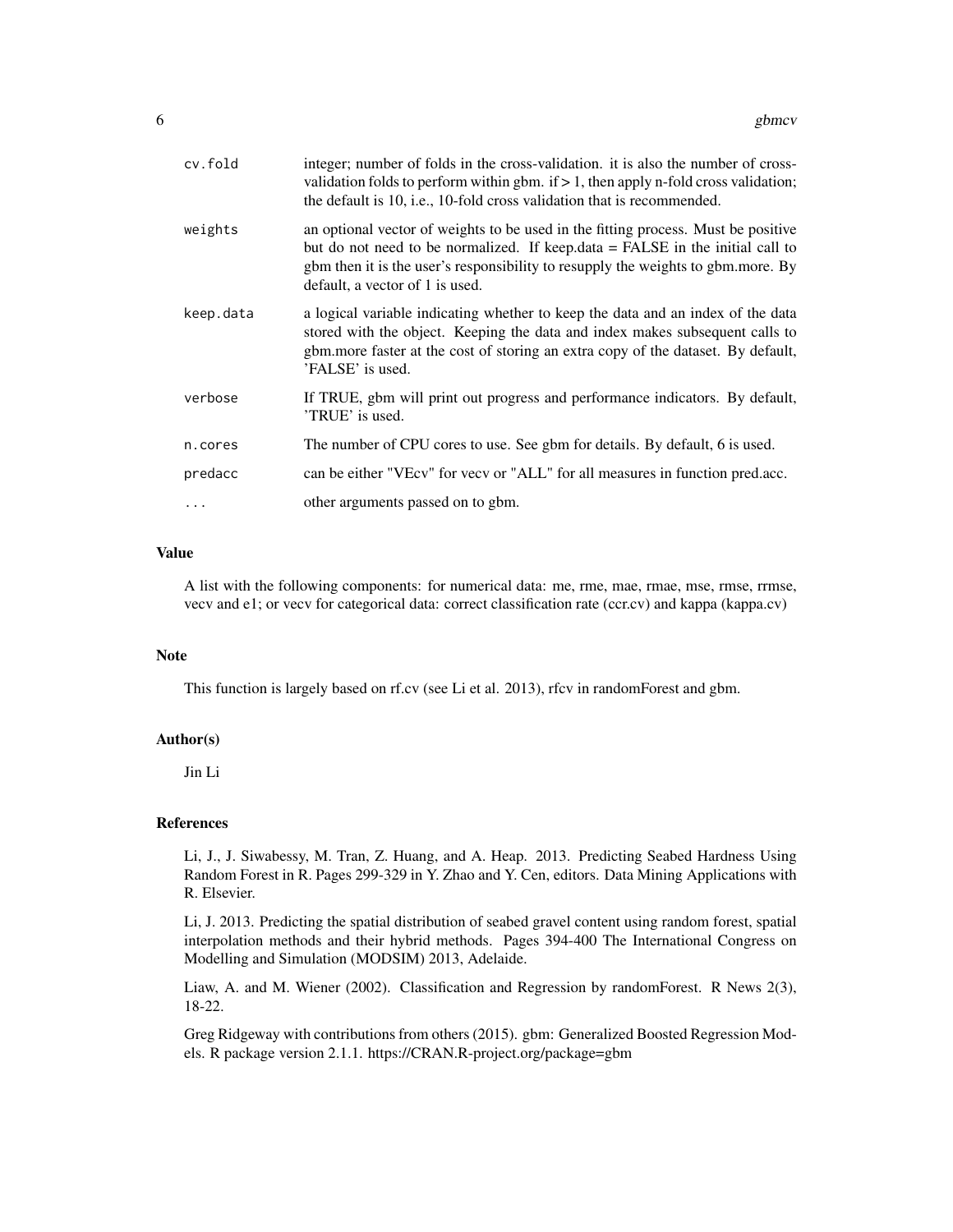| cv.fold   | integer; number of folds in the cross-validation. it is also the number of cross-<br>validation folds to perform within gbm. if $> 1$ , then apply n-fold cross validation;<br>the default is 10, i.e., 10-fold cross validation that is recommended.                                     |
|-----------|-------------------------------------------------------------------------------------------------------------------------------------------------------------------------------------------------------------------------------------------------------------------------------------------|
| weights   | an optional vector of weights to be used in the fitting process. Must be positive<br>but do not need to be normalized. If keep.data = FALSE in the initial call to<br>gbm then it is the user's responsibility to resupply the weights to gbm.more. By<br>default, a vector of 1 is used. |
| keep.data | a logical variable indicating whether to keep the data and an index of the data<br>stored with the object. Keeping the data and index makes subsequent calls to<br>gbm.more faster at the cost of storing an extra copy of the dataset. By default,<br>'FALSE' is used.                   |
| verbose   | If TRUE, gbm will print out progress and performance indicators. By default,<br>'TRUE' is used.                                                                                                                                                                                           |
| n.cores   | The number of CPU cores to use. See gbm for details. By default, 6 is used.                                                                                                                                                                                                               |
| predacc   | can be either "VEcv" for vecv or "ALL" for all measures in function pred.acc.                                                                                                                                                                                                             |
| $\cdots$  | other arguments passed on to gbm.                                                                                                                                                                                                                                                         |

A list with the following components: for numerical data: me, rme, mae, rmae, mse, rmse, rrmse, vecv and e1; or vecv for categorical data: correct classification rate (ccr.cv) and kappa (kappa.cv)

#### Note

This function is largely based on rf.cv (see Li et al. 2013), rfcv in randomForest and gbm.

#### Author(s)

Jin Li

#### References

Li, J., J. Siwabessy, M. Tran, Z. Huang, and A. Heap. 2013. Predicting Seabed Hardness Using Random Forest in R. Pages 299-329 in Y. Zhao and Y. Cen, editors. Data Mining Applications with R. Elsevier.

Li, J. 2013. Predicting the spatial distribution of seabed gravel content using random forest, spatial interpolation methods and their hybrid methods. Pages 394-400 The International Congress on Modelling and Simulation (MODSIM) 2013, Adelaide.

Liaw, A. and M. Wiener (2002). Classification and Regression by randomForest. R News 2(3), 18-22.

Greg Ridgeway with contributions from others (2015). gbm: Generalized Boosted Regression Models. R package version 2.1.1. https://CRAN.R-project.org/package=gbm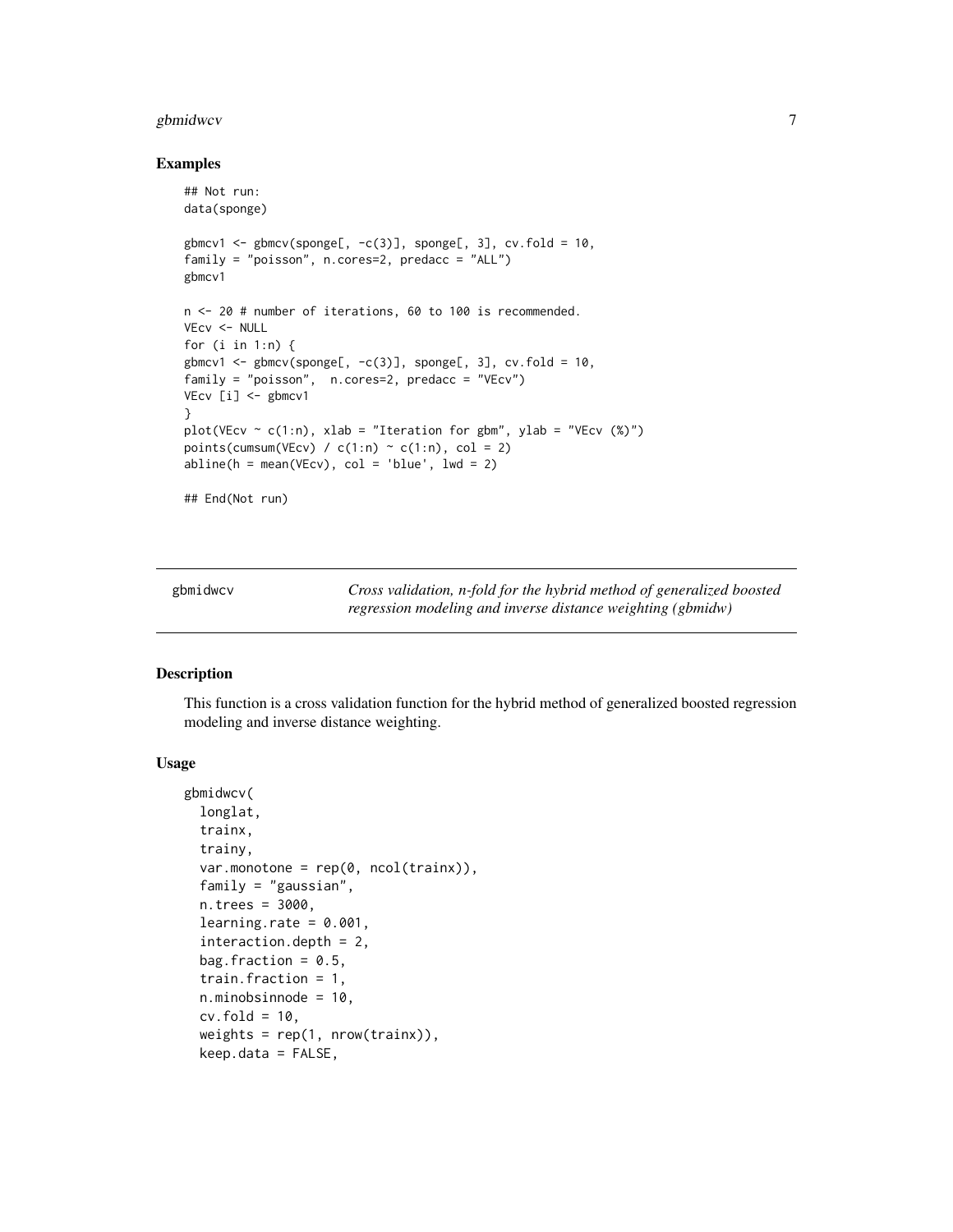#### <span id="page-6-0"></span>gbmidwcv 7 and 2008 and 2008 and 2008 and 2008 and 2008 and 2008 and 2008 and 2008 and 2008 and 2008 and 2008 and 2008 and 2008 and 2008 and 2008 and 2008 and 2008 and 2008 and 2008 and 2008 and 2008 and 2008 and 2008 and

#### Examples

```
## Not run:
data(sponge)
gbmcv1 <- gbmcv(sponge[, -c(3)], sponge[, 3], cv.fold = 10,
family = "poisson", n.cores=2, predacc = "ALL")
gbmcv1
n <- 20 # number of iterations, 60 to 100 is recommended.
VEcv <- NULL
for (i in 1:n) {
gbmcv1 <- gbmcv(sponge[, -c(3)], sponge[, 3], cv.fold = 10,
family = "poisson", n.cores=2, predacc = "VEcv")
VEcv [i] <- gbmcv1
}
plot(VEcv \sim c(1:n), xlab = "Iteration for gbm", ylab = "VEcv (%)")
points(cumsum(VEcv) / c(1:n) \sim c(1:n), col = 2)
abline(h = mean(VEcv), col = 'blue', lwd = 2)
```
## End(Not run)

gbmidwcv *Cross validation, n-fold for the hybrid method of generalized boosted regression modeling and inverse distance weighting (gbmidw)*

#### Description

This function is a cross validation function for the hybrid method of generalized boosted regression modeling and inverse distance weighting.

#### Usage

```
gbmidwcv(
  longlat,
  trainx,
  trainy,
  var.monotone = rep(0, ncol(trainx)),family = "gaussian",
  n.trees = 3000,
  learning.rate = 0.001,
  interaction.depth = 2,
  bag.fraction = 0.5,
  train.fraction = 1,
  n.minobsinnode = 10,
  cv.fold = 10,
  weights = rep(1, nrow(trainx)),
  keep.data = FALSE,
```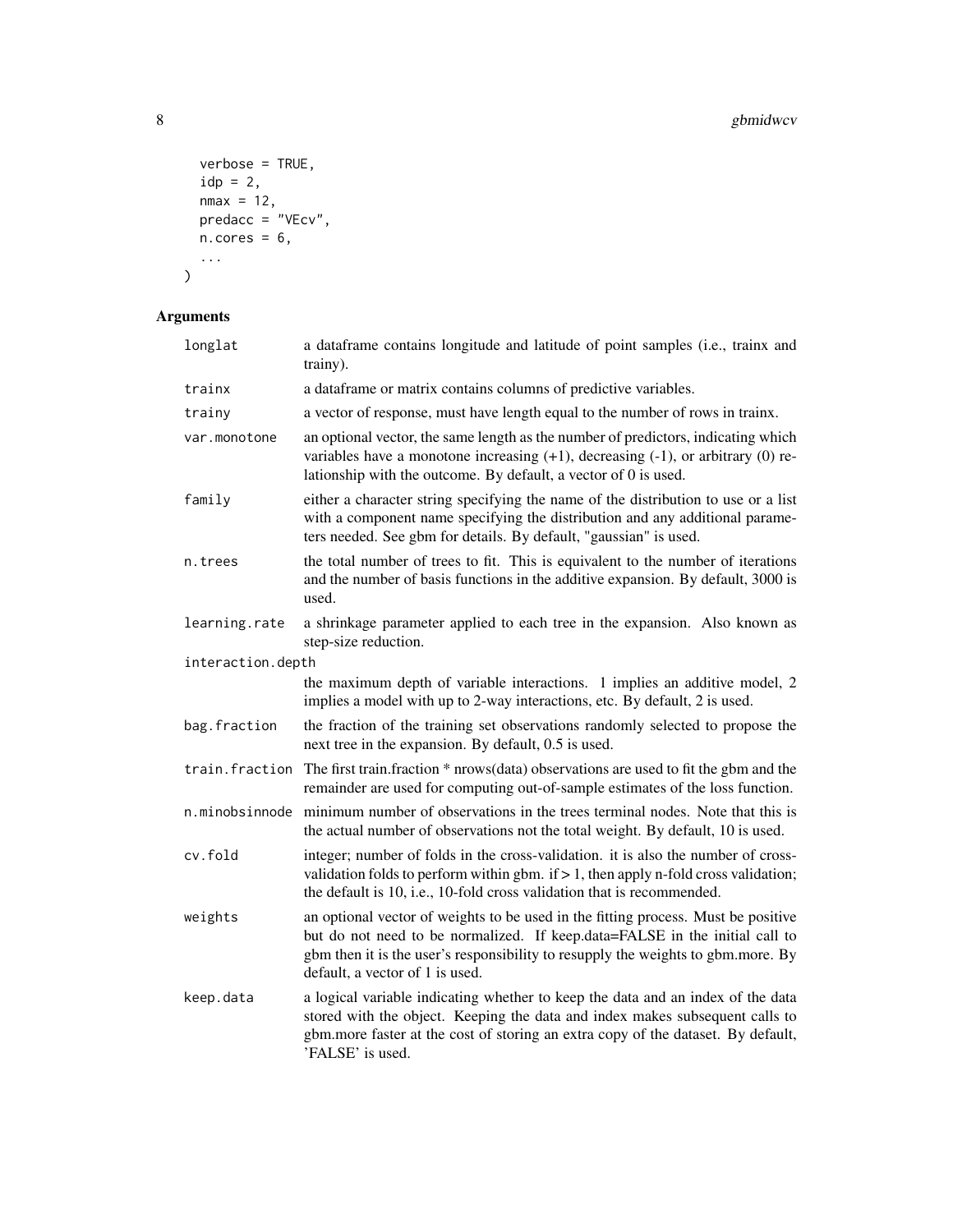```
verbose = TRUE,
 idp = 2,nmax = 12,
  predacc = "VEcv",
 n.cores = 6,...
)
```

| longlat           | a dataframe contains longitude and latitude of point samples (i.e., trainx and<br>trainy).                                                                                                                                                                                              |
|-------------------|-----------------------------------------------------------------------------------------------------------------------------------------------------------------------------------------------------------------------------------------------------------------------------------------|
| trainx            | a dataframe or matrix contains columns of predictive variables.                                                                                                                                                                                                                         |
| trainy            | a vector of response, must have length equal to the number of rows in trainx.                                                                                                                                                                                                           |
| var.monotone      | an optional vector, the same length as the number of predictors, indicating which<br>variables have a monotone increasing $(+1)$ , decreasing $(-1)$ , or arbitrary $(0)$ re-<br>lationship with the outcome. By default, a vector of 0 is used.                                        |
| family            | either a character string specifying the name of the distribution to use or a list<br>with a component name specifying the distribution and any additional parame-<br>ters needed. See gbm for details. By default, "gaussian" is used.                                                 |
| n.trees           | the total number of trees to fit. This is equivalent to the number of iterations<br>and the number of basis functions in the additive expansion. By default, 3000 is<br>used.                                                                                                           |
| learning.rate     | a shrinkage parameter applied to each tree in the expansion. Also known as<br>step-size reduction.                                                                                                                                                                                      |
| interaction.depth |                                                                                                                                                                                                                                                                                         |
|                   | the maximum depth of variable interactions. 1 implies an additive model, 2<br>implies a model with up to 2-way interactions, etc. By default, 2 is used.                                                                                                                                |
| bag.fraction      | the fraction of the training set observations randomly selected to propose the<br>next tree in the expansion. By default, 0.5 is used.                                                                                                                                                  |
| train.fraction    | The first train.fraction * nrows(data) observations are used to fit the gbm and the<br>remainder are used for computing out-of-sample estimates of the loss function.                                                                                                                   |
| n.minobsinnode    | minimum number of observations in the trees terminal nodes. Note that this is<br>the actual number of observations not the total weight. By default, 10 is used.                                                                                                                        |
| cv.fold           | integer; number of folds in the cross-validation. it is also the number of cross-<br>validation folds to perform within gbm. if $> 1$ , then apply n-fold cross validation;<br>the default is 10, i.e., 10-fold cross validation that is recommended.                                   |
| weights           | an optional vector of weights to be used in the fitting process. Must be positive<br>but do not need to be normalized. If keep.data=FALSE in the initial call to<br>gbm then it is the user's responsibility to resupply the weights to gbm.more. By<br>default, a vector of 1 is used. |
| keep.data         | a logical variable indicating whether to keep the data and an index of the data<br>stored with the object. Keeping the data and index makes subsequent calls to<br>gbm.more faster at the cost of storing an extra copy of the dataset. By default,<br>'FALSE' is used.                 |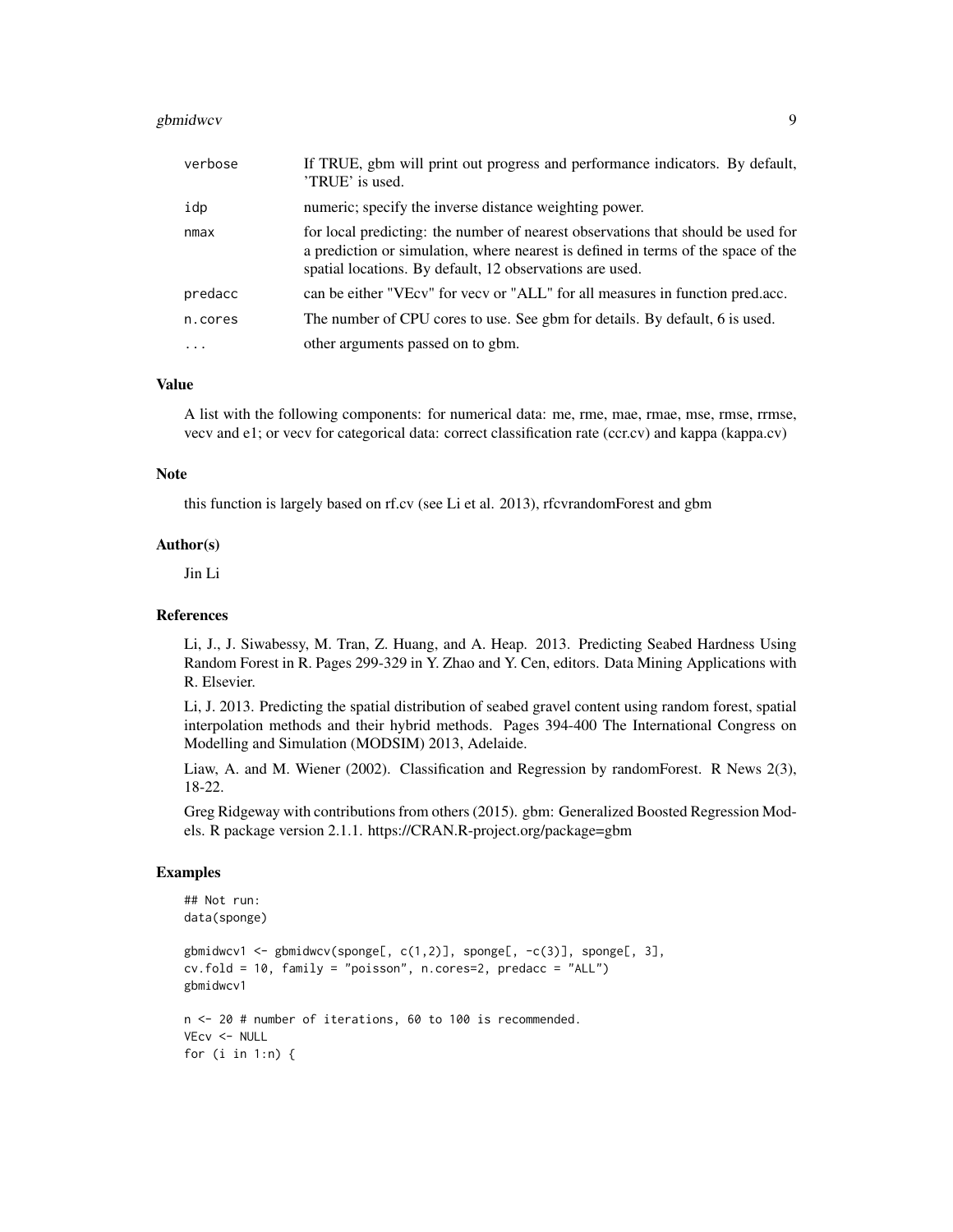#### gbmidwcv 500 gbmidwcv 500 gbmidwcv 500 gbmidwcv 500 gbmidwcv 500 gbmidwcv 500 gbmidwcv 500 gbmidwcv 500 gbmidwc

| verbose   | If TRUE, gbm will print out progress and performance indicators. By default,<br>'TRUE' is used.                                                                                                                                   |
|-----------|-----------------------------------------------------------------------------------------------------------------------------------------------------------------------------------------------------------------------------------|
| idp       | numeric; specify the inverse distance weighting power.                                                                                                                                                                            |
| nmax      | for local predicting: the number of nearest observations that should be used for<br>a prediction or simulation, where nearest is defined in terms of the space of the<br>spatial locations. By default, 12 observations are used. |
| predacc   | can be either "VEcv" for vecv or "ALL" for all measures in function pred.acc.                                                                                                                                                     |
| n.cores   | The number of CPU cores to use. See gbm for details. By default, 6 is used.                                                                                                                                                       |
| $\ddotsc$ | other arguments passed on to gbm.                                                                                                                                                                                                 |

#### Value

A list with the following components: for numerical data: me, rme, mae, rmae, mse, rmse, rrmse, vecv and e1; or vecv for categorical data: correct classification rate (ccr.cv) and kappa (kappa.cv)

#### Note

this function is largely based on rf.cv (see Li et al. 2013), rfcvrandomForest and gbm

#### Author(s)

Jin Li

#### References

Li, J., J. Siwabessy, M. Tran, Z. Huang, and A. Heap. 2013. Predicting Seabed Hardness Using Random Forest in R. Pages 299-329 in Y. Zhao and Y. Cen, editors. Data Mining Applications with R. Elsevier.

Li, J. 2013. Predicting the spatial distribution of seabed gravel content using random forest, spatial interpolation methods and their hybrid methods. Pages 394-400 The International Congress on Modelling and Simulation (MODSIM) 2013, Adelaide.

Liaw, A. and M. Wiener (2002). Classification and Regression by randomForest. R News 2(3), 18-22.

Greg Ridgeway with contributions from others (2015). gbm: Generalized Boosted Regression Models. R package version 2.1.1. https://CRAN.R-project.org/package=gbm

## Examples

```
## Not run:
data(sponge)
gbmidwcv1 <- gbmidwcv(sponge[, c(1,2)], sponge[, -c(3)], sponge[, 3],
cv.fold = 10, family = "poisson", n.cores=2, predacc = "ALL")
gbmidwcv1
n <- 20 # number of iterations, 60 to 100 is recommended.
VEcv <- NULL
for (i in 1:n) {
```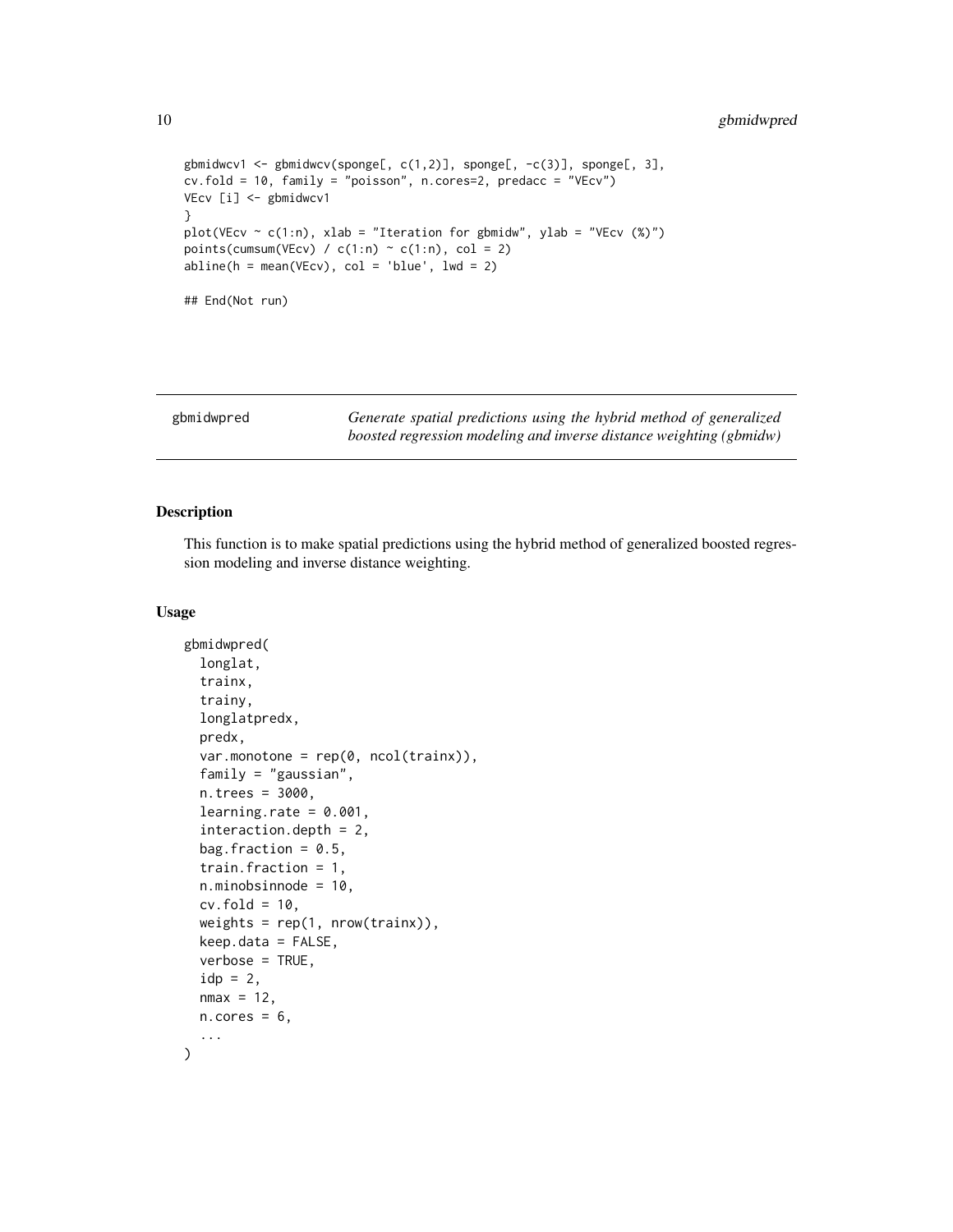```
gbmidwcv1 <- gbmidwcv(sponge[, c(1,2)], sponge[, -c(3)], sponge[, 3],
cv.fold = 10, family = "poisson", n.cores=2, predacc = "VEcv")
VEcv [i] <- gbmidwcv1
}
plot(VEcv \sim c(1:n), xlab = "Iteration for gbmidw", ylab = "VEcv (%)")
points(cumsum(VEcv) / c(1:n) \sim c(1:n), col = 2)
abline(h = mean(VEcv), col = 'blue', lwd = 2)## End(Not run)
```

| gbmidwpred | Generate spatial predictions using the hybrid method of generalized |
|------------|---------------------------------------------------------------------|
|            | boosted regression modeling and inverse distance weighting (gbmidw) |

This function is to make spatial predictions using the hybrid method of generalized boosted regression modeling and inverse distance weighting.

#### Usage

```
gbmidwpred(
  longlat,
  trainx,
  trainy,
  longlatpredx,
  predx,
  var.monotone = rep(0, ncol(trainx)),family = "gaussian",
  n.trees = 3000,
  learning.rate = 0.001,
  interaction.depth = 2,
  bag.fraction = 0.5,
  train.fraction = 1,
  n.minobsinnode = 10,
  cv.fold = 10,
  weights = rep(1, nrow(trainx)),keep.data = FALSE,
  verbose = TRUE,
  idp = 2,
  nmax = 12,
 n.core<sub>s</sub> = 6,
  ...
)
```
<span id="page-9-0"></span>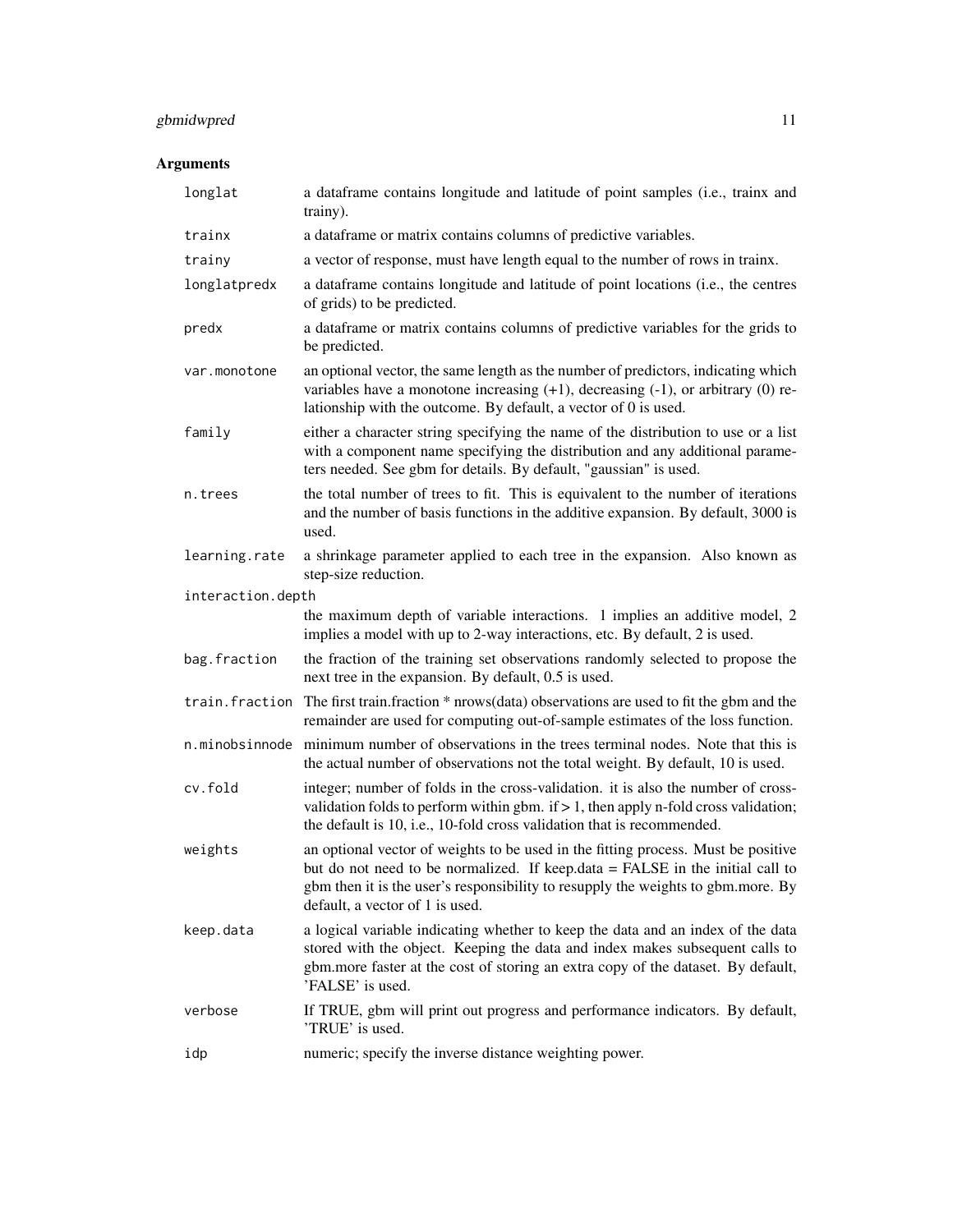## gbmidwpred 11

| longlat           | a dataframe contains longitude and latitude of point samples (i.e., trainx and<br>trainy).                                                                                                                                                                                                |
|-------------------|-------------------------------------------------------------------------------------------------------------------------------------------------------------------------------------------------------------------------------------------------------------------------------------------|
| trainx            | a dataframe or matrix contains columns of predictive variables.                                                                                                                                                                                                                           |
| trainy            | a vector of response, must have length equal to the number of rows in trainx.                                                                                                                                                                                                             |
| longlatpredx      | a dataframe contains longitude and latitude of point locations (i.e., the centres<br>of grids) to be predicted.                                                                                                                                                                           |
| predx             | a dataframe or matrix contains columns of predictive variables for the grids to<br>be predicted.                                                                                                                                                                                          |
| var.monotone      | an optional vector, the same length as the number of predictors, indicating which<br>variables have a monotone increasing $(+1)$ , decreasing $(-1)$ , or arbitrary $(0)$ re-<br>lationship with the outcome. By default, a vector of 0 is used.                                          |
| family            | either a character string specifying the name of the distribution to use or a list<br>with a component name specifying the distribution and any additional parame-<br>ters needed. See gbm for details. By default, "gaussian" is used.                                                   |
| n.trees           | the total number of trees to fit. This is equivalent to the number of iterations<br>and the number of basis functions in the additive expansion. By default, 3000 is<br>used.                                                                                                             |
| learning.rate     | a shrinkage parameter applied to each tree in the expansion. Also known as<br>step-size reduction.                                                                                                                                                                                        |
| interaction.depth |                                                                                                                                                                                                                                                                                           |
|                   | the maximum depth of variable interactions. 1 implies an additive model, 2<br>implies a model with up to 2-way interactions, etc. By default, 2 is used.                                                                                                                                  |
| bag.fraction      | the fraction of the training set observations randomly selected to propose the<br>next tree in the expansion. By default, 0.5 is used.                                                                                                                                                    |
|                   | train. fraction The first train. fraction * nrows (data) observations are used to fit the gbm and the<br>remainder are used for computing out-of-sample estimates of the loss function.                                                                                                   |
| n.minobsinnode    | minimum number of observations in the trees terminal nodes. Note that this is<br>the actual number of observations not the total weight. By default, 10 is used.                                                                                                                          |
| cv.fold           | integer; number of folds in the cross-validation. it is also the number of cross-<br>validation folds to perform within gbm. if $> 1$ , then apply n-fold cross validation;<br>the default is 10, i.e., 10-fold cross validation that is recommended.                                     |
| weights           | an optional vector of weights to be used in the fitting process. Must be positive<br>but do not need to be normalized. If keep.data = FALSE in the initial call to<br>gbm then it is the user's responsibility to resupply the weights to gbm.more. By<br>default, a vector of 1 is used. |
| keep.data         | a logical variable indicating whether to keep the data and an index of the data<br>stored with the object. Keeping the data and index makes subsequent calls to<br>gbm.more faster at the cost of storing an extra copy of the dataset. By default,<br>'FALSE' is used.                   |
| verbose           | If TRUE, gbm will print out progress and performance indicators. By default,<br>'TRUE' is used.                                                                                                                                                                                           |
| idp               | numeric; specify the inverse distance weighting power.                                                                                                                                                                                                                                    |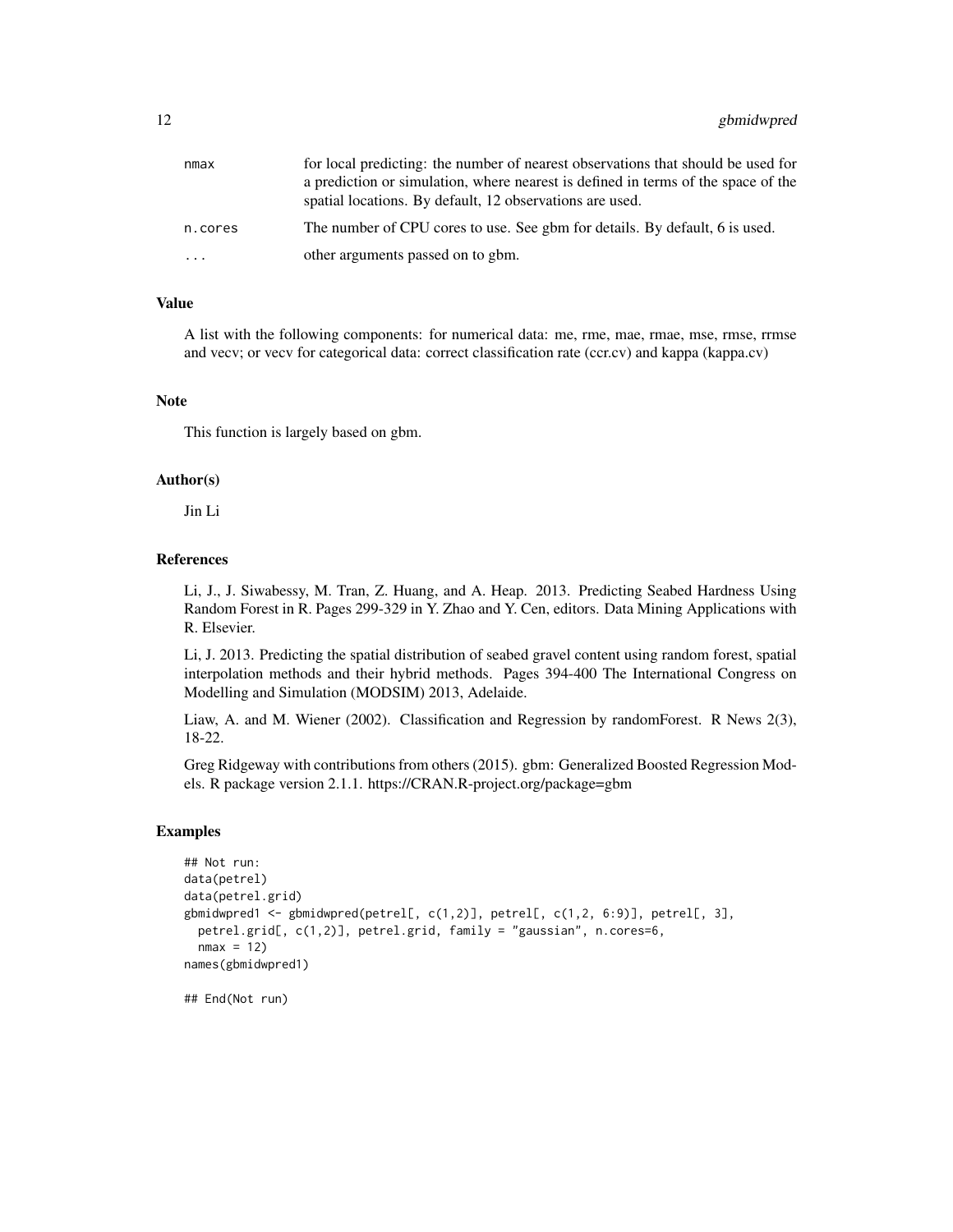| nmax    | for local predicting: the number of nearest observations that should be used for  |
|---------|-----------------------------------------------------------------------------------|
|         | a prediction or simulation, where nearest is defined in terms of the space of the |
|         | spatial locations. By default, 12 observations are used.                          |
| n.cores | The number of CPU cores to use. See gbm for details. By default, 6 is used.       |
| .       | other arguments passed on to gbm.                                                 |

A list with the following components: for numerical data: me, rme, mae, rmae, mse, rmse, rrmse and vecv; or vecv for categorical data: correct classification rate (ccr.cv) and kappa (kappa.cv)

#### Note

This function is largely based on gbm.

#### Author(s)

Jin Li

#### References

Li, J., J. Siwabessy, M. Tran, Z. Huang, and A. Heap. 2013. Predicting Seabed Hardness Using Random Forest in R. Pages 299-329 in Y. Zhao and Y. Cen, editors. Data Mining Applications with R. Elsevier.

Li, J. 2013. Predicting the spatial distribution of seabed gravel content using random forest, spatial interpolation methods and their hybrid methods. Pages 394-400 The International Congress on Modelling and Simulation (MODSIM) 2013, Adelaide.

Liaw, A. and M. Wiener (2002). Classification and Regression by randomForest. R News 2(3), 18-22.

Greg Ridgeway with contributions from others (2015). gbm: Generalized Boosted Regression Models. R package version 2.1.1. https://CRAN.R-project.org/package=gbm

#### Examples

```
## Not run:
data(petrel)
data(petrel.grid)
gbmidwpred1 <- gbmidwpred(petrel[, c(1,2)], petrel[, c(1,2, 6:9)], petrel[, 3],
 petrel.grid[, c(1,2)], petrel.grid, family = "gaussian", n.cores=6,
 nmax = 12names(gbmidwpred1)
```
## End(Not run)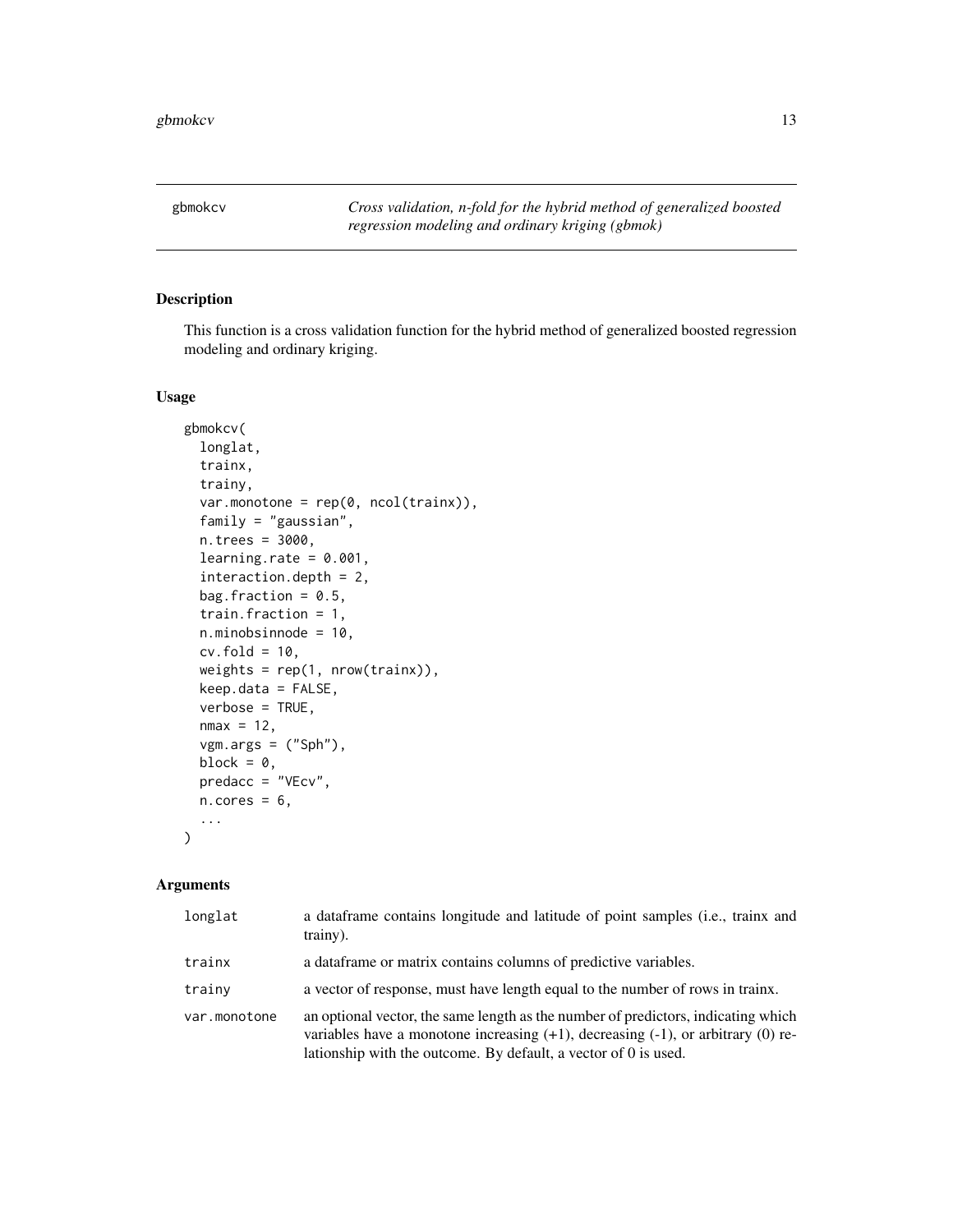<span id="page-12-0"></span>

This function is a cross validation function for the hybrid method of generalized boosted regression modeling and ordinary kriging.

#### Usage

```
gbmokcv(
  longlat,
  trainx,
  trainy,
  var.monotone = rep(0, ncol(trainx)),
  family = "gaussian",
  n.trees = 3000,
  learning.rate = 0.001,
  interaction.depth = 2,
  bag.fraction = 0.5,
  train.fraction = 1,
  n.minobsinnode = 10,
  cv.fold = 10,
  weights = rep(1, nrow(trainx)),
 keep.data = FALSE,
  verbose = TRUE,
 nmax = 12,
  vgm.args = ("Sph"),
 block = 0,
 predacc = "VEcv",
 n.core<sub>s</sub> = 6,
  ...
)
```

| longlat      | a dataframe contains longitude and latitude of point samples (i.e., trainx and<br>trainy).                                                                                                                                                       |
|--------------|--------------------------------------------------------------------------------------------------------------------------------------------------------------------------------------------------------------------------------------------------|
| trainx       | a dataframe or matrix contains columns of predictive variables.                                                                                                                                                                                  |
| trainy       | a vector of response, must have length equal to the number of rows in trainx.                                                                                                                                                                    |
| var.monotone | an optional vector, the same length as the number of predictors, indicating which<br>variables have a monotone increasing $(+1)$ , decreasing $(-1)$ , or arbitrary $(0)$ re-<br>lationship with the outcome. By default, a vector of 0 is used. |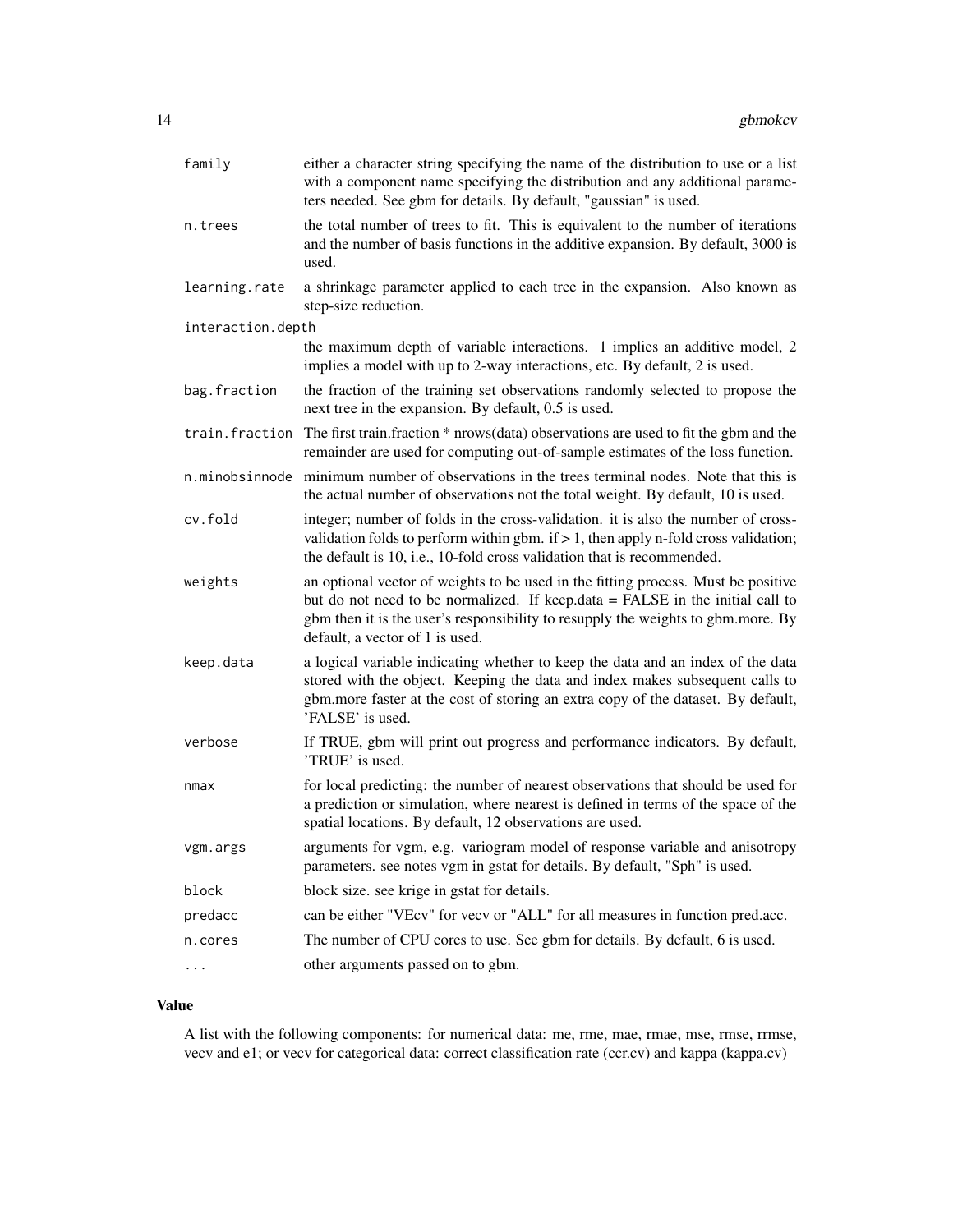| family            | either a character string specifying the name of the distribution to use or a list<br>with a component name specifying the distribution and any additional parame-<br>ters needed. See gbm for details. By default, "gaussian" is used.                                                   |
|-------------------|-------------------------------------------------------------------------------------------------------------------------------------------------------------------------------------------------------------------------------------------------------------------------------------------|
| n.trees           | the total number of trees to fit. This is equivalent to the number of iterations<br>and the number of basis functions in the additive expansion. By default, 3000 is<br>used.                                                                                                             |
| learning.rate     | a shrinkage parameter applied to each tree in the expansion. Also known as<br>step-size reduction.                                                                                                                                                                                        |
| interaction.depth |                                                                                                                                                                                                                                                                                           |
|                   | the maximum depth of variable interactions. 1 implies an additive model, 2<br>implies a model with up to 2-way interactions, etc. By default, 2 is used.                                                                                                                                  |
| bag.fraction      | the fraction of the training set observations randomly selected to propose the<br>next tree in the expansion. By default, 0.5 is used.                                                                                                                                                    |
| train.fraction    | The first train.fraction * nrows(data) observations are used to fit the gbm and the<br>remainder are used for computing out-of-sample estimates of the loss function.                                                                                                                     |
| n.minobsinnode    | minimum number of observations in the trees terminal nodes. Note that this is<br>the actual number of observations not the total weight. By default, 10 is used.                                                                                                                          |
| cv.fold           | integer; number of folds in the cross-validation. it is also the number of cross-<br>validation folds to perform within gbm. if $> 1$ , then apply n-fold cross validation;<br>the default is 10, i.e., 10-fold cross validation that is recommended.                                     |
| weights           | an optional vector of weights to be used in the fitting process. Must be positive<br>but do not need to be normalized. If keep.data = FALSE in the initial call to<br>gbm then it is the user's responsibility to resupply the weights to gbm.more. By<br>default, a vector of 1 is used. |
| keep.data         | a logical variable indicating whether to keep the data and an index of the data<br>stored with the object. Keeping the data and index makes subsequent calls to<br>gbm.more faster at the cost of storing an extra copy of the dataset. By default,<br>'FALSE' is used.                   |
| verbose           | If TRUE, gbm will print out progress and performance indicators. By default,<br>'TRUE' is used.                                                                                                                                                                                           |
| nmax              | for local predicting: the number of nearest observations that should be used for<br>a prediction or simulation, where nearest is defined in terms of the space of the<br>spatial locations. By default, 12 observations are used.                                                         |
| vgm.args          | arguments for vgm, e.g. variogram model of response variable and anisotropy<br>parameters. see notes vgm in gstat for details. By default, "Sph" is used.                                                                                                                                 |
| block             | block size. see krige in gstat for details.                                                                                                                                                                                                                                               |
| predacc           | can be either "VEcv" for vecv or "ALL" for all measures in function pred.acc.                                                                                                                                                                                                             |
| n.cores           | The number of CPU cores to use. See gbm for details. By default, 6 is used.                                                                                                                                                                                                               |
| $\cdots$          | other arguments passed on to gbm.                                                                                                                                                                                                                                                         |

A list with the following components: for numerical data: me, rme, mae, rmae, mse, rmse, rrmse, vecv and e1; or vecv for categorical data: correct classification rate (ccr.cv) and kappa (kappa.cv)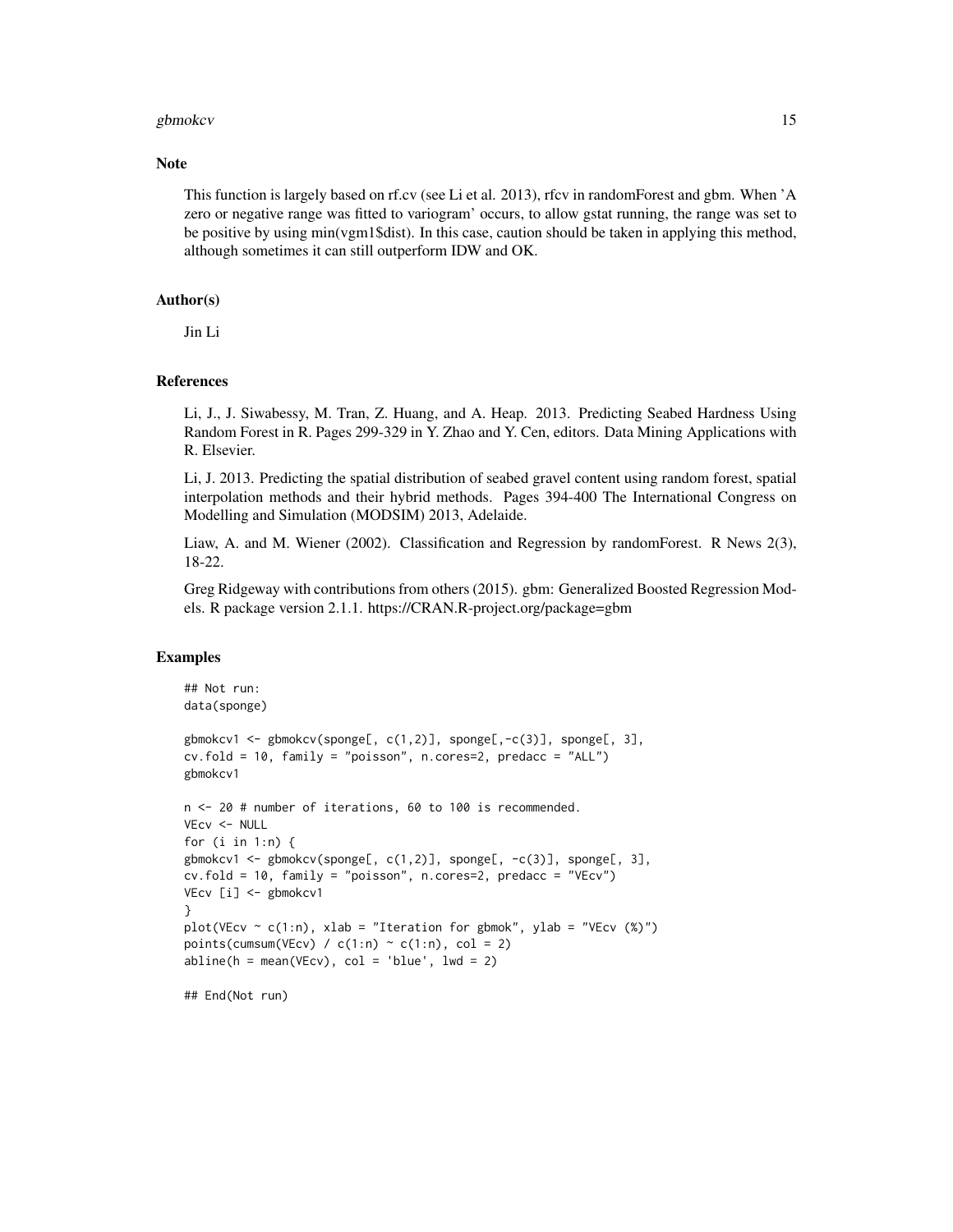#### gbmokcv and the state of the state of the state of the state of the state of the state of the state of the state of the state of the state of the state of the state of the state of the state of the state of the state of th

#### **Note**

This function is largely based on rf.cv (see Li et al. 2013), rfcv in randomForest and gbm. When 'A zero or negative range was fitted to variogram' occurs, to allow gstat running, the range was set to be positive by using min(vgm1\$dist). In this case, caution should be taken in applying this method, although sometimes it can still outperform IDW and OK.

#### Author(s)

Jin Li

#### References

Li, J., J. Siwabessy, M. Tran, Z. Huang, and A. Heap. 2013. Predicting Seabed Hardness Using Random Forest in R. Pages 299-329 in Y. Zhao and Y. Cen, editors. Data Mining Applications with R. Elsevier.

Li, J. 2013. Predicting the spatial distribution of seabed gravel content using random forest, spatial interpolation methods and their hybrid methods. Pages 394-400 The International Congress on Modelling and Simulation (MODSIM) 2013, Adelaide.

Liaw, A. and M. Wiener (2002). Classification and Regression by randomForest. R News 2(3), 18-22.

Greg Ridgeway with contributions from others (2015). gbm: Generalized Boosted Regression Models. R package version 2.1.1. https://CRAN.R-project.org/package=gbm

#### Examples

```
## Not run:
data(sponge)
gbmokcv1 <- gbmokcv(sponge[, c(1,2)], sponge[,-c(3)], sponge[, 3],
cv.fold = 10, family = "poisson", n.cores=2, predacc = "ALL")
gbmokcv1
n <- 20 # number of iterations, 60 to 100 is recommended.
VEcv <- NULL
for (i in 1:n) {
gbmokcv1 <- gbmokcv(sponge[, c(1,2)], sponge[, -c(3)], sponge[, 3],
cv.fold = 10, family = "poisson", n.cores=2, predacc = "VEcv")
VEcv [i] <- gbmokcv1
}
plot(VEcv \sim c(1:n), xlab = "Iteration for gbmok", ylab = "VEcv (%)")
points(cumsum(VEcv) / c(1:n) \sim c(1:n), col = 2)
abline(h = mean(VEcv), col = 'blue', lwd = 2)
```
## End(Not run)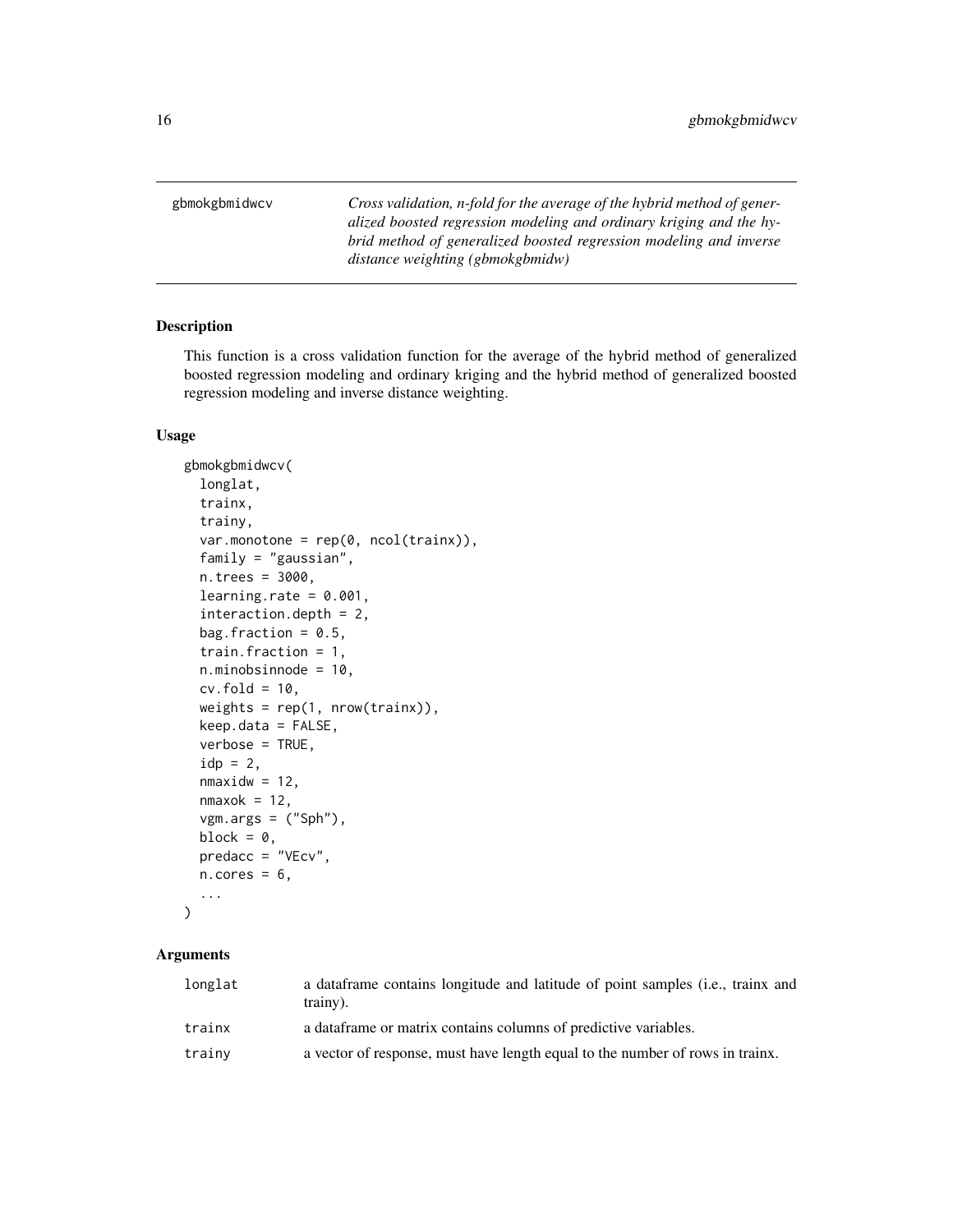<span id="page-15-0"></span>gbmokgbmidwcv *Cross validation, n-fold for the average of the hybrid method of generalized boosted regression modeling and ordinary kriging and the hybrid method of generalized boosted regression modeling and inverse distance weighting (gbmokgbmidw)*

#### Description

This function is a cross validation function for the average of the hybrid method of generalized boosted regression modeling and ordinary kriging and the hybrid method of generalized boosted regression modeling and inverse distance weighting.

#### Usage

```
gbmokgbmidwcv(
  longlat,
  trainx,
  trainy,
  var.monotone = rep(0, ncol(trainx)),family = "gaussian",
 n.trees = 3000,
  learning.rate = 0.001,
  interaction.depth = 2,
 bag.fraction = 0.5,
  train.fraction = 1,
  n.minobsinnode = 10,
  cv.fold = 10,weights = rep(1, nrow(trainx)),
 keep.data = FALSE,
  verbose = TRUE,
  idp = 2,
  nmaxidw = 12,
  nmaxok = 12,
  vgm.args = ("Sph"),
 block = \theta,
 predacc = "VEcv",
 n.cores = 6,...
)
```

| longlat | a data frame contains longitude and latitude of point samples ( <i>i.e.</i> , trainx and<br>trainy). |
|---------|------------------------------------------------------------------------------------------------------|
| trainx  | a data frame or matrix contains columns of predictive variables.                                     |
| trainy  | a vector of response, must have length equal to the number of rows in trainx.                        |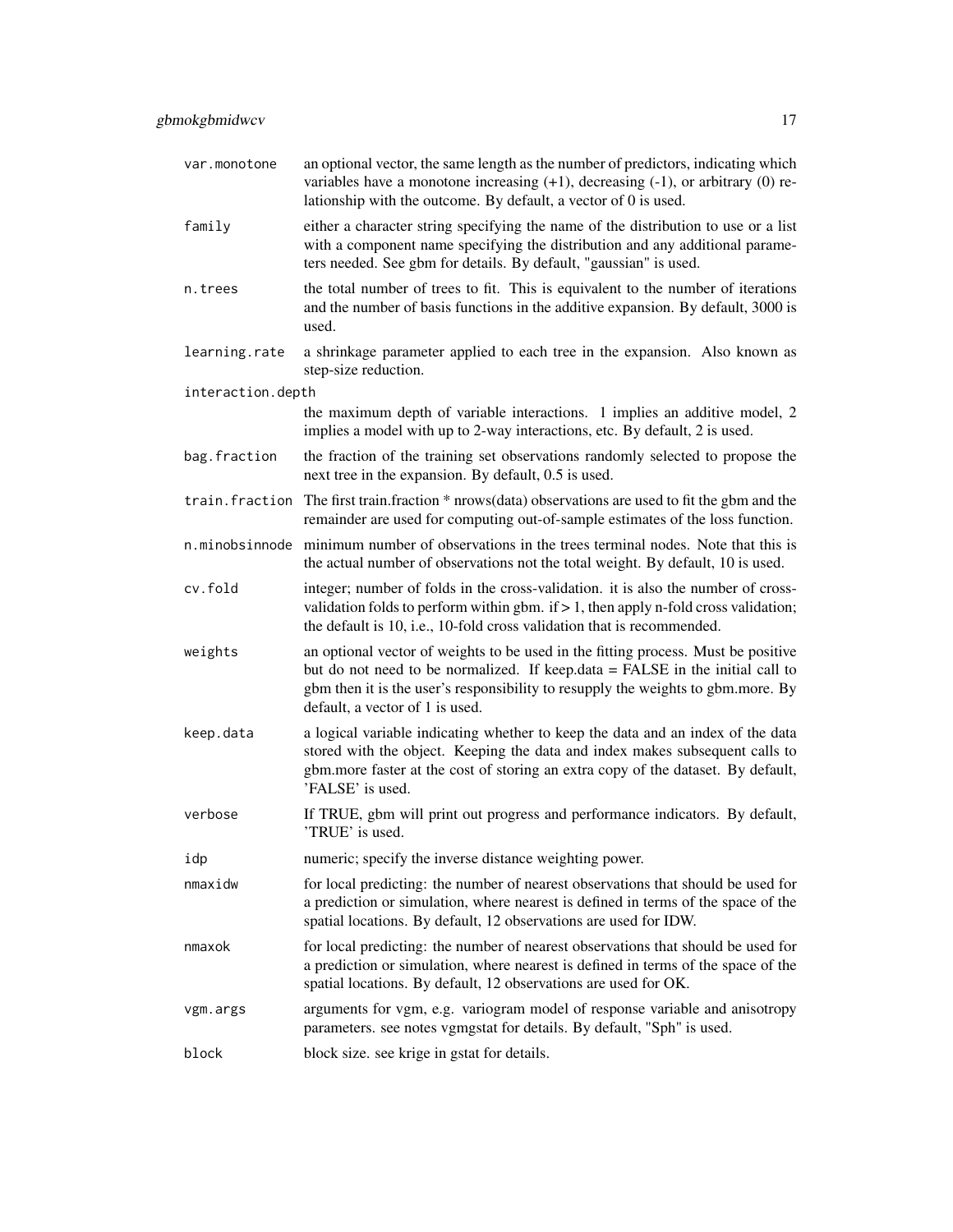| var.monotone      | an optional vector, the same length as the number of predictors, indicating which<br>variables have a monotone increasing $(+1)$ , decreasing $(-1)$ , or arbitrary $(0)$ re-<br>lationship with the outcome. By default, a vector of 0 is used.                                          |
|-------------------|-------------------------------------------------------------------------------------------------------------------------------------------------------------------------------------------------------------------------------------------------------------------------------------------|
| family            | either a character string specifying the name of the distribution to use or a list<br>with a component name specifying the distribution and any additional parame-<br>ters needed. See gbm for details. By default, "gaussian" is used.                                                   |
| n.trees           | the total number of trees to fit. This is equivalent to the number of iterations<br>and the number of basis functions in the additive expansion. By default, 3000 is<br>used.                                                                                                             |
| learning.rate     | a shrinkage parameter applied to each tree in the expansion. Also known as<br>step-size reduction.                                                                                                                                                                                        |
| interaction.depth |                                                                                                                                                                                                                                                                                           |
|                   | the maximum depth of variable interactions. 1 implies an additive model, 2<br>implies a model with up to 2-way interactions, etc. By default, 2 is used.                                                                                                                                  |
| bag.fraction      | the fraction of the training set observations randomly selected to propose the<br>next tree in the expansion. By default, 0.5 is used.                                                                                                                                                    |
|                   | train. fraction The first train. fraction * nrows (data) observations are used to fit the gbm and the<br>remainder are used for computing out-of-sample estimates of the loss function.                                                                                                   |
| n.minobsinnode    | minimum number of observations in the trees terminal nodes. Note that this is<br>the actual number of observations not the total weight. By default, 10 is used.                                                                                                                          |
| cv.fold           | integer; number of folds in the cross-validation. it is also the number of cross-<br>validation folds to perform within gbm. if $> 1$ , then apply n-fold cross validation;<br>the default is 10, i.e., 10-fold cross validation that is recommended.                                     |
| weights           | an optional vector of weights to be used in the fitting process. Must be positive<br>but do not need to be normalized. If keep.data = FALSE in the initial call to<br>gbm then it is the user's responsibility to resupply the weights to gbm.more. By<br>default, a vector of 1 is used. |
| keep.data         | a logical variable indicating whether to keep the data and an index of the data<br>stored with the object. Keeping the data and index makes subsequent calls to<br>gbm.more faster at the cost of storing an extra copy of the dataset. By default,<br>'FALSE' is used.                   |
| verbose           | If TRUE, gbm will print out progress and performance indicators. By default,<br>'TRUE' is used.                                                                                                                                                                                           |
| idp               | numeric; specify the inverse distance weighting power.                                                                                                                                                                                                                                    |
| nmaxidw           | for local predicting: the number of nearest observations that should be used for<br>a prediction or simulation, where nearest is defined in terms of the space of the<br>spatial locations. By default, 12 observations are used for IDW.                                                 |
| nmaxok            | for local predicting: the number of nearest observations that should be used for<br>a prediction or simulation, where nearest is defined in terms of the space of the<br>spatial locations. By default, 12 observations are used for OK.                                                  |
| vgm.args          | arguments for vgm, e.g. variogram model of response variable and anisotropy<br>parameters. see notes vgmgstat for details. By default, "Sph" is used.                                                                                                                                     |
| block             | block size. see krige in gstat for details.                                                                                                                                                                                                                                               |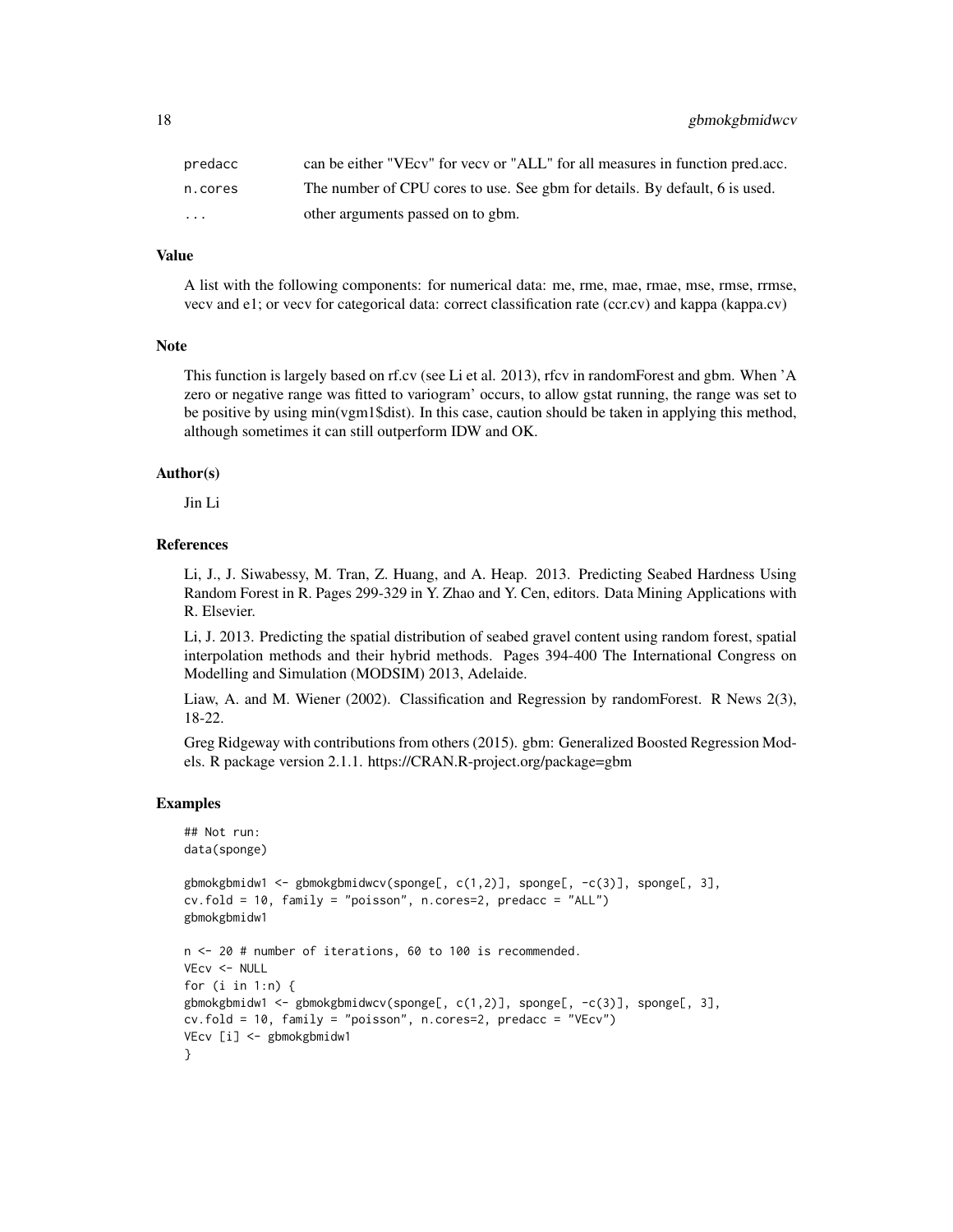| predacc                 | can be either "VEcv" for vecv or "ALL" for all measures in function pred.acc. |
|-------------------------|-------------------------------------------------------------------------------|
| n.cores                 | The number of CPU cores to use. See gbm for details. By default, 6 is used.   |
| $\cdot$ $\cdot$ $\cdot$ | other arguments passed on to gbm.                                             |

A list with the following components: for numerical data: me, rme, mae, rmae, mse, rmse, rrmse, vecv and e1; or vecv for categorical data: correct classification rate (ccr.cv) and kappa (kappa.cv)

#### Note

This function is largely based on rf.cv (see Li et al. 2013), rfcv in randomForest and gbm. When 'A zero or negative range was fitted to variogram' occurs, to allow gstat running, the range was set to be positive by using min(vgm1\$dist). In this case, caution should be taken in applying this method, although sometimes it can still outperform IDW and OK.

#### Author(s)

Jin Li

#### References

Li, J., J. Siwabessy, M. Tran, Z. Huang, and A. Heap. 2013. Predicting Seabed Hardness Using Random Forest in R. Pages 299-329 in Y. Zhao and Y. Cen, editors. Data Mining Applications with R. Elsevier.

Li, J. 2013. Predicting the spatial distribution of seabed gravel content using random forest, spatial interpolation methods and their hybrid methods. Pages 394-400 The International Congress on Modelling and Simulation (MODSIM) 2013, Adelaide.

Liaw, A. and M. Wiener (2002). Classification and Regression by randomForest. R News 2(3), 18-22.

Greg Ridgeway with contributions from others (2015). gbm: Generalized Boosted Regression Models. R package version 2.1.1. https://CRAN.R-project.org/package=gbm

#### Examples

```
## Not run:
data(sponge)
gbmokgbmidw1 <- gbmokgbmidwcv(sponge[, c(1,2)], sponge[, -c(3)], sponge[, 3],
cv.fold = 10, family = "poisson", n.cores=2, predacc = "ALL")
gbmokgbmidw1
n <- 20 # number of iterations, 60 to 100 is recommended.
VEcv <- NULL
for (i in 1:n) {
gbmokgbmidw1 <- gbmokgbmidwcv(sponge[, c(1,2)], sponge[, -c(3)], sponge[, 3],
cv.fold = 10, family = "poisson", n.cores=2, predacc = "VEcv")
VEcv [i] <- gbmokgbmidw1
}
```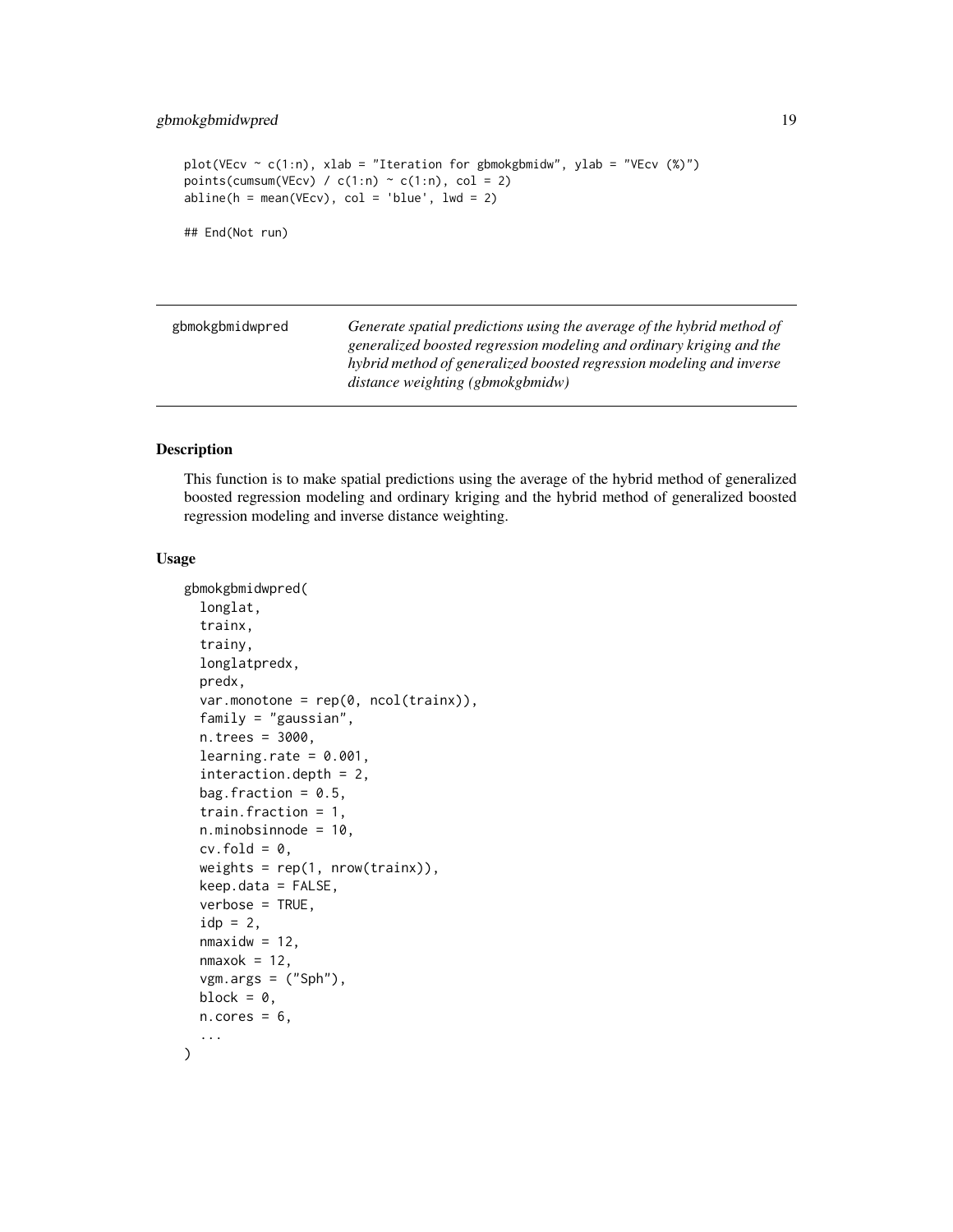```
plot(VEcv \sim c(1:n), xlab = "Iteration for gbmokgbmidw", ylab = "VEcv (%)")
points(cumsum(VEcv) / c(1:n) \sim c(1:n), col = 2)
abline(h = mean(VEcv), col = 'blue', lwd = 2)## End(Not run)
```

| gbmokgbmidwpred | Generate spatial predictions using the average of the hybrid method of |
|-----------------|------------------------------------------------------------------------|
|                 | generalized boosted regression modeling and ordinary kriging and the   |
|                 | hybrid method of generalized boosted regression modeling and inverse   |
|                 | distance weighting (gbmokgbmidw)                                       |

This function is to make spatial predictions using the average of the hybrid method of generalized boosted regression modeling and ordinary kriging and the hybrid method of generalized boosted regression modeling and inverse distance weighting.

#### Usage

```
gbmokgbmidwpred(
  longlat,
  trainx,
  trainy,
  longlatpredx,
  predx,
  var.monotone = rep(0, ncol(trainx)),
  family = "gaussian",
  n.trees = 3000,
  learning.rate = 0.001,
  interaction.depth = 2,
  bag.fraction = 0.5,
  train.fraction = 1,
  n.minobsinnode = 10,
  cv.fold = 0,
  weights = rep(1, nrow(trainx)),keep.data = FALSE,
  verbose = TRUE,
  idp = 2,
  nmaxidw = 12,
  nmaxok = 12,
  vgm.args = ('Sph''),
 block = \theta,
 n.core<sub>s</sub> = 6,
  ...
)
```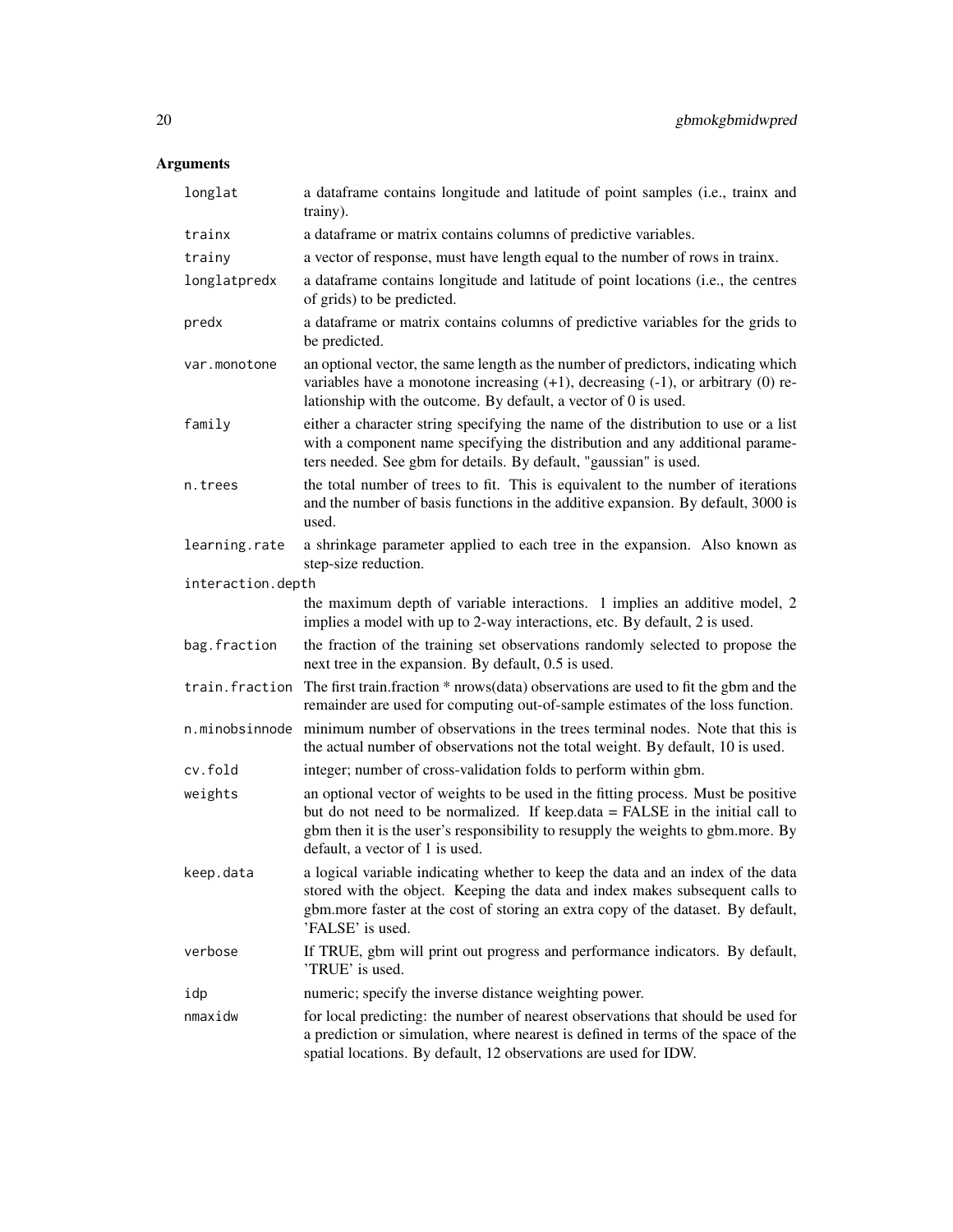| longlat           | a dataframe contains longitude and latitude of point samples (i.e., trainx and<br>trainy).                                                                                                                                                                                                |
|-------------------|-------------------------------------------------------------------------------------------------------------------------------------------------------------------------------------------------------------------------------------------------------------------------------------------|
| trainx            | a dataframe or matrix contains columns of predictive variables.                                                                                                                                                                                                                           |
| trainy            | a vector of response, must have length equal to the number of rows in trainx.                                                                                                                                                                                                             |
| longlatpredx      | a dataframe contains longitude and latitude of point locations (i.e., the centres<br>of grids) to be predicted.                                                                                                                                                                           |
| predx             | a dataframe or matrix contains columns of predictive variables for the grids to<br>be predicted.                                                                                                                                                                                          |
| var.monotone      | an optional vector, the same length as the number of predictors, indicating which<br>variables have a monotone increasing $(+1)$ , decreasing $(-1)$ , or arbitrary $(0)$ re-<br>lationship with the outcome. By default, a vector of 0 is used.                                          |
| family            | either a character string specifying the name of the distribution to use or a list<br>with a component name specifying the distribution and any additional parame-<br>ters needed. See gbm for details. By default, "gaussian" is used.                                                   |
| n.trees           | the total number of trees to fit. This is equivalent to the number of iterations<br>and the number of basis functions in the additive expansion. By default, 3000 is<br>used.                                                                                                             |
| learning.rate     | a shrinkage parameter applied to each tree in the expansion. Also known as<br>step-size reduction.                                                                                                                                                                                        |
| interaction.depth |                                                                                                                                                                                                                                                                                           |
|                   | the maximum depth of variable interactions. 1 implies an additive model, 2<br>implies a model with up to 2-way interactions, etc. By default, 2 is used.                                                                                                                                  |
| bag.fraction      | the fraction of the training set observations randomly selected to propose the<br>next tree in the expansion. By default, 0.5 is used.                                                                                                                                                    |
| train.fraction    | The first train.fraction * nrows(data) observations are used to fit the gbm and the<br>remainder are used for computing out-of-sample estimates of the loss function.                                                                                                                     |
| n.minobsinnode    | minimum number of observations in the trees terminal nodes. Note that this is<br>the actual number of observations not the total weight. By default, 10 is used.                                                                                                                          |
| cv.fold           | integer; number of cross-validation folds to perform within gbm.                                                                                                                                                                                                                          |
| weights           | an optional vector of weights to be used in the fitting process. Must be positive<br>but do not need to be normalized. If keep.data = FALSE in the initial call to<br>gbm then it is the user's responsibility to resupply the weights to gbm.more. By<br>default, a vector of 1 is used. |
| keep.data         | a logical variable indicating whether to keep the data and an index of the data<br>stored with the object. Keeping the data and index makes subsequent calls to<br>gbm.more faster at the cost of storing an extra copy of the dataset. By default,<br>'FALSE' is used.                   |
| verbose           | If TRUE, gbm will print out progress and performance indicators. By default,<br>'TRUE' is used.                                                                                                                                                                                           |
| idp               | numeric; specify the inverse distance weighting power.                                                                                                                                                                                                                                    |
| nmaxidw           | for local predicting: the number of nearest observations that should be used for<br>a prediction or simulation, where nearest is defined in terms of the space of the<br>spatial locations. By default, 12 observations are used for IDW.                                                 |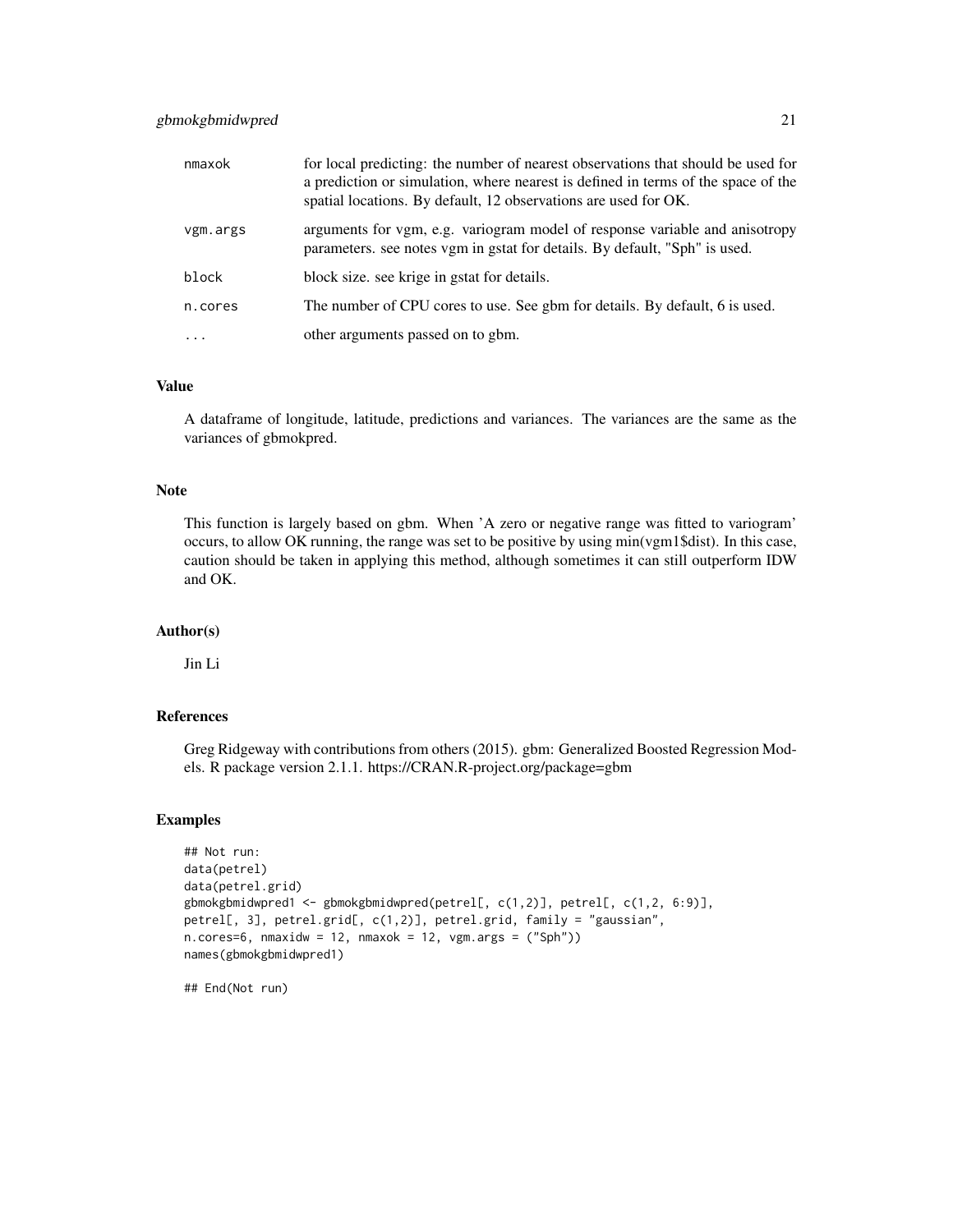#### gbmokgbmidwpred 21

| nmaxok   | for local predicting: the number of nearest observations that should be used for<br>a prediction or simulation, where nearest is defined in terms of the space of the<br>spatial locations. By default, 12 observations are used for OK. |
|----------|------------------------------------------------------------------------------------------------------------------------------------------------------------------------------------------------------------------------------------------|
| vgm.args | arguments for vgm, e.g. variogram model of response variable and anisotropy<br>parameters, see notes vgm in gstat for details. By default, "Sph" is used.                                                                                |
| block    | block size, see krige in gstat for details.                                                                                                                                                                                              |
| n.cores  | The number of CPU cores to use. See gbm for details. By default, 6 is used.                                                                                                                                                              |
| $\cdots$ | other arguments passed on to gbm.                                                                                                                                                                                                        |

#### Value

A dataframe of longitude, latitude, predictions and variances. The variances are the same as the variances of gbmokpred.

#### Note

This function is largely based on gbm. When 'A zero or negative range was fitted to variogram' occurs, to allow OK running, the range was set to be positive by using min(vgm1\$dist). In this case, caution should be taken in applying this method, although sometimes it can still outperform IDW and OK.

#### Author(s)

Jin Li

## References

Greg Ridgeway with contributions from others (2015). gbm: Generalized Boosted Regression Models. R package version 2.1.1. https://CRAN.R-project.org/package=gbm

#### Examples

```
## Not run:
data(petrel)
data(petrel.grid)
gbmokgbmidwpred1 <- gbmokgbmidwpred(petrel[, c(1,2)], petrel[, c(1,2, 6:9)],
petrel[, 3], petrel.grid[, c(1,2)], petrel.grid, family = "gaussian",
n.cores=6, nmaxidw = 12, nmaxok = 12, vgm.args = ("Sph"))
names(gbmokgbmidwpred1)
```
## End(Not run)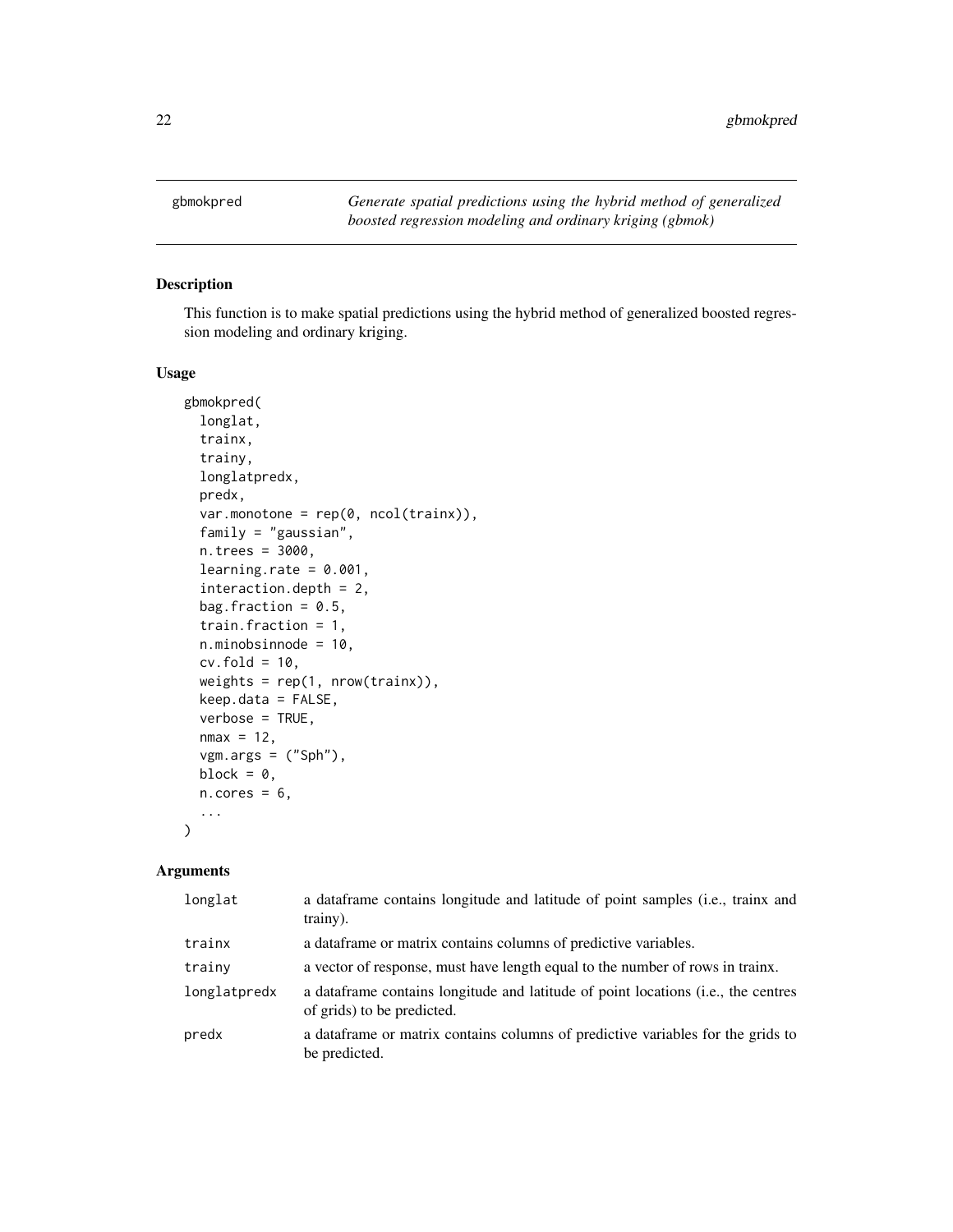<span id="page-21-0"></span>

This function is to make spatial predictions using the hybrid method of generalized boosted regression modeling and ordinary kriging.

#### Usage

```
gbmokpred(
  longlat,
  trainx,
  trainy,
  longlatpredx,
 predx,
  var.monotone = rep(0, ncol(trainx)),family = "gaussian",
 n.trees = 3000,
  learning.rate = 0.001,
  interaction.depth = 2,
 bag.fraction = 0.5,
  train.fraction = 1,
 n.minobsinnode = 10,
 cv.fold = 10,weights = rep(1, nrow(trainx)),keep.data = FALSE,
 verbose = TRUE,
 nmax = 12,
  vgm.args = ("Sph"),
 block = \theta,
 n.core<sub>s</sub> = 6,
  ...
)
```

| longlat      | a dataframe contains longitude and latitude of point samples (i.e., trainx and<br>trainy).                       |
|--------------|------------------------------------------------------------------------------------------------------------------|
| trainx       | a dataframe or matrix contains columns of predictive variables.                                                  |
| trainy       | a vector of response, must have length equal to the number of rows in trainx.                                    |
| longlatpredx | a data frame contains longitude and latitude of point locations (i.e., the centres<br>of grids) to be predicted. |
| predx        | a data frame or matrix contains columns of predictive variables for the grids to<br>be predicted.                |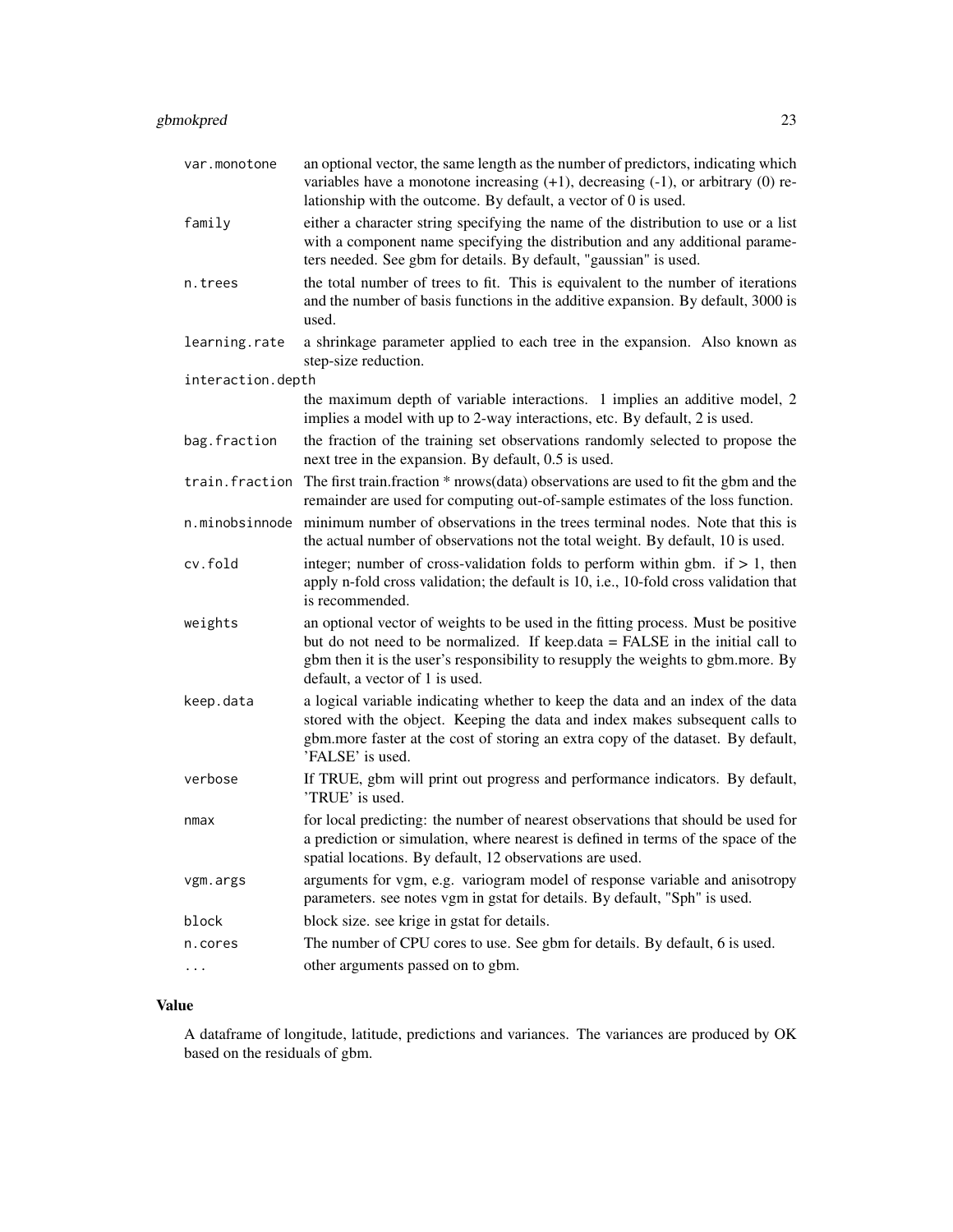| var.monotone      | an optional vector, the same length as the number of predictors, indicating which<br>variables have a monotone increasing $(+1)$ , decreasing $(-1)$ , or arbitrary $(0)$ re-<br>lationship with the outcome. By default, a vector of 0 is used.                                          |
|-------------------|-------------------------------------------------------------------------------------------------------------------------------------------------------------------------------------------------------------------------------------------------------------------------------------------|
| family            | either a character string specifying the name of the distribution to use or a list<br>with a component name specifying the distribution and any additional parame-<br>ters needed. See gbm for details. By default, "gaussian" is used.                                                   |
| n.trees           | the total number of trees to fit. This is equivalent to the number of iterations<br>and the number of basis functions in the additive expansion. By default, 3000 is<br>used.                                                                                                             |
| learning.rate     | a shrinkage parameter applied to each tree in the expansion. Also known as<br>step-size reduction.                                                                                                                                                                                        |
| interaction.depth |                                                                                                                                                                                                                                                                                           |
|                   | the maximum depth of variable interactions. 1 implies an additive model, 2<br>implies a model with up to 2-way interactions, etc. By default, 2 is used.                                                                                                                                  |
| bag.fraction      | the fraction of the training set observations randomly selected to propose the<br>next tree in the expansion. By default, 0.5 is used.                                                                                                                                                    |
| train.fraction    | The first train.fraction * nrows(data) observations are used to fit the gbm and the<br>remainder are used for computing out-of-sample estimates of the loss function.                                                                                                                     |
| n.minobsinnode    | minimum number of observations in the trees terminal nodes. Note that this is<br>the actual number of observations not the total weight. By default, 10 is used.                                                                                                                          |
| cv.fold           | integer; number of cross-validation folds to perform within gbm. if $> 1$ , then<br>apply n-fold cross validation; the default is 10, i.e., 10-fold cross validation that<br>is recommended.                                                                                              |
| weights           | an optional vector of weights to be used in the fitting process. Must be positive<br>but do not need to be normalized. If keep.data = FALSE in the initial call to<br>gbm then it is the user's responsibility to resupply the weights to gbm.more. By<br>default, a vector of 1 is used. |
| keep.data         | a logical variable indicating whether to keep the data and an index of the data<br>stored with the object. Keeping the data and index makes subsequent calls to<br>gbm.more faster at the cost of storing an extra copy of the dataset. By default,<br>'FALSE' is used.                   |
| verbose           | If TRUE, gbm will print out progress and performance indicators. By default,<br>'TRUE' is used.                                                                                                                                                                                           |
| nmax              | for local predicting: the number of nearest observations that should be used for<br>a prediction or simulation, where nearest is defined in terms of the space of the<br>spatial locations. By default, 12 observations are used.                                                         |
| vgm.args          | arguments for vgm, e.g. variogram model of response variable and anisotropy<br>parameters. see notes vgm in gstat for details. By default, "Sph" is used.                                                                                                                                 |
| block             | block size. see krige in gstat for details.                                                                                                                                                                                                                                               |
| n.cores           | The number of CPU cores to use. See gbm for details. By default, 6 is used.                                                                                                                                                                                                               |
| .                 | other arguments passed on to gbm.                                                                                                                                                                                                                                                         |

A dataframe of longitude, latitude, predictions and variances. The variances are produced by OK based on the residuals of gbm.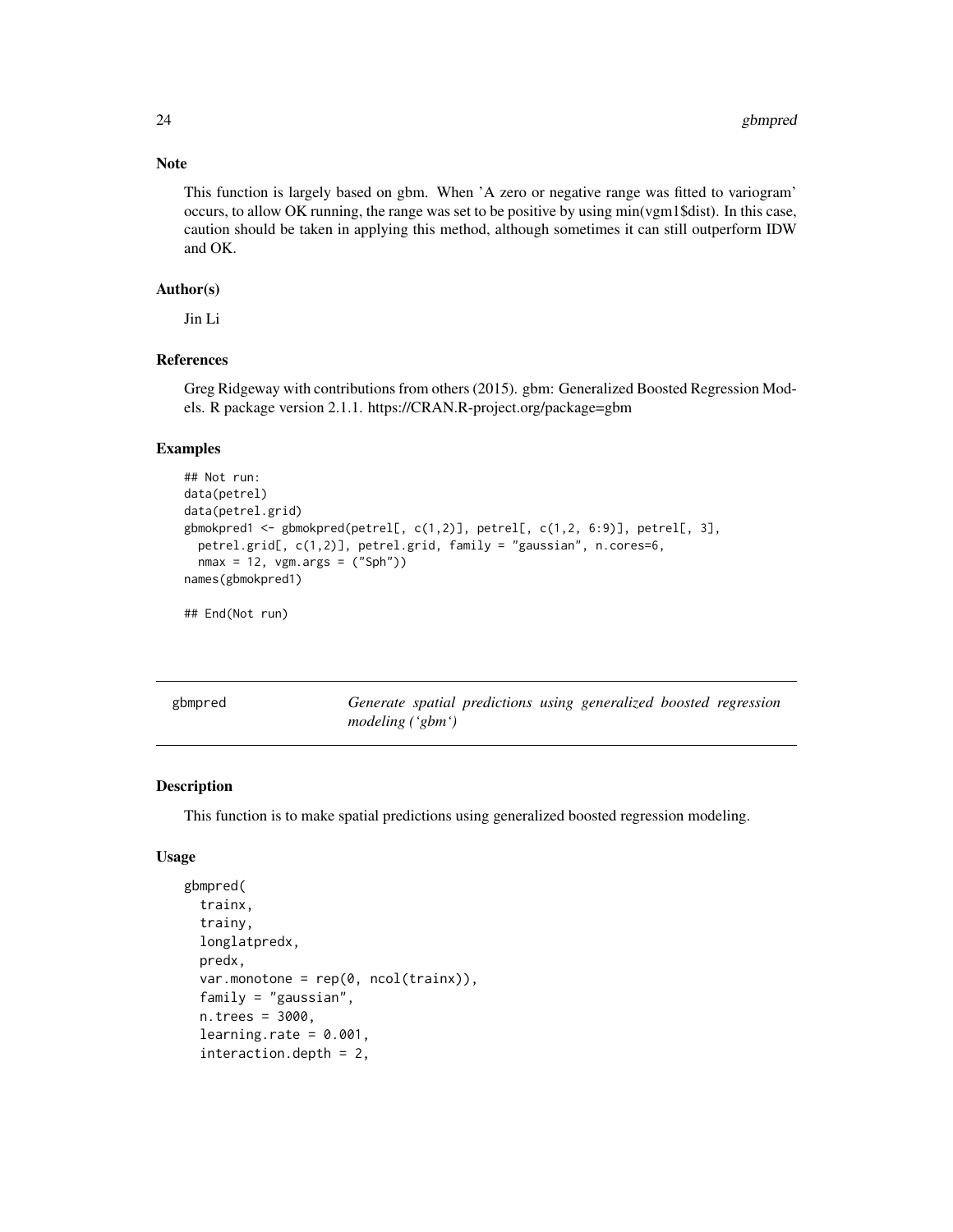#### Note

This function is largely based on gbm. When 'A zero or negative range was fitted to variogram' occurs, to allow OK running, the range was set to be positive by using min(vgm1\$dist). In this case, caution should be taken in applying this method, although sometimes it can still outperform IDW and OK.

#### Author(s)

Jin Li

#### References

Greg Ridgeway with contributions from others (2015). gbm: Generalized Boosted Regression Models. R package version 2.1.1. https://CRAN.R-project.org/package=gbm

#### Examples

```
## Not run:
data(petrel)
data(petrel.grid)
gbmokpred1 <- gbmokpred(petrel[, c(1,2)], petrel[, c(1,2, 6:9)], petrel[, 3],
 petrel.grid[, c(1,2)], petrel.grid, family = "gaussian", n.cores=6,
 nmax = 12, vgm.args = ("Sph"))
names(gbmokpred1)
## End(Not run)
```
gbmpred *Generate spatial predictions using generalized boosted regression modeling ('gbm')*

#### Description

This function is to make spatial predictions using generalized boosted regression modeling.

#### Usage

```
gbmpred(
  trainx,
  trainy,
  longlatpredx,
  predx,
  var.monotone = rep(0, ncol(trainx)),family = "gaussian",
  n.trees = 3000,
  learning.rate = 0.001,
  interaction.depth = 2,
```
<span id="page-23-0"></span>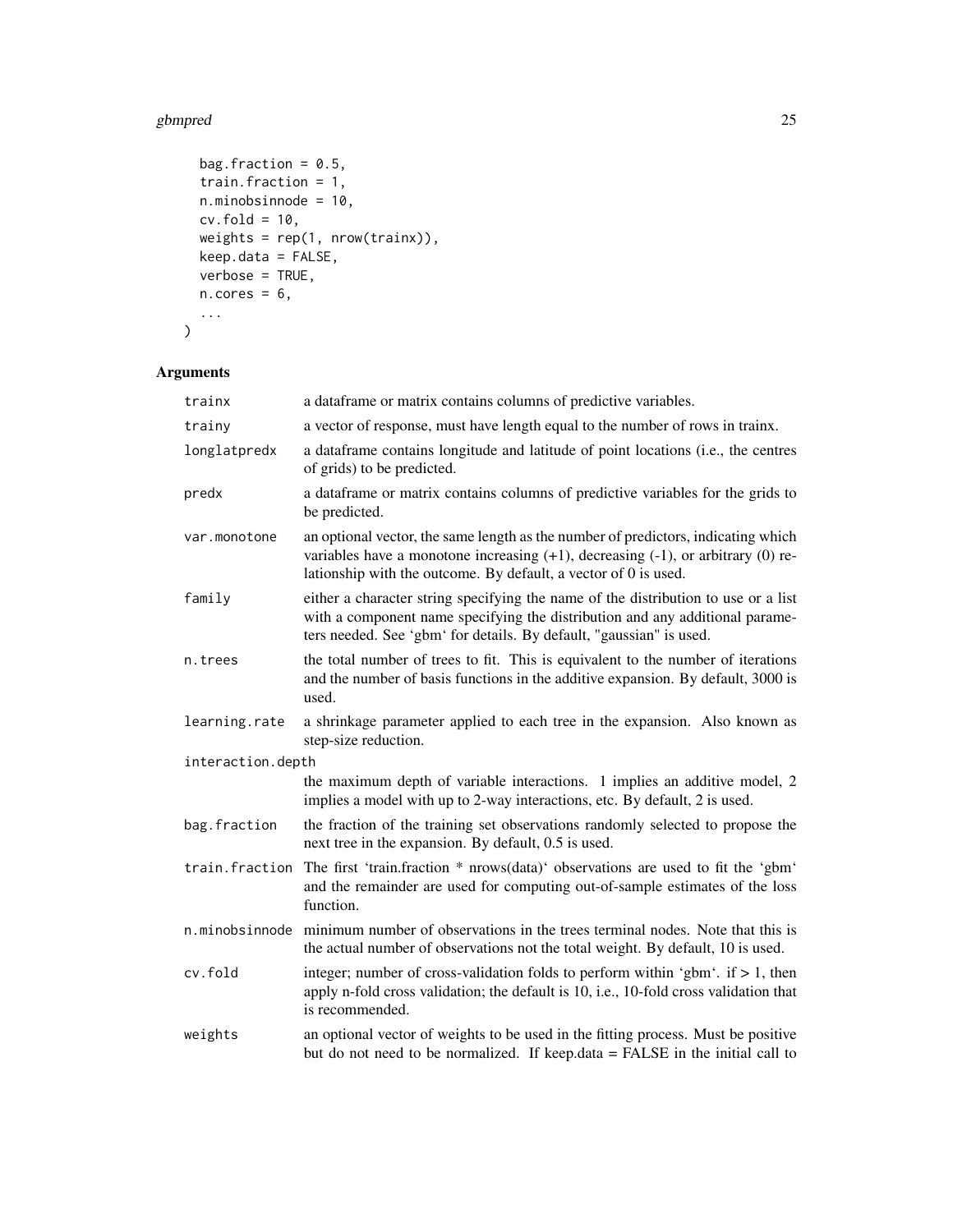#### gbmpred 25

```
bag.fraction = 0.5,
  train.fraction = 1,
  n.minobsinnode = 10,
  cv.fold = 10,weights = rep(1, nrow(trainx)),
  keep.data = FALSE,
  verbose = TRUE,
  n.core<sub>s</sub> = 6,
  ...
\mathcal{L}
```

| trainx            | a dataframe or matrix contains columns of predictive variables.                                                                                                                                                                                  |
|-------------------|--------------------------------------------------------------------------------------------------------------------------------------------------------------------------------------------------------------------------------------------------|
| trainy            | a vector of response, must have length equal to the number of rows in trainx.                                                                                                                                                                    |
| longlatpredx      | a dataframe contains longitude and latitude of point locations (i.e., the centres<br>of grids) to be predicted.                                                                                                                                  |
| predx             | a dataframe or matrix contains columns of predictive variables for the grids to<br>be predicted.                                                                                                                                                 |
| var.monotone      | an optional vector, the same length as the number of predictors, indicating which<br>variables have a monotone increasing $(+1)$ , decreasing $(-1)$ , or arbitrary $(0)$ re-<br>lationship with the outcome. By default, a vector of 0 is used. |
| family            | either a character string specifying the name of the distribution to use or a list<br>with a component name specifying the distribution and any additional parame-<br>ters needed. See 'gbm' for details. By default, "gaussian" is used.        |
| n.trees           | the total number of trees to fit. This is equivalent to the number of iterations<br>and the number of basis functions in the additive expansion. By default, 3000 is<br>used.                                                                    |
| learning.rate     | a shrinkage parameter applied to each tree in the expansion. Also known as<br>step-size reduction.                                                                                                                                               |
| interaction.depth |                                                                                                                                                                                                                                                  |
|                   | the maximum depth of variable interactions. 1 implies an additive model, 2<br>implies a model with up to 2-way interactions, etc. By default, 2 is used.                                                                                         |
| bag.fraction      | the fraction of the training set observations randomly selected to propose the<br>next tree in the expansion. By default, 0.5 is used.                                                                                                           |
| train.fraction    | The first 'train.fraction * nrows(data)' observations are used to fit the 'gbm'<br>and the remainder are used for computing out-of-sample estimates of the loss<br>function.                                                                     |
|                   | n.minobsinnode minimum number of observations in the trees terminal nodes. Note that this is<br>the actual number of observations not the total weight. By default, 10 is used.                                                                  |
| cv.fold           | integer; number of cross-validation folds to perform within 'gbm'. if $> 1$ , then<br>apply n-fold cross validation; the default is 10, i.e., 10-fold cross validation that<br>is recommended.                                                   |
| weights           | an optional vector of weights to be used in the fitting process. Must be positive<br>but do not need to be normalized. If keep.data = FALSE in the initial call to                                                                               |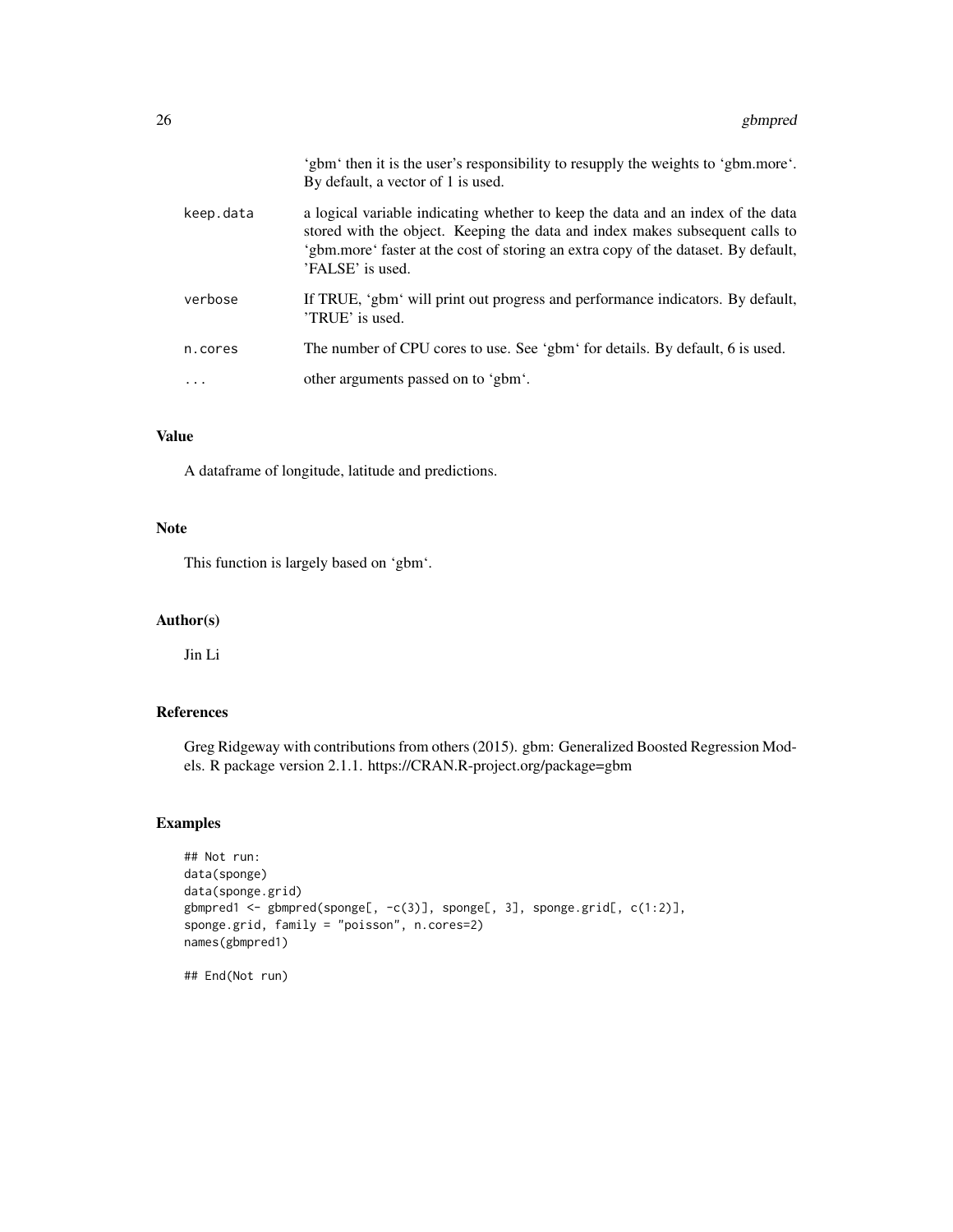|           | 'gbm' then it is the user's responsibility to resupply the weights to 'gbm.more'.<br>By default, a vector of 1 is used.                                                                                                                                                   |
|-----------|---------------------------------------------------------------------------------------------------------------------------------------------------------------------------------------------------------------------------------------------------------------------------|
| keep.data | a logical variable indicating whether to keep the data and an index of the data<br>stored with the object. Keeping the data and index makes subsequent calls to<br>'gbm.more' faster at the cost of storing an extra copy of the dataset. By default,<br>'FALSE' is used. |
| verbose   | If TRUE, 'gbm' will print out progress and performance indicators. By default,<br>'TRUE' is used.                                                                                                                                                                         |
| n.cores   | The number of CPU cores to use. See 'gbm' for details. By default, 6 is used.                                                                                                                                                                                             |
|           | other arguments passed on to 'gbm'.                                                                                                                                                                                                                                       |

A dataframe of longitude, latitude and predictions.

#### Note

This function is largely based on 'gbm'.

#### Author(s)

Jin Li

#### References

Greg Ridgeway with contributions from others (2015). gbm: Generalized Boosted Regression Models. R package version 2.1.1. https://CRAN.R-project.org/package=gbm

#### Examples

```
## Not run:
data(sponge)
data(sponge.grid)
gbmpred1 <- gbmpred(sponge[, -c(3)], sponge[, 3], sponge.grid[, c(1:2)],
sponge.grid, family = "poisson", n.cores=2)
names(gbmpred1)
```
## End(Not run)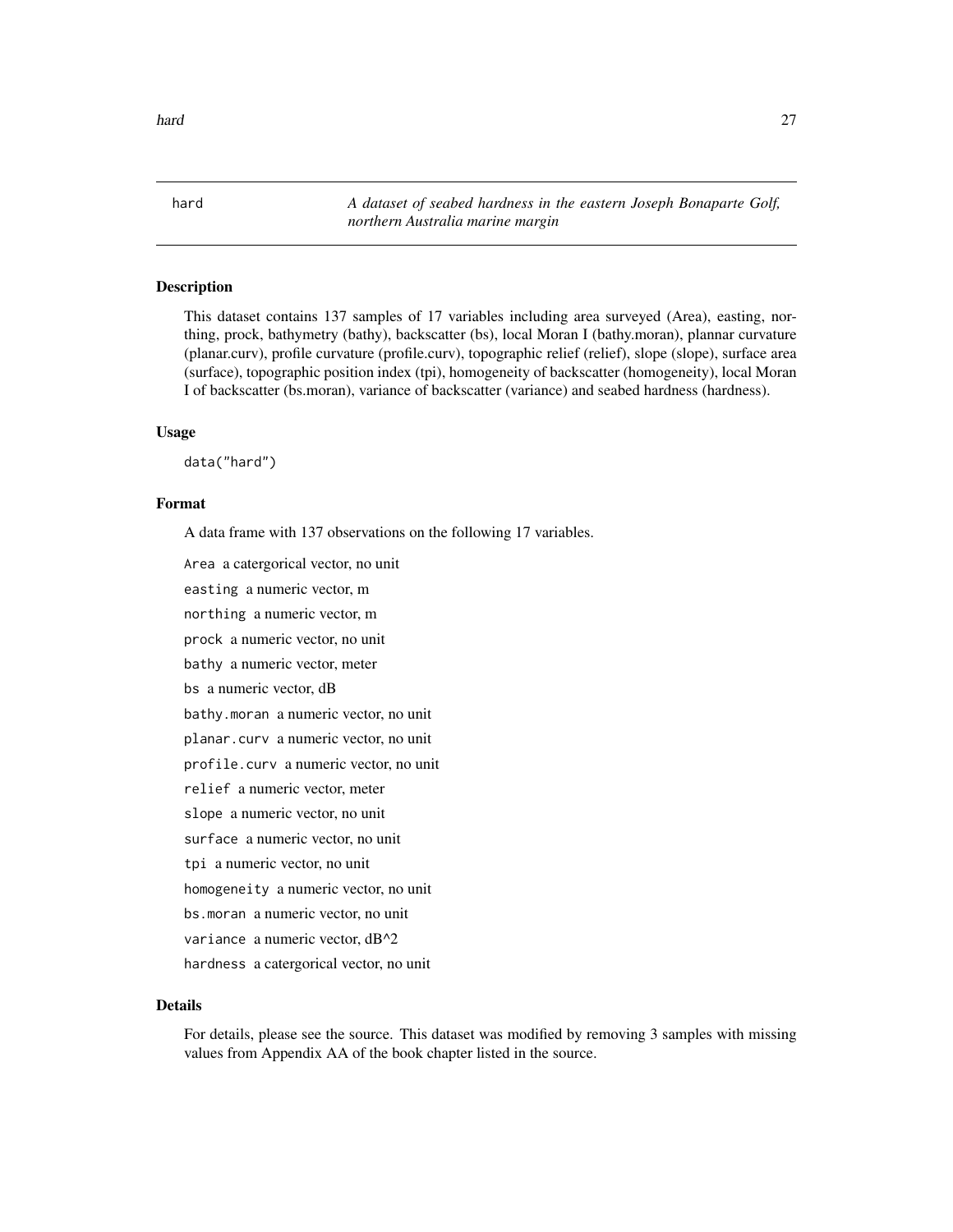<span id="page-26-0"></span>hard *A dataset of seabed hardness in the eastern Joseph Bonaparte Golf, northern Australia marine margin*

#### **Description**

This dataset contains 137 samples of 17 variables including area surveyed (Area), easting, northing, prock, bathymetry (bathy), backscatter (bs), local Moran I (bathy.moran), plannar curvature (planar.curv), profile curvature (profile.curv), topographic relief (relief), slope (slope), surface area (surface), topographic position index (tpi), homogeneity of backscatter (homogeneity), local Moran I of backscatter (bs.moran), variance of backscatter (variance) and seabed hardness (hardness).

#### Usage

data("hard")

#### Format

A data frame with 137 observations on the following 17 variables.

Area a catergorical vector, no unit

easting a numeric vector, m

northing a numeric vector, m

prock a numeric vector, no unit

bathy a numeric vector, meter

bs a numeric vector, dB

bathy.moran a numeric vector, no unit

planar.curv a numeric vector, no unit

profile.curv a numeric vector, no unit

relief a numeric vector, meter

slope a numeric vector, no unit

surface a numeric vector, no unit

tpi a numeric vector, no unit

homogeneity a numeric vector, no unit

bs.moran a numeric vector, no unit

variance a numeric vector, dB^2

hardness a catergorical vector, no unit

#### Details

For details, please see the source. This dataset was modified by removing 3 samples with missing values from Appendix AA of the book chapter listed in the source.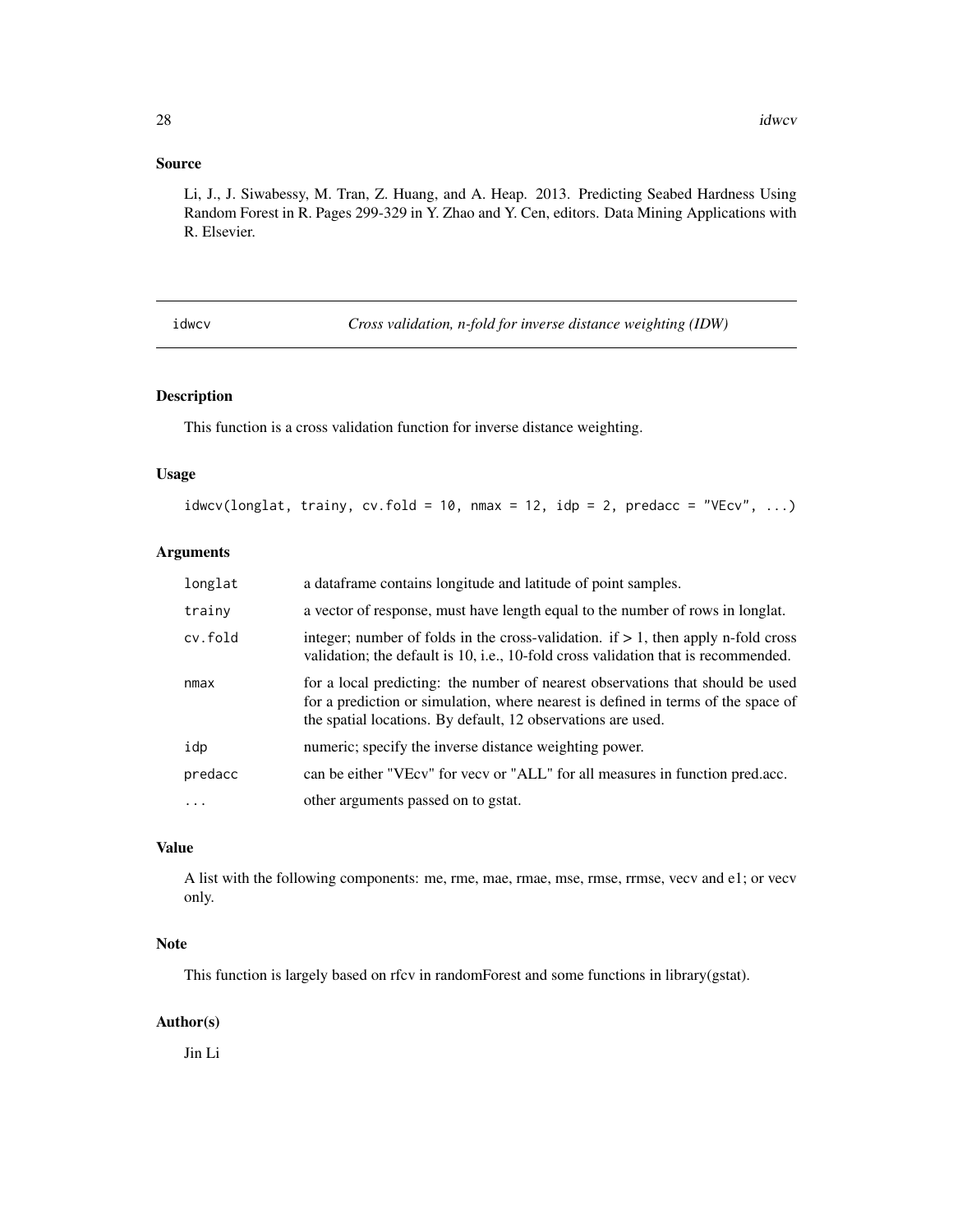#### <span id="page-27-0"></span>Source

Li, J., J. Siwabessy, M. Tran, Z. Huang, and A. Heap. 2013. Predicting Seabed Hardness Using Random Forest in R. Pages 299-329 in Y. Zhao and Y. Cen, editors. Data Mining Applications with R. Elsevier.

idwcv *Cross validation, n-fold for inverse distance weighting (IDW)*

#### Description

This function is a cross validation function for inverse distance weighting.

#### Usage

 $idwcv(longlat, trainy, cv.fold = 10, nmax = 12, idp = 2, predacc = "VEcv", ...)$ 

#### Arguments

| longlat | a dataframe contains longitude and latitude of point samples.                                                                                                                                                                       |
|---------|-------------------------------------------------------------------------------------------------------------------------------------------------------------------------------------------------------------------------------------|
| trainy  | a vector of response, must have length equal to the number of rows in longlat.                                                                                                                                                      |
| cv.fold | integer; number of folds in the cross-validation. if $> 1$ , then apply n-fold cross<br>validation; the default is 10, i.e., 10-fold cross validation that is recommended.                                                          |
| nmax    | for a local predicting: the number of nearest observations that should be used<br>for a prediction or simulation, where nearest is defined in terms of the space of<br>the spatial locations. By default, 12 observations are used. |
| idp     | numeric; specify the inverse distance weighting power.                                                                                                                                                                              |
| predacc | can be either "VEcv" for vecv or "ALL" for all measures in function pred.acc.                                                                                                                                                       |
| .       | other arguments passed on to gstat.                                                                                                                                                                                                 |

#### Value

A list with the following components: me, rme, mae, rmae, mse, rmse, rrmse, vecv and e1; or vecv only.

#### Note

This function is largely based on rfcv in randomForest and some functions in library(gstat).

#### Author(s)

Jin Li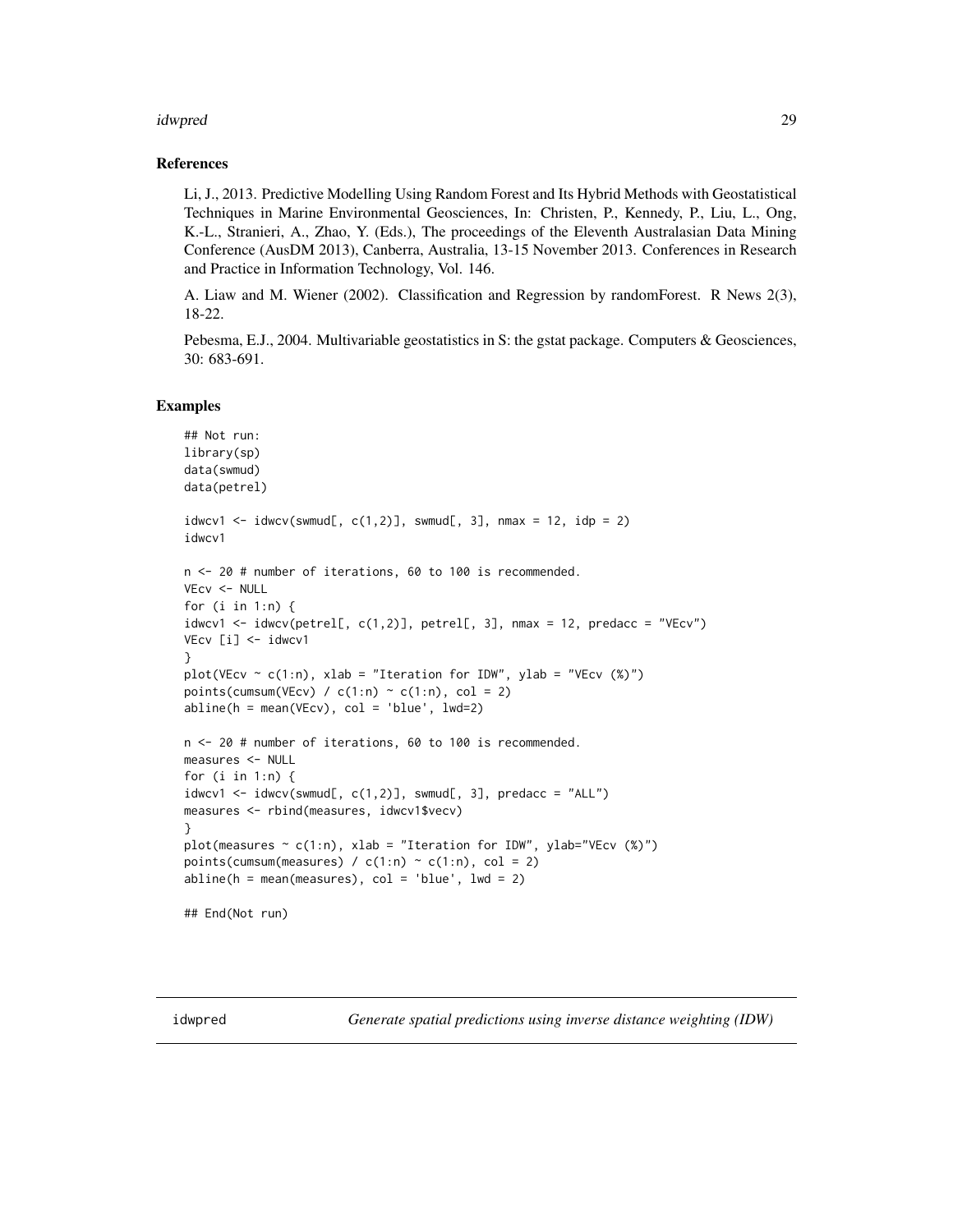#### <span id="page-28-0"></span>idwpred 29

#### References

Li, J., 2013. Predictive Modelling Using Random Forest and Its Hybrid Methods with Geostatistical Techniques in Marine Environmental Geosciences, In: Christen, P., Kennedy, P., Liu, L., Ong, K.-L., Stranieri, A., Zhao, Y. (Eds.), The proceedings of the Eleventh Australasian Data Mining Conference (AusDM 2013), Canberra, Australia, 13-15 November 2013. Conferences in Research and Practice in Information Technology, Vol. 146.

A. Liaw and M. Wiener (2002). Classification and Regression by randomForest. R News 2(3), 18-22.

Pebesma, E.J., 2004. Multivariable geostatistics in S: the gstat package. Computers & Geosciences, 30: 683-691.

#### Examples

```
## Not run:
library(sp)
data(swmud)
data(petrel)
idwcv1 <- idwcv(swmud[, c(1,2)], swmud[, 3], nmax = 12, idp = 2)
idwcv1
n <- 20 # number of iterations, 60 to 100 is recommended.
VEcv <- NULL
for (i in 1:n) {
idwcv1 <- idwcv(petrel[, c(1,2)], petrel[, 3], nmax = 12, predacc = "VEcv")
VEcv [i] <- idwcv1
}
plot(VEcv \sim c(1:n), xlab = "Iteration for IDW", ylab = "VEcv (%)")
points(cumsum(VEcv) / c(1:n) \sim c(1:n), col = 2)
abline(h = mean(VEcv), col = 'blue', lwd=2)n <- 20 # number of iterations, 60 to 100 is recommended.
measures <- NULL
for (i in 1:n) {
idwcv1 \leq idwcv(swmud[, c(1,2)], swmud[, 3], predacc = "ALL")measures <- rbind(measures, idwcv1$vecv)
}
plot(measures \sim c(1:n), xlab = "Iteration for IDW", ylab="VEcv (%)")
points(cumsum(measures) / c(1:n) \sim c(1:n), col = 2)
abline(h = mean(measures), col = 'blue', lwd = 2)## End(Not run)
```
idwpred *Generate spatial predictions using inverse distance weighting (IDW)*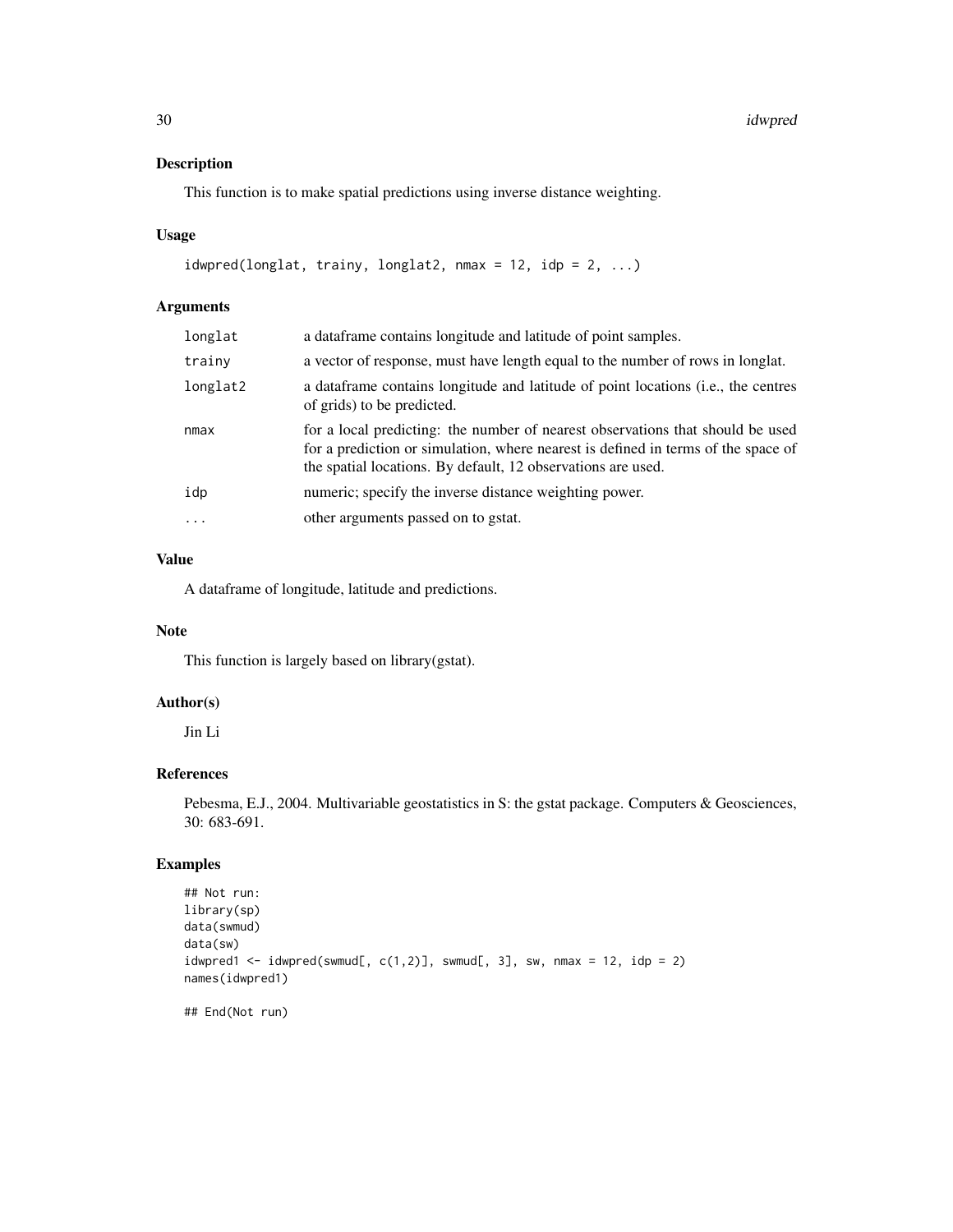This function is to make spatial predictions using inverse distance weighting.

#### Usage

```
idwpred(longlat, trainy, longlat2, nmax = 12, idp = 2, ...)
```
#### Arguments

| longlat  | a data frame contains longitude and latitude of point samples.                                                                                                                                                                      |
|----------|-------------------------------------------------------------------------------------------------------------------------------------------------------------------------------------------------------------------------------------|
| trainy   | a vector of response, must have length equal to the number of rows in longlat.                                                                                                                                                      |
| longlat2 | a data frame contains longitude and latitude of point locations (i.e., the centres<br>of grids) to be predicted.                                                                                                                    |
| nmax     | for a local predicting: the number of nearest observations that should be used<br>for a prediction or simulation, where nearest is defined in terms of the space of<br>the spatial locations. By default, 12 observations are used. |
| idp      | numeric; specify the inverse distance weighting power.                                                                                                                                                                              |
| $\cdots$ | other arguments passed on to gstat.                                                                                                                                                                                                 |
|          |                                                                                                                                                                                                                                     |

#### Value

A dataframe of longitude, latitude and predictions.

#### Note

This function is largely based on library(gstat).

## Author(s)

Jin Li

#### References

Pebesma, E.J., 2004. Multivariable geostatistics in S: the gstat package. Computers & Geosciences, 30: 683-691.

## Examples

```
## Not run:
library(sp)
data(swmud)
data(sw)
idwpred1 <- idwpred(swmud[, c(1,2)], swmud[, 3], sw, nmax = 12, idp = 2)
names(idwpred1)
## End(Not run)
```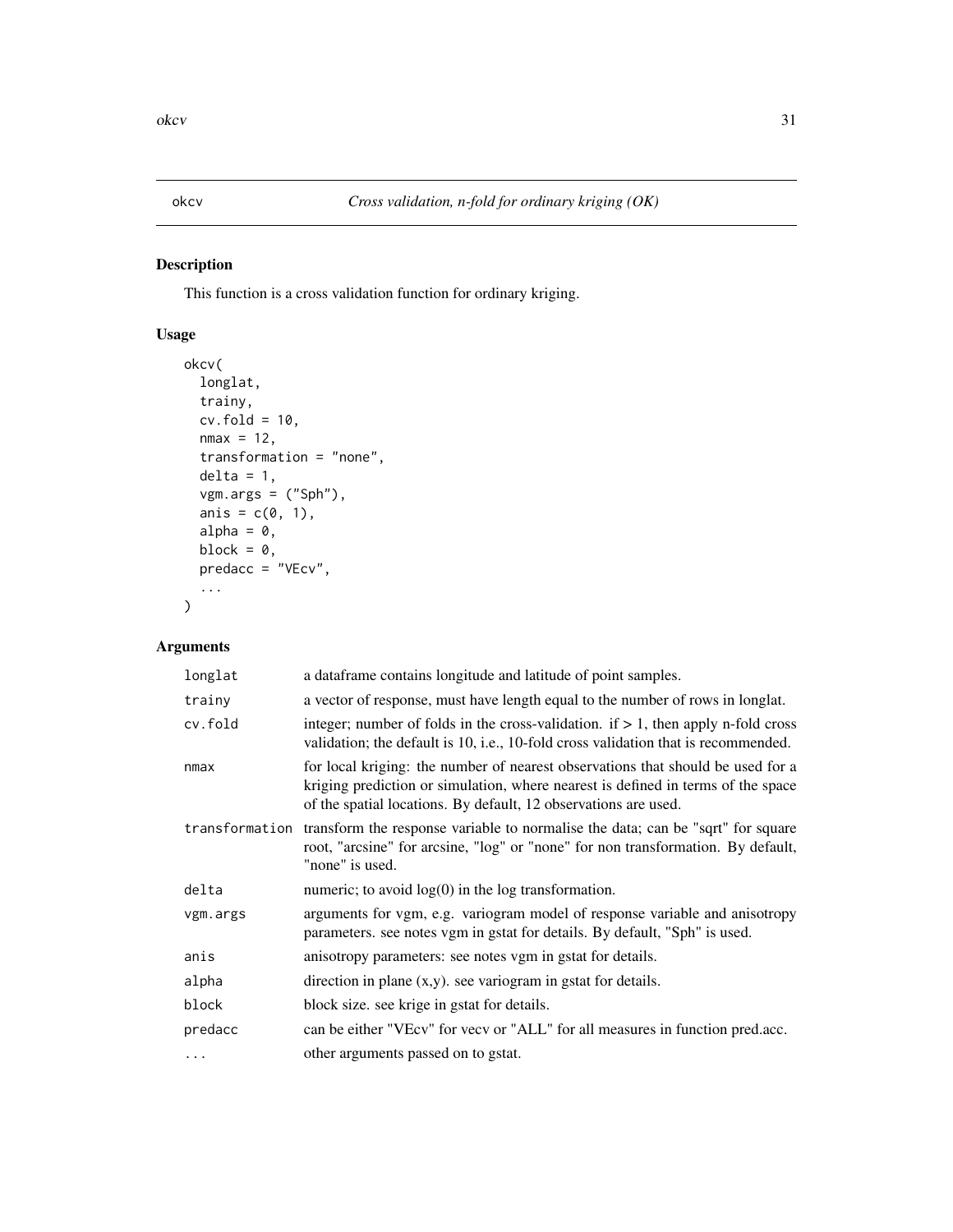<span id="page-30-0"></span>

This function is a cross validation function for ordinary kriging.

## Usage

```
okcv(
  longlat,
  trainy,
  cv.fold = 10,
  nmax = 12,
  transformation = "none",
  delta = 1,
  vgm.args = ("Sph"),
  anis = c(\emptyset, 1),
  alpha = 0,block = \theta,
  predacc = "VEcv",
  ...
)
```

| longlat        | a dataframe contains longitude and latitude of point samples.                                                                                                                                                                          |
|----------------|----------------------------------------------------------------------------------------------------------------------------------------------------------------------------------------------------------------------------------------|
| trainy         | a vector of response, must have length equal to the number of rows in longlat.                                                                                                                                                         |
| cv.fold        | integer; number of folds in the cross-validation. if $> 1$ , then apply n-fold cross<br>validation; the default is 10, i.e., 10-fold cross validation that is recommended.                                                             |
| nmax           | for local kriging: the number of nearest observations that should be used for a<br>kriging prediction or simulation, where nearest is defined in terms of the space<br>of the spatial locations. By default, 12 observations are used. |
| transformation | transform the response variable to normalise the data; can be "sqrt" for square<br>root, "arcsine" for arcsine, "log" or "none" for non transformation. By default,<br>"none" is used.                                                 |
| delta          | numeric; to avoid $log(0)$ in the log transformation.                                                                                                                                                                                  |
| vgm.args       | arguments for vgm, e.g. variogram model of response variable and anisotropy<br>parameters. see notes vgm in gstat for details. By default, "Sph" is used.                                                                              |
| anis           | anisotropy parameters: see notes vgm in gstat for details.                                                                                                                                                                             |
| alpha          | direction in plane $(x,y)$ . see variogram in gstat for details.                                                                                                                                                                       |
| block          | block size. see krige in gstat for details.                                                                                                                                                                                            |
| predacc        | can be either "VEcv" for vecv or "ALL" for all measures in function pred.acc.                                                                                                                                                          |
| .              | other arguments passed on to gstat.                                                                                                                                                                                                    |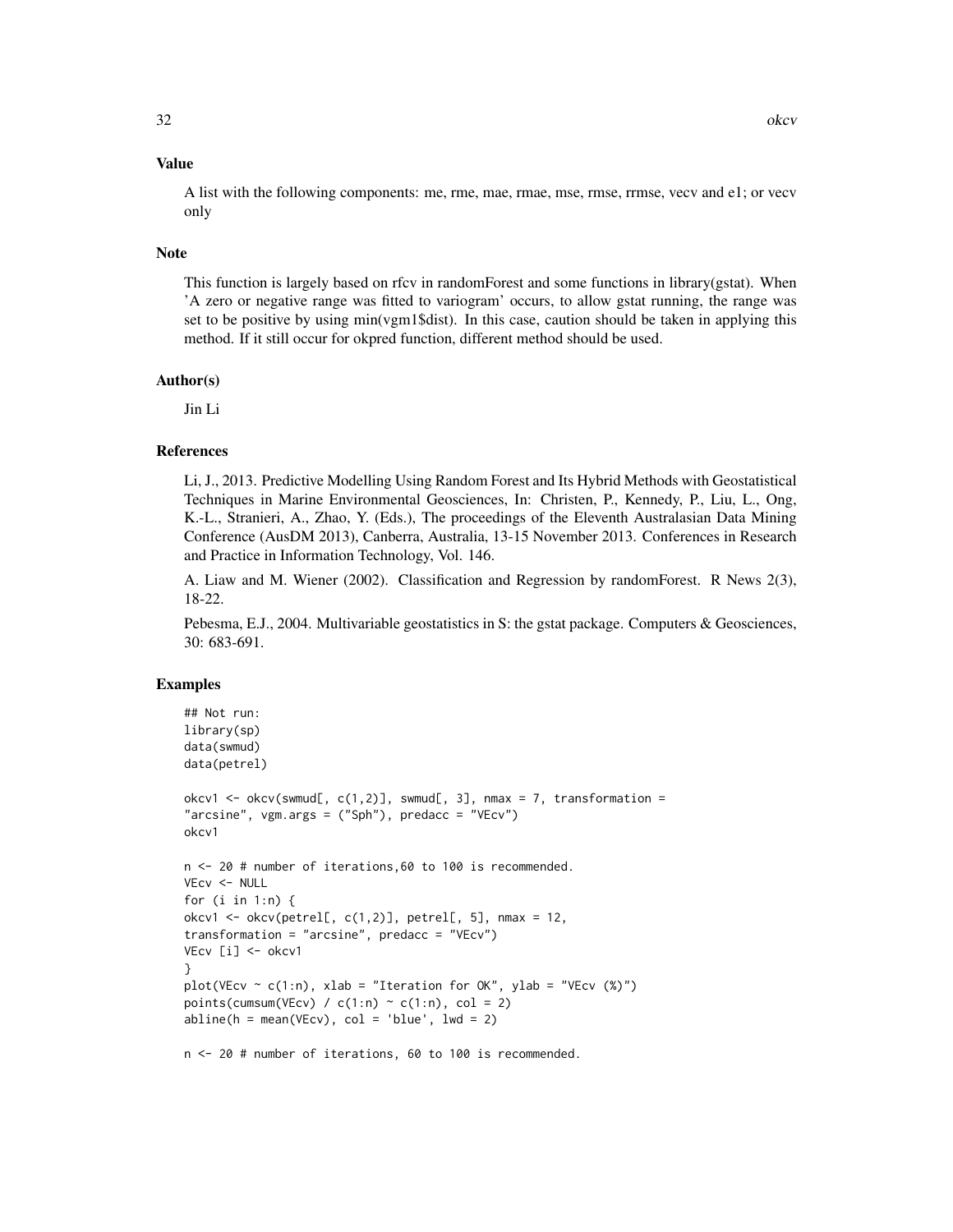A list with the following components: me, rme, mae, rmae, mse, rmse, rrmse, vecv and e1; or vecv only

#### Note

This function is largely based on rfcv in randomForest and some functions in library(gstat). When 'A zero or negative range was fitted to variogram' occurs, to allow gstat running, the range was set to be positive by using min(vgm1\$dist). In this case, caution should be taken in applying this method. If it still occur for okpred function, different method should be used.

#### Author(s)

Jin Li

#### References

Li, J., 2013. Predictive Modelling Using Random Forest and Its Hybrid Methods with Geostatistical Techniques in Marine Environmental Geosciences, In: Christen, P., Kennedy, P., Liu, L., Ong, K.-L., Stranieri, A., Zhao, Y. (Eds.), The proceedings of the Eleventh Australasian Data Mining Conference (AusDM 2013), Canberra, Australia, 13-15 November 2013. Conferences in Research and Practice in Information Technology, Vol. 146.

A. Liaw and M. Wiener (2002). Classification and Regression by randomForest. R News 2(3), 18-22.

Pebesma, E.J., 2004. Multivariable geostatistics in S: the gstat package. Computers & Geosciences, 30: 683-691.

#### Examples

```
## Not run:
library(sp)
data(swmud)
data(petrel)
okcv1 <- okcv(swmud[, c(1,2)], swmud[, 3], nmax = 7, transformation =
"arcsine", vgm.args = ("Sph"), predacc = "VEcv")
okcv1
n <- 20 # number of iterations,60 to 100 is recommended.
VEcv <- NULL
for (i in 1:n) {
okcv1 <- okcv(petrel[, c(1,2)], petrel[, 5], nmax = 12,
transformation = "arcsine", predacc = "VEcv")
VEcv [i] <- okcv1
}
plot(VEcv \sim c(1:n), xlab = "Iteration for OK", ylab = "VEcv (%)")
points(cumsum(VEcv) / c(1:n) \sim c(1:n), col = 2)
abline(h = mean(VEcv), col = 'blue', lwd = 2)n <- 20 # number of iterations, 60 to 100 is recommended.
```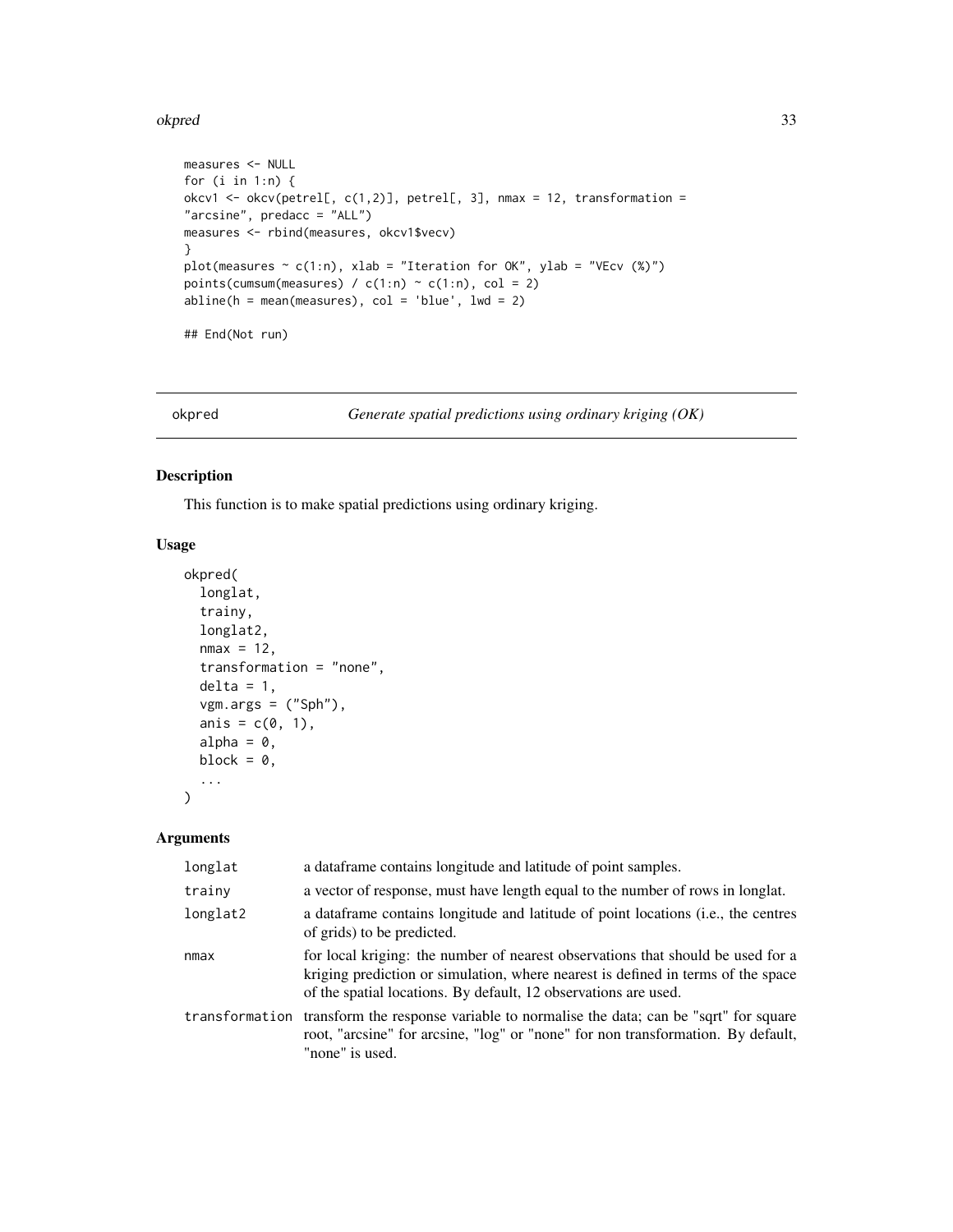#### <span id="page-32-0"></span>okpred 33

```
measures <- NULL
for (i in 1:n) {
okcv1 <- okcv(petrel[, c(1,2)], petrel[, 3], nmax = 12, transformation =
"arcsine", predacc = "ALL")
measures <- rbind(measures, okcv1$vecv)
}
plot(measures \sim c(1:n), xlab = "Iteration for OK", ylab = "VEcv (%)")
points(cumsum(measures) / c(1:n) \sim c(1:n), col = 2)
abline(h = mean(measures), col = 'blue', lwd = 2)## End(Not run)
```
okpred *Generate spatial predictions using ordinary kriging (OK)*

#### Description

This function is to make spatial predictions using ordinary kriging.

#### Usage

```
okpred(
  longlat,
  trainy,
  longlat2,
  nmax = 12,
  transformation = "none",
  delta = 1,
  vgm.args = ("Sph"),
  anis = c(0, 1),
  alpha = 0,
  block = 0,
  ...
)
```

| longlat        | a data frame contains longitude and latitude of point samples.                                                                                                                                                                         |
|----------------|----------------------------------------------------------------------------------------------------------------------------------------------------------------------------------------------------------------------------------------|
| trainy         | a vector of response, must have length equal to the number of rows in longlat.                                                                                                                                                         |
| longlat2       | a data frame contains longitude and latitude of point locations (i.e., the centres<br>of grids) to be predicted.                                                                                                                       |
| nmax           | for local kriging: the number of nearest observations that should be used for a<br>kriging prediction or simulation, where nearest is defined in terms of the space<br>of the spatial locations. By default, 12 observations are used. |
| transformation | transform the response variable to normalise the data; can be "sqrt" for square<br>root, "arcsine" for arcsine, "log" or "none" for non transformation. By default,<br>"none" is used.                                                 |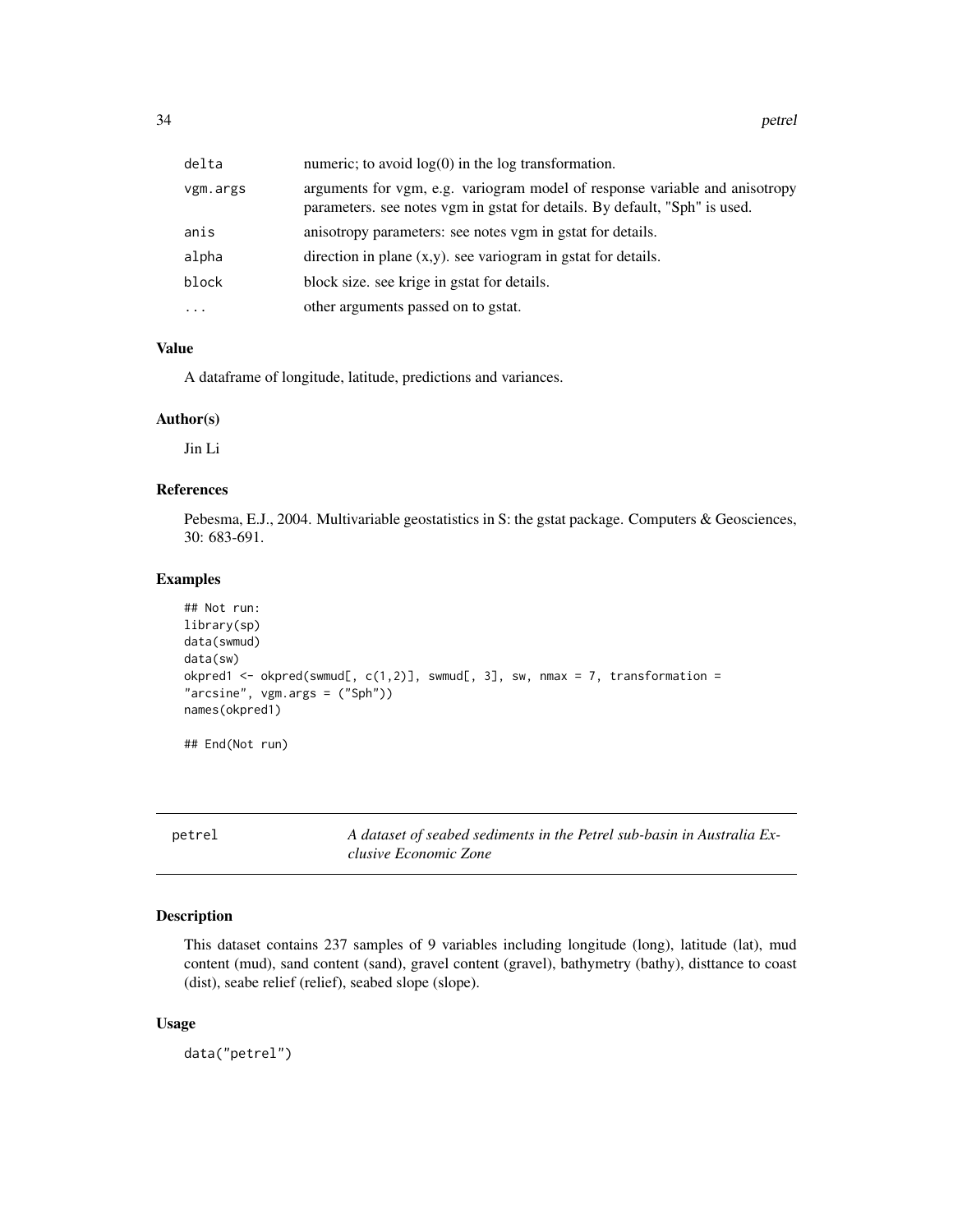<span id="page-33-0"></span>

| delta    | numeric; to avoid $log(0)$ in the $log$ transformation.                                                                                                   |
|----------|-----------------------------------------------------------------------------------------------------------------------------------------------------------|
| vgm.args | arguments for vgm, e.g. variogram model of response variable and anisotropy<br>parameters. see notes vgm in gstat for details. By default, "Sph" is used. |
| anis     | anisotropy parameters: see notes vgm in gstat for details.                                                                                                |
| alpha    | direction in plane $(x,y)$ , see variogram in gstat for details.                                                                                          |
| block    | block size. see krige in gstat for details.                                                                                                               |
| $\cdots$ | other arguments passed on to gstat.                                                                                                                       |
|          |                                                                                                                                                           |

A dataframe of longitude, latitude, predictions and variances.

#### Author(s)

Jin Li

#### References

Pebesma, E.J., 2004. Multivariable geostatistics in S: the gstat package. Computers & Geosciences, 30: 683-691.

#### Examples

```
## Not run:
library(sp)
data(swmud)
data(sw)
okpred1 <- okpred(swmud[, c(1,2)], swmud[, 3], sw, nmax = 7, transformation =
"arcsine", vgm.args = ("Sph"))
names(okpred1)
## End(Not run)
```
petrel *A dataset of seabed sediments in the Petrel sub-basin in Australia Exclusive Economic Zone*

## Description

This dataset contains 237 samples of 9 variables including longitude (long), latitude (lat), mud content (mud), sand content (sand), gravel content (gravel), bathymetry (bathy), disttance to coast (dist), seabe relief (relief), seabed slope (slope).

#### Usage

data("petrel")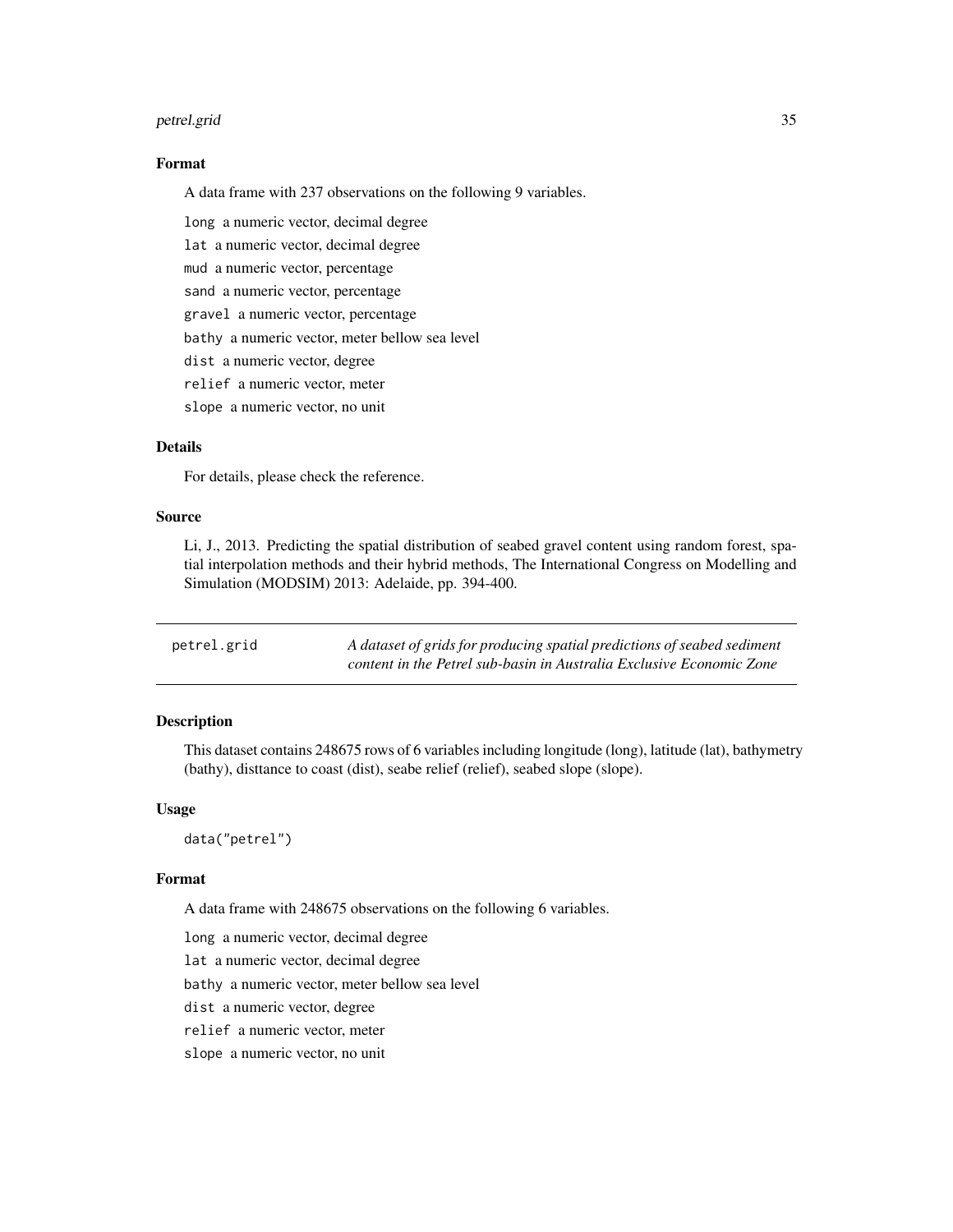#### <span id="page-34-0"></span>petrel.grid 35

#### Format

A data frame with 237 observations on the following 9 variables.

long a numeric vector, decimal degree

lat a numeric vector, decimal degree

mud a numeric vector, percentage

sand a numeric vector, percentage

gravel a numeric vector, percentage

bathy a numeric vector, meter bellow sea level

dist a numeric vector, degree

relief a numeric vector, meter

slope a numeric vector, no unit

#### Details

For details, please check the reference.

#### Source

Li, J., 2013. Predicting the spatial distribution of seabed gravel content using random forest, spatial interpolation methods and their hybrid methods, The International Congress on Modelling and Simulation (MODSIM) 2013: Adelaide, pp. 394-400.

| petrel.grid | A dataset of grids for producing spatial predictions of seabed sediment |
|-------------|-------------------------------------------------------------------------|
|             | content in the Petrel sub-basin in Australia Exclusive Economic Zone    |

#### Description

This dataset contains 248675 rows of 6 variables including longitude (long), latitude (lat), bathymetry (bathy), disttance to coast (dist), seabe relief (relief), seabed slope (slope).

#### Usage

data("petrel")

#### Format

A data frame with 248675 observations on the following 6 variables.

long a numeric vector, decimal degree

lat a numeric vector, decimal degree

bathy a numeric vector, meter bellow sea level

dist a numeric vector, degree

relief a numeric vector, meter

slope a numeric vector, no unit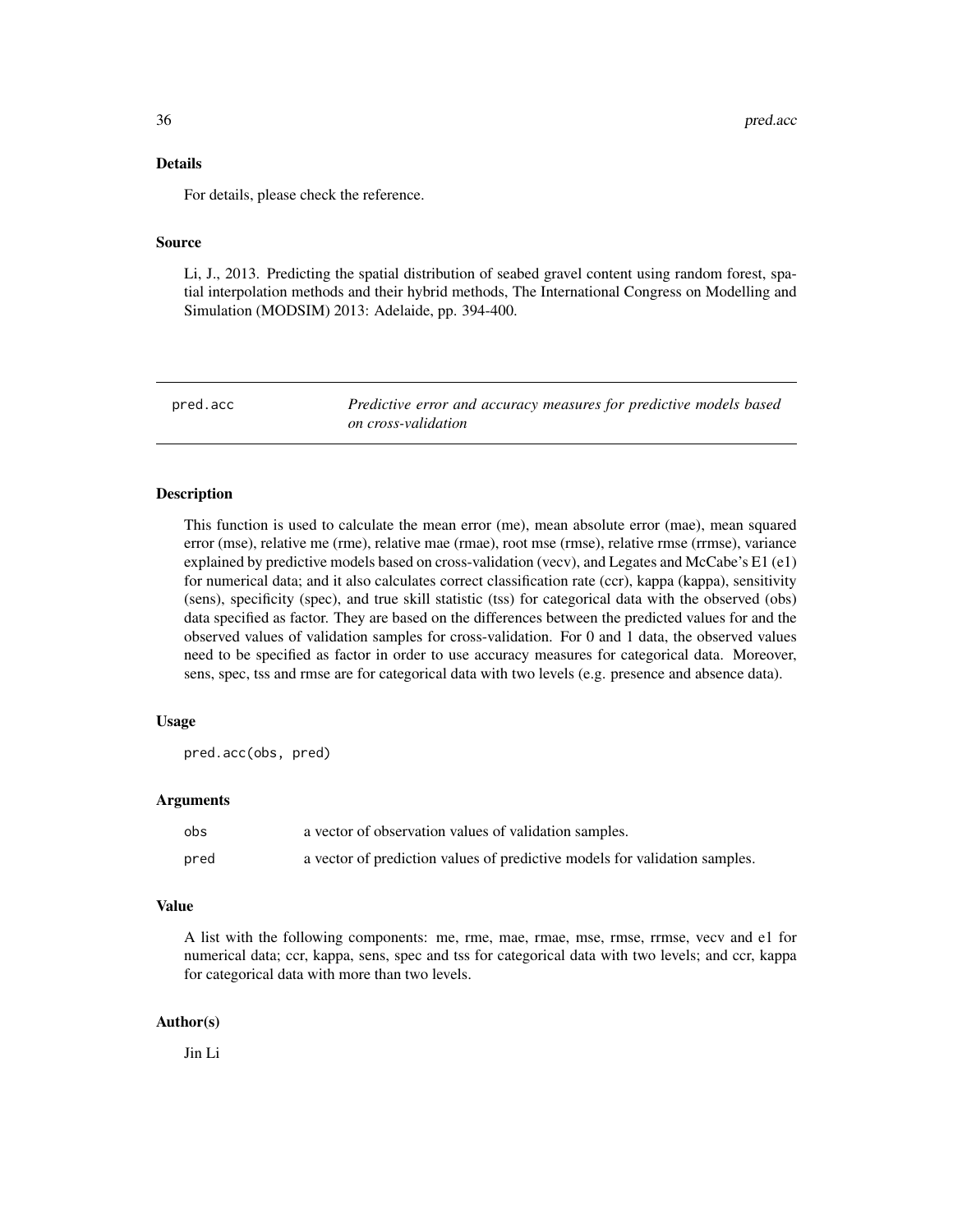#### <span id="page-35-0"></span>Details

For details, please check the reference.

#### Source

Li, J., 2013. Predicting the spatial distribution of seabed gravel content using random forest, spatial interpolation methods and their hybrid methods, The International Congress on Modelling and Simulation (MODSIM) 2013: Adelaide, pp. 394-400.

pred.acc *Predictive error and accuracy measures for predictive models based on cross-validation*

#### Description

This function is used to calculate the mean error (me), mean absolute error (mae), mean squared error (mse), relative me (rme), relative mae (rmae), root mse (rmse), relative rmse (rrmse), variance explained by predictive models based on cross-validation (vecv), and Legates and McCabe's E1 (e1) for numerical data; and it also calculates correct classification rate (ccr), kappa (kappa), sensitivity (sens), specificity (spec), and true skill statistic (tss) for categorical data with the observed (obs) data specified as factor. They are based on the differences between the predicted values for and the observed values of validation samples for cross-validation. For 0 and 1 data, the observed values need to be specified as factor in order to use accuracy measures for categorical data. Moreover, sens, spec, tss and rmse are for categorical data with two levels (e.g. presence and absence data).

#### Usage

pred.acc(obs, pred)

#### Arguments

| obs  | a vector of observation values of validation samples.                      |
|------|----------------------------------------------------------------------------|
| pred | a vector of prediction values of predictive models for validation samples. |

#### Value

A list with the following components: me, rme, mae, rmae, mse, rmse, rrmse, vecv and e1 for numerical data; ccr, kappa, sens, spec and tss for categorical data with two levels; and ccr, kappa for categorical data with more than two levels.

#### Author(s)

Jin Li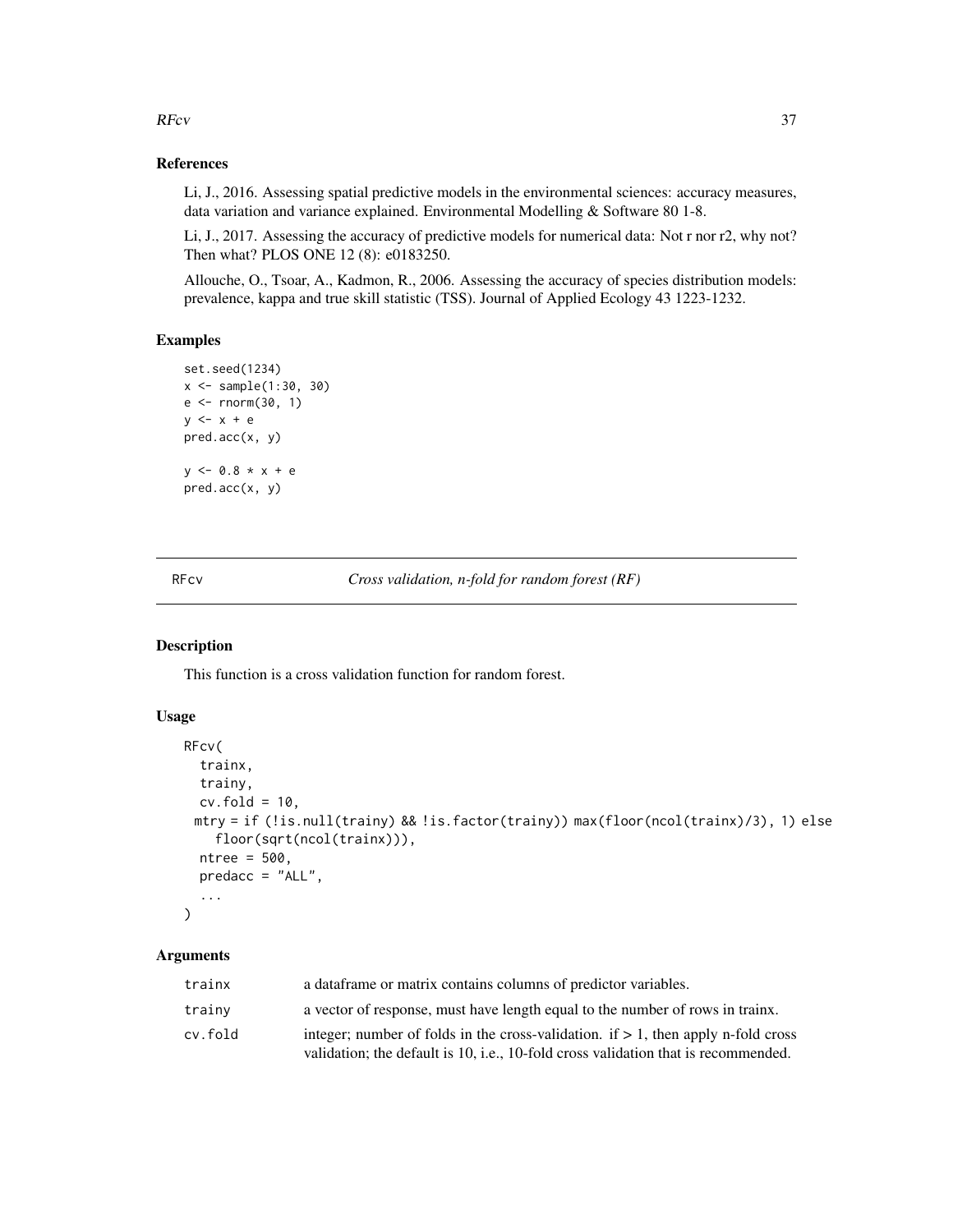$RFcv$  37

# References

Li, J., 2016. Assessing spatial predictive models in the environmental sciences: accuracy measures, data variation and variance explained. Environmental Modelling & Software 80 1-8.

Li, J., 2017. Assessing the accuracy of predictive models for numerical data: Not r nor r2, why not? Then what? PLOS ONE 12 (8): e0183250.

Allouche, O., Tsoar, A., Kadmon, R., 2006. Assessing the accuracy of species distribution models: prevalence, kappa and true skill statistic (TSS). Journal of Applied Ecology 43 1223-1232.

#### Examples

```
set.seed(1234)
x <- sample(1:30, 30)
e <- rnorm(30, 1)
y <- x + e
pred.acc(x, y)
y <- 0.8 * x + e
pred.acc(x, y)
```
RFcv *Cross validation, n-fold for random forest (RF)*

## Description

This function is a cross validation function for random forest.

#### Usage

```
RFcv(
  trainx,
 trainy,
 cv.fold = 10,
 mtry = if (!is.null(trainy) && !is.factor(trainy)) max(floor(ncol(trainx)/3), 1) else
    floor(sqrt(ncol(trainx))),
 ntree = 500.
 predacc = "ALL",
  ...
)
```

| trainx  | a data frame or matrix contains columns of predictor variables.                                                                                                            |
|---------|----------------------------------------------------------------------------------------------------------------------------------------------------------------------------|
| trainy  | a vector of response, must have length equal to the number of rows in trainx.                                                                                              |
| cv.fold | integer; number of folds in the cross-validation. if $> 1$ , then apply n-fold cross<br>validation; the default is 10, i.e., 10-fold cross validation that is recommended. |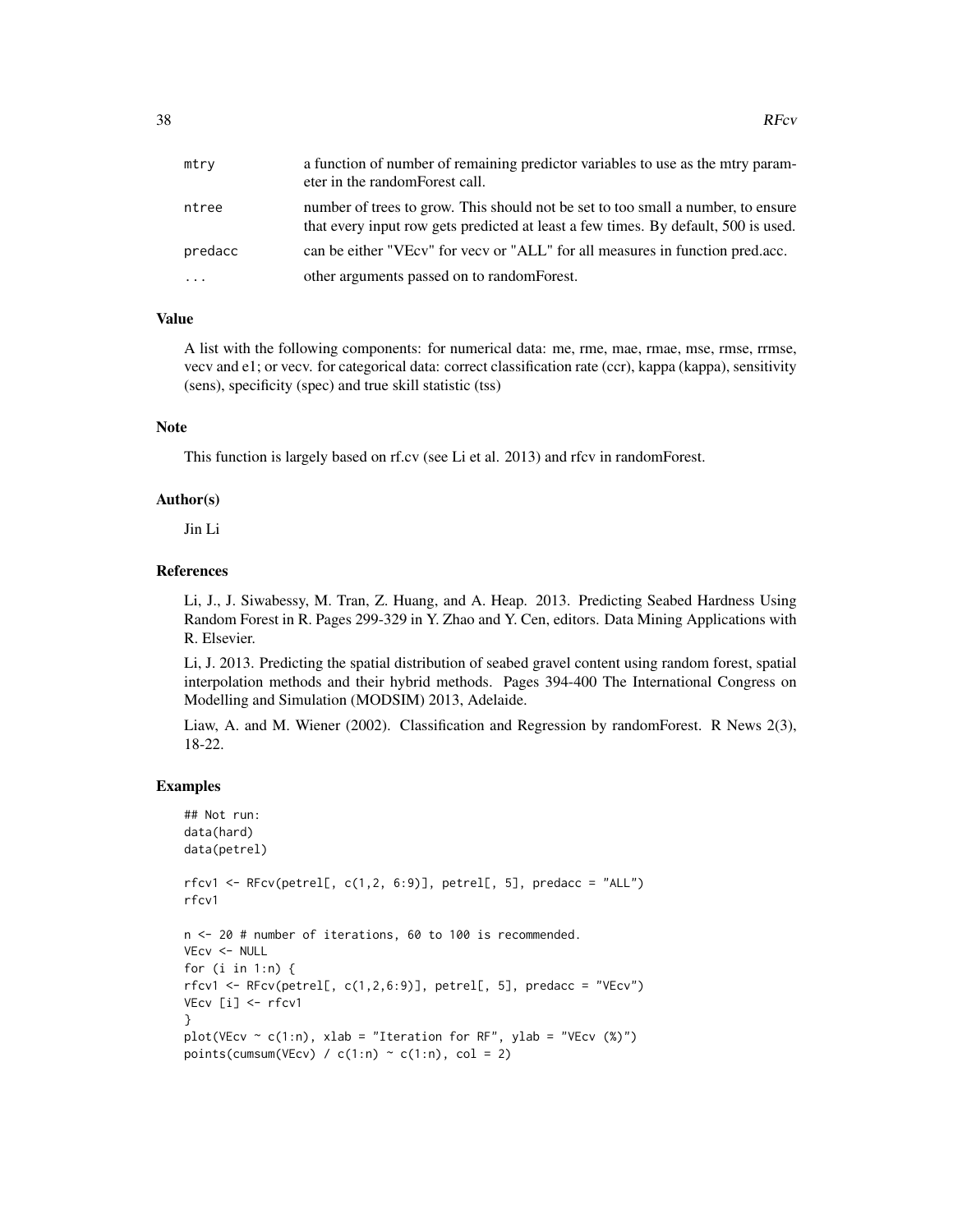| mtry    | a function of number of remaining predictor variables to use as the mtry param-<br>eter in the random Forest call.                                                     |
|---------|------------------------------------------------------------------------------------------------------------------------------------------------------------------------|
| ntree   | number of trees to grow. This should not be set to too small a number, to ensure<br>that every input row gets predicted at least a few times. By default, 500 is used. |
| predacc | can be either "VEcv" for year or "ALL" for all measures in function pred.acc.                                                                                          |
| .       | other arguments passed on to random Forest.                                                                                                                            |

## Value

A list with the following components: for numerical data: me, rme, mae, rmae, mse, rmse, rrmse, vecv and e1; or vecv. for categorical data: correct classification rate (ccr), kappa (kappa), sensitivity (sens), specificity (spec) and true skill statistic (tss)

## Note

This function is largely based on rf.cv (see Li et al. 2013) and rfcv in randomForest.

#### Author(s)

Jin Li

## References

Li, J., J. Siwabessy, M. Tran, Z. Huang, and A. Heap. 2013. Predicting Seabed Hardness Using Random Forest in R. Pages 299-329 in Y. Zhao and Y. Cen, editors. Data Mining Applications with R. Elsevier.

Li, J. 2013. Predicting the spatial distribution of seabed gravel content using random forest, spatial interpolation methods and their hybrid methods. Pages 394-400 The International Congress on Modelling and Simulation (MODSIM) 2013, Adelaide.

Liaw, A. and M. Wiener (2002). Classification and Regression by randomForest. R News 2(3), 18-22.

#### Examples

```
## Not run:
data(hard)
data(petrel)
rfcv1 \leq RFcv(petrell, c(1,2, 6:9)], petrell, 5], predacc = "ALL")rfcv1
n <- 20 # number of iterations, 60 to 100 is recommended.
VEcv <- NULL
for (i in 1:n) {
rfcv1 \leq RFcv(petrell, c(1,2,6:9)], petrell, 5], predacc = "VEcv")VEcv [i] <- rfcv1
}
plot(VEcv \sim c(1:n), xlab = "Iteration for RF", ylab = "VEcv (%)")
points(cumsum(VEcv) / c(1:n) \sim c(1:n), col = 2)
```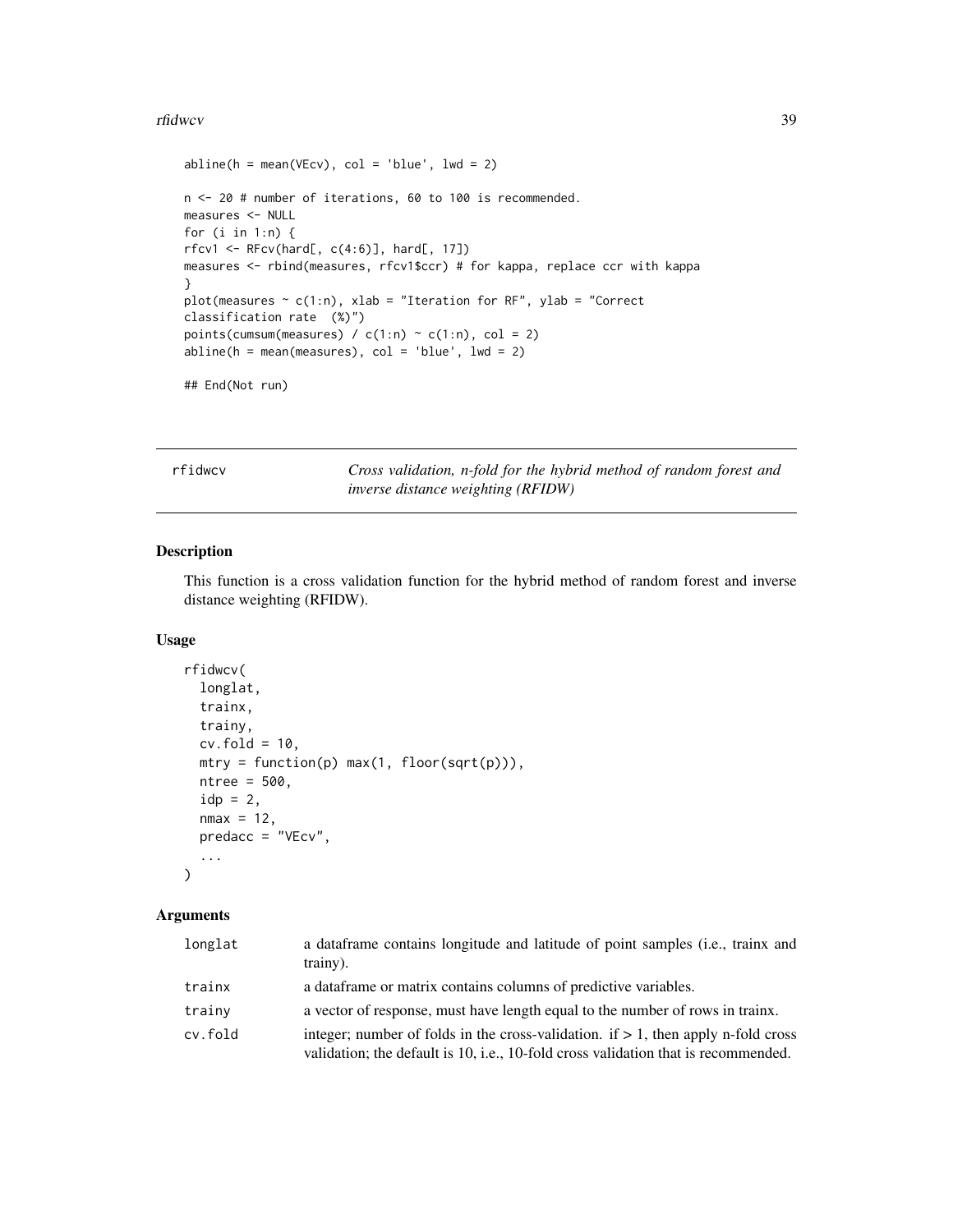#### rfidwcv 39

```
abline(h = mean(VEcv), col = 'blue', lwd = 2)n <- 20 # number of iterations, 60 to 100 is recommended.
measures <- NULL
for (i in 1:n) {
rfcv1 \leftarrow RFcv(hard[, c(4:6)], hard[, 17])measures <- rbind(measures, rfcv1$ccr) # for kappa, replace ccr with kappa
}
plot(measures \sim c(1:n), xlab = "Iteration for RF", ylab = "Correct
classification rate (%)")
points(cumsum(measures) / c(1:n) \sim c(1:n), col = 2)
abline(h = mean(measures), col = 'blue', lwd = 2)
```
## End(Not run)

rfidwcv *Cross validation, n-fold for the hybrid method of random forest and inverse distance weighting (RFIDW)*

## Description

This function is a cross validation function for the hybrid method of random forest and inverse distance weighting (RFIDW).

## Usage

```
rfidwcv(
  longlat,
  trainx,
  trainy,
  cv.fold = 10,mtry = function(p) max(1, floor(sqrt(p))),ntree = 500,
  idp = 2,
  nmax = 12,
  predacc = "VEcv",
  ...
\mathcal{L}
```

| longlat | a dataframe contains longitude and latitude of point samples (i.e., trainx and<br>trainy).                                                                                 |
|---------|----------------------------------------------------------------------------------------------------------------------------------------------------------------------------|
| trainx  | a data frame or matrix contains columns of predictive variables.                                                                                                           |
| trainy  | a vector of response, must have length equal to the number of rows in trainx.                                                                                              |
| cv.fold | integer; number of folds in the cross-validation. if $> 1$ , then apply n-fold cross<br>validation; the default is 10, i.e., 10-fold cross validation that is recommended. |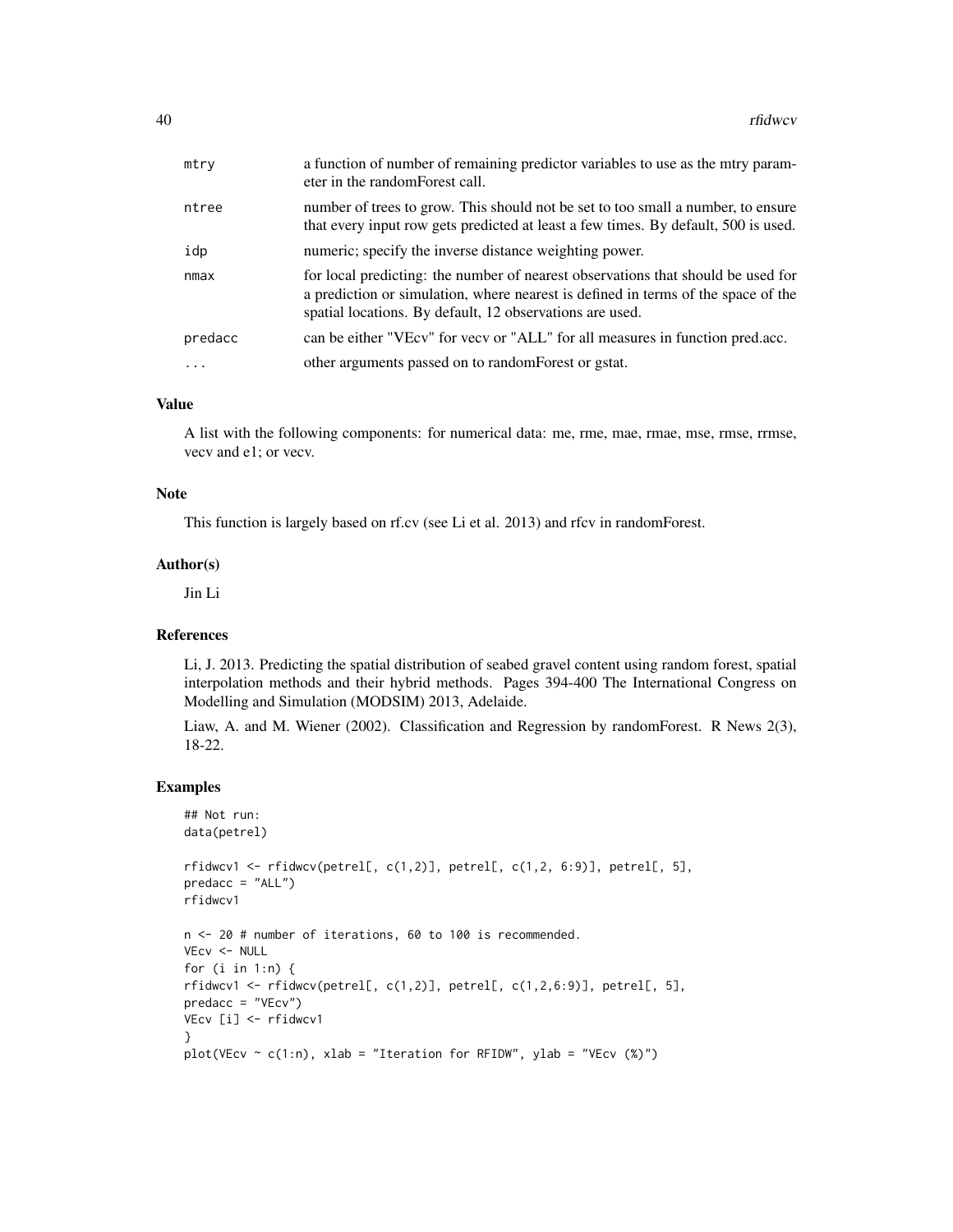| mtry    | a function of number of remaining predictor variables to use as the mtry param-<br>eter in the random Forest call.                                                                                                                |
|---------|-----------------------------------------------------------------------------------------------------------------------------------------------------------------------------------------------------------------------------------|
| ntree   | number of trees to grow. This should not be set to too small a number, to ensure<br>that every input row gets predicted at least a few times. By default, 500 is used.                                                            |
| idp     | numeric; specify the inverse distance weighting power.                                                                                                                                                                            |
| nmax    | for local predicting: the number of nearest observations that should be used for<br>a prediction or simulation, where nearest is defined in terms of the space of the<br>spatial locations. By default, 12 observations are used. |
| predacc | can be either "VEcv" for vecv or "ALL" for all measures in function pred.acc.                                                                                                                                                     |
|         | other arguments passed on to random Forest or gstat.                                                                                                                                                                              |

#### Value

A list with the following components: for numerical data: me, rme, mae, rmae, mse, rmse, rrmse, vecv and e1; or vecv.

#### Note

This function is largely based on rf.cv (see Li et al. 2013) and rfcv in randomForest.

## Author(s)

Jin Li

## References

Li, J. 2013. Predicting the spatial distribution of seabed gravel content using random forest, spatial interpolation methods and their hybrid methods. Pages 394-400 The International Congress on Modelling and Simulation (MODSIM) 2013, Adelaide.

Liaw, A. and M. Wiener (2002). Classification and Regression by randomForest. R News 2(3), 18-22.

## Examples

```
## Not run:
data(petrel)
rfidwcv1 <- rfidwcv(petrel[, c(1,2)], petrel[, c(1,2, 6:9)], petrel[, 5],
predacc = "ALL")rfidwcv1
n <- 20 # number of iterations, 60 to 100 is recommended.
VEcv <- NULL
for (i in 1:n) {
rfdwcv1 \leftarrow rfdwcv(petrell, c(1,2)], petrell, c(1,2,6:9)], petrell, 5],predacc = "VEcv")
VEcv [i] <- rfidwcv1
}
plot(VEcv \sim c(1:n), xlab = "Iteration for RFIDW", ylab = "VEcv (%)")
```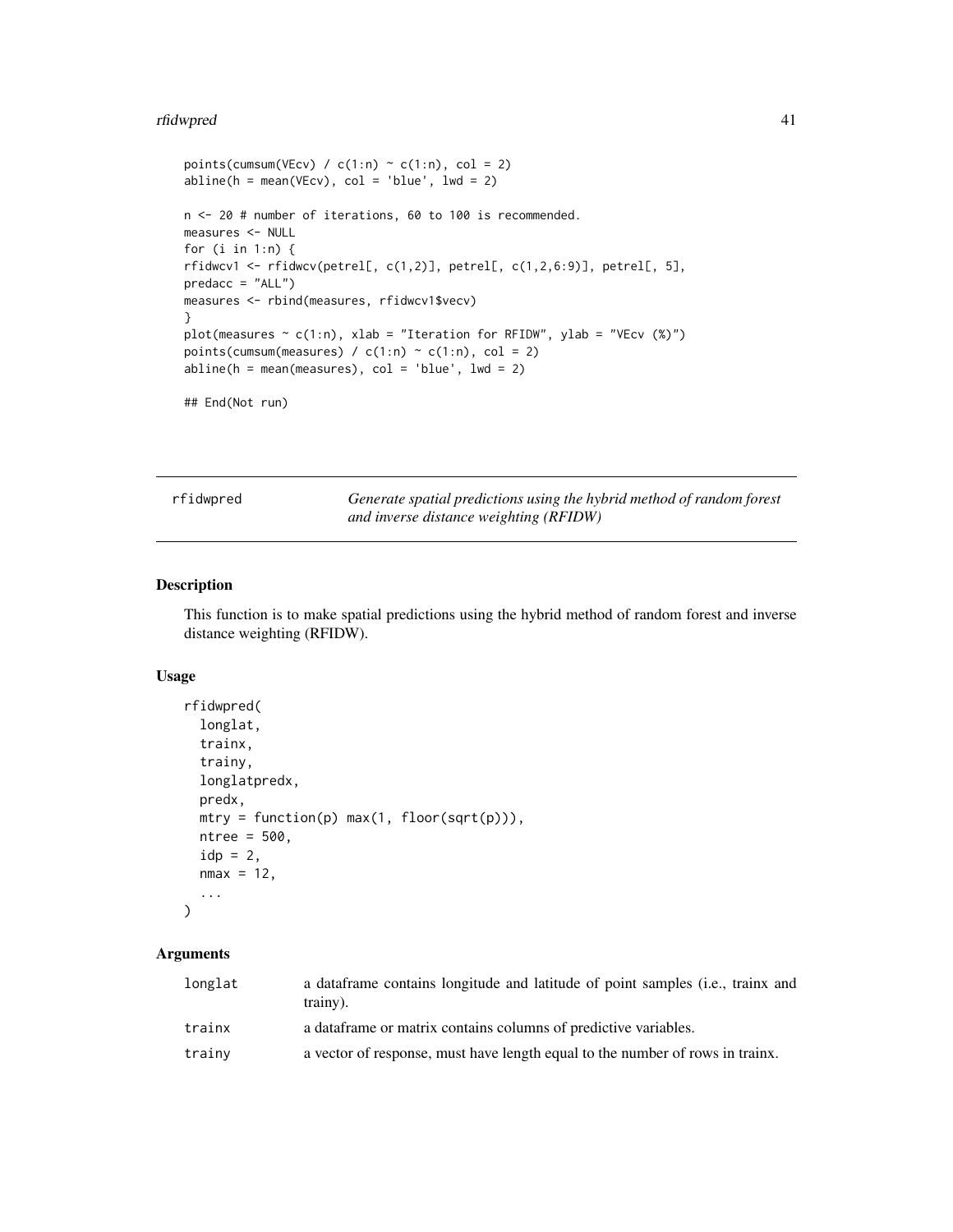#### rfidwpred 41

```
points(cumsum(VEcv) / c(1:n) \sim c(1:n), col = 2)
abline(h = mean(VEcv), col = 'blue', lwd = 2)n <- 20 # number of iterations, 60 to 100 is recommended.
measures <- NULL
for (i in 1:n) {
rfdwcv1 \leftarrow rfdwcv(petrell, c(1,2)], petrell, c(1,2,6:9)], petrell, 5],predacc = "ALL")measures <- rbind(measures, rfidwcv1$vecv)
}
plot(measures \sim c(1:n), xlab = "Iteration for RFIDW", ylab = "VEcv (%)")
points(cumsum(measures) / c(1:n) \sim c(1:n), col = 2)
abline(h = mean(measures), col = 'blue', lwd = 2)
```

```
## End(Not run)
```
rfidwpred *Generate spatial predictions using the hybrid method of random forest and inverse distance weighting (RFIDW)*

## Description

This function is to make spatial predictions using the hybrid method of random forest and inverse distance weighting (RFIDW).

## Usage

```
rfidwpred(
  longlat,
  trainx,
  trainy,
 longlatpredx,
 predx,
 mtry = function(p) max(1, floor(sqrt(p))),
 ntree = 500,idp = 2,
 nmax = 12,
  ...
\lambda
```

| longlat | a data frame contains longitude and latitude of point samples (i.e., trainx and<br>trainy). |
|---------|---------------------------------------------------------------------------------------------|
| trainx  | a dataframe or matrix contains columns of predictive variables.                             |
| trainy  | a vector of response, must have length equal to the number of rows in trainx.               |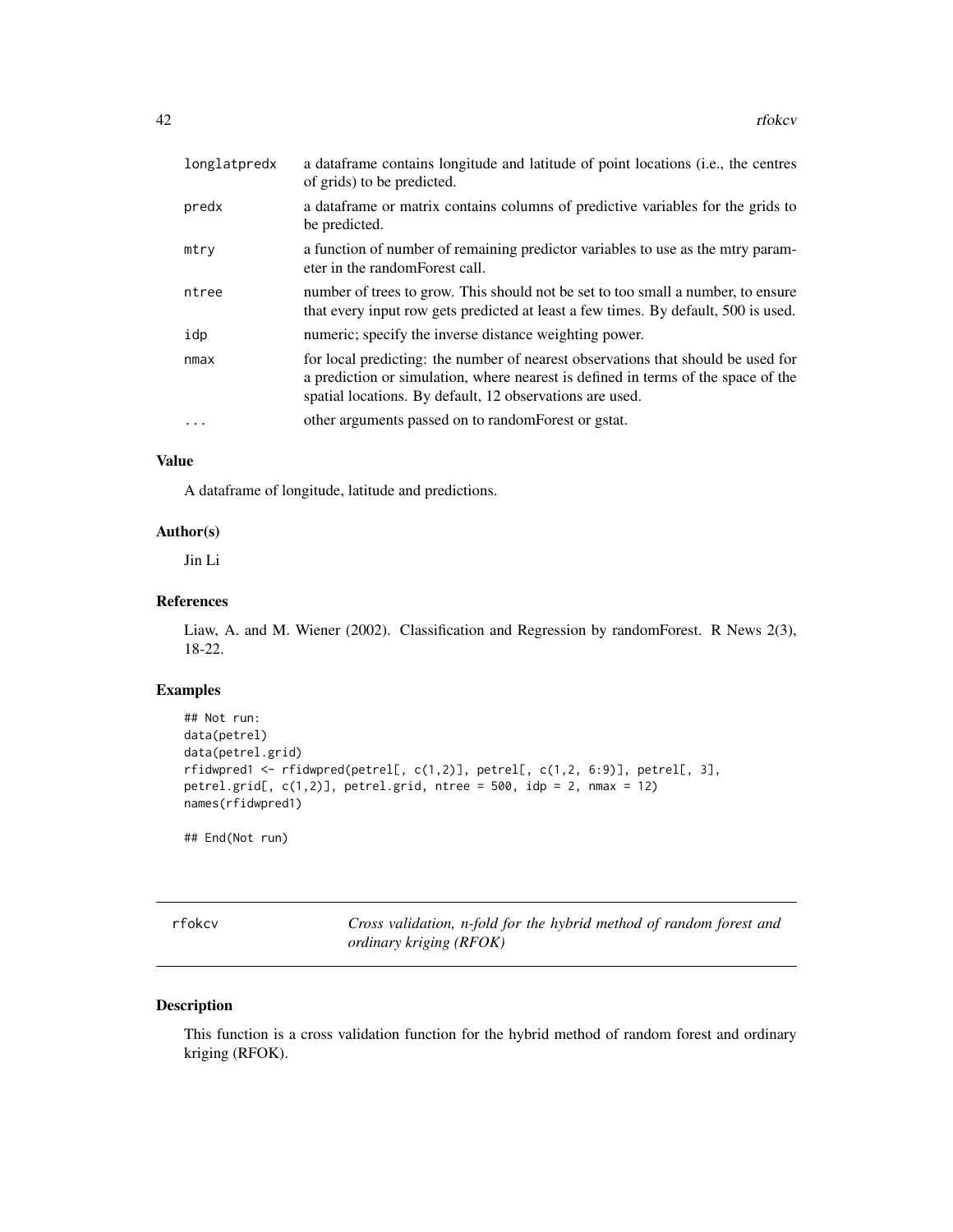| longlatpredx            | a data frame contains longitude and latitude of point locations (i.e., the centres<br>of grids) to be predicted.                                                                                                                  |
|-------------------------|-----------------------------------------------------------------------------------------------------------------------------------------------------------------------------------------------------------------------------------|
| predx                   | a data frame or matrix contains columns of predictive variables for the grids to<br>be predicted.                                                                                                                                 |
| mtry                    | a function of number of remaining predictor variables to use as the mtry param-<br>eter in the random Forest call.                                                                                                                |
| ntree                   | number of trees to grow. This should not be set to too small a number, to ensure<br>that every input row gets predicted at least a few times. By default, 500 is used.                                                            |
| idp                     | numeric; specify the inverse distance weighting power.                                                                                                                                                                            |
| nmax                    | for local predicting: the number of nearest observations that should be used for<br>a prediction or simulation, where nearest is defined in terms of the space of the<br>spatial locations. By default, 12 observations are used. |
| $\cdot$ $\cdot$ $\cdot$ | other arguments passed on to random Forest or gstat.                                                                                                                                                                              |

# Value

A dataframe of longitude, latitude and predictions.

## Author(s)

Jin Li

## References

Liaw, A. and M. Wiener (2002). Classification and Regression by randomForest. R News 2(3), 18-22.

## Examples

```
## Not run:
data(petrel)
data(petrel.grid)
rfidwpred1 <- rfidwpred(petrel[, c(1,2)], petrel[, c(1,2, 6:9)], petrel[, 3],
petrel.grid[, c(1,2)], petrel.grid, ntree = 500, idp = 2, nmax = 12)
names(rfidwpred1)
```
## End(Not run)

rfokcv *Cross validation, n-fold for the hybrid method of random forest and ordinary kriging (RFOK)*

#### Description

This function is a cross validation function for the hybrid method of random forest and ordinary kriging (RFOK).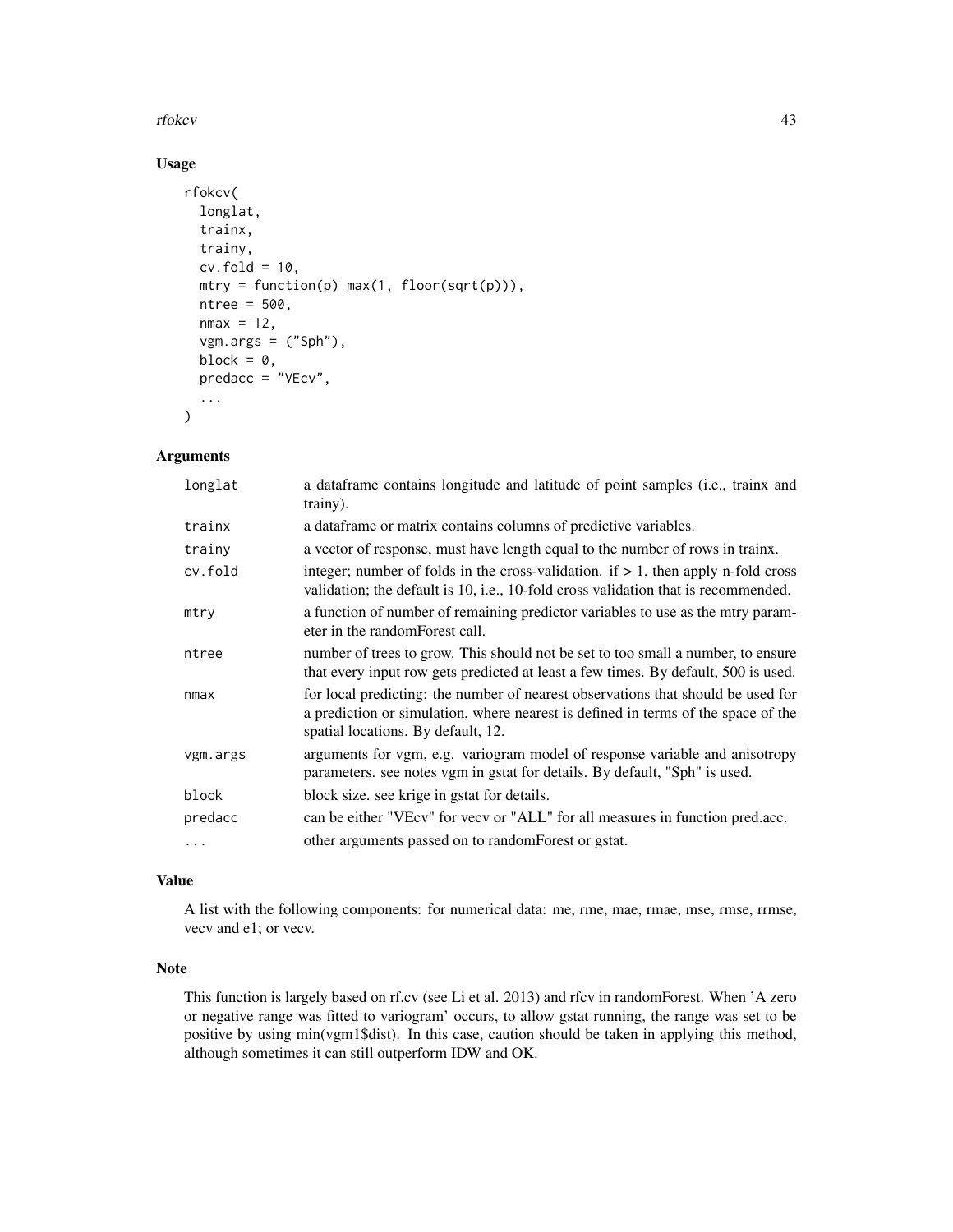#### rfokcv 43

# Usage

```
rfokcv(
  longlat,
  trainx,
 trainy,
 cv.fold = 10,mtry = function(p) max(1, floor(sqrt(p))),ntree = 500,nmax = 12,
 vgm.args = ("Sph"),
 block = \theta,
 predacc = "VEcv",
  ...
)
```
## Arguments

| longlat  | a data frame contains longitude and latitude of point samples (i.e., trainx and<br>trainy).                                                                                                                 |
|----------|-------------------------------------------------------------------------------------------------------------------------------------------------------------------------------------------------------------|
| trainx   | a data frame or matrix contains columns of predictive variables.                                                                                                                                            |
| trainy   | a vector of response, must have length equal to the number of rows in trainx.                                                                                                                               |
| cv.fold  | integer; number of folds in the cross-validation. if $> 1$ , then apply n-fold cross<br>validation; the default is 10, i.e., 10-fold cross validation that is recommended.                                  |
| mtry     | a function of number of remaining predictor variables to use as the mtry param-<br>eter in the random Forest call.                                                                                          |
| ntree    | number of trees to grow. This should not be set to too small a number, to ensure<br>that every input row gets predicted at least a few times. By default, 500 is used.                                      |
| nmax     | for local predicting: the number of nearest observations that should be used for<br>a prediction or simulation, where nearest is defined in terms of the space of the<br>spatial locations. By default, 12. |
| vgm.args | arguments for vgm, e.g. variogram model of response variable and anisotropy<br>parameters. see notes vgm in gstat for details. By default, "Sph" is used.                                                   |
| block    | block size, see krige in gstat for details.                                                                                                                                                                 |
| predacc  | can be either "VEcv" for vecv or "ALL" for all measures in function pred.acc.                                                                                                                               |
| $\ddots$ | other arguments passed on to randomForest or gstat.                                                                                                                                                         |

## Value

A list with the following components: for numerical data: me, rme, mae, rmae, mse, rmse, rrmse, vecv and e1; or vecv.

## Note

This function is largely based on rf.cv (see Li et al. 2013) and rfcv in randomForest. When 'A zero or negative range was fitted to variogram' occurs, to allow gstat running, the range was set to be positive by using min(vgm1\$dist). In this case, caution should be taken in applying this method, although sometimes it can still outperform IDW and OK.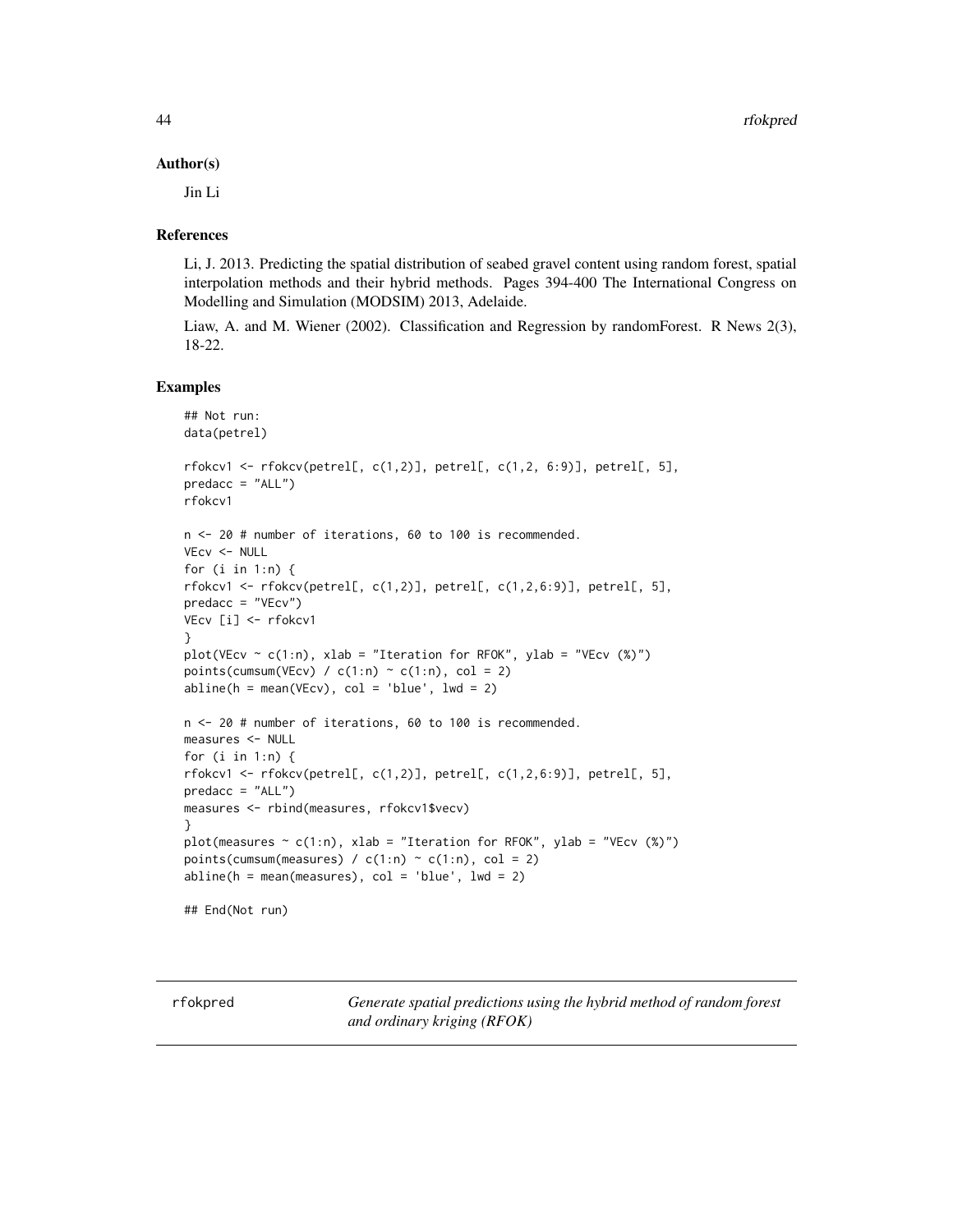#### Author(s)

Jin Li

#### References

Li, J. 2013. Predicting the spatial distribution of seabed gravel content using random forest, spatial interpolation methods and their hybrid methods. Pages 394-400 The International Congress on Modelling and Simulation (MODSIM) 2013, Adelaide.

Liaw, A. and M. Wiener (2002). Classification and Regression by randomForest. R News 2(3), 18-22.

#### Examples

```
## Not run:
data(petrel)
rfokcv1 <- rfokcv(petrel[, c(1,2)], petrel[, c(1,2, 6:9)], petrel[, 5],
predacc = "ALL")
rfokcv1
n <- 20 # number of iterations, 60 to 100 is recommended.
VEcv <- NULL
for (i in 1:n) {
rfokcv1 <- rfokcv(petrel[, c(1,2)], petrel[, c(1,2,6:9)], petrel[, 5],
predacc = "VEcv")
VEcv [i] <- rfokcv1
}
plot(VEcv \sim c(1:n), xlab = "Iteration for RFOK", ylab = "VEcv (%)")
points(cumsum(VEcv) / c(1:n) \sim c(1:n), col = 2)
abline(h = mean(VEcv), col = 'blue', lwd = 2)n <- 20 # number of iterations, 60 to 100 is recommended.
measures <- NULL
for (i in 1:n) {
rfokcv1 <- rfokcv(petrel[, c(1,2)], petrel[, c(1,2,6:9)], petrel[, 5],
predacc = "ALL")measures <- rbind(measures, rfokcv1$vecv)
}
plot(measures \sim c(1:n), xlab = "Iteration for RFOK", ylab = "VEcv (%)")
points(cumsum(measures) / c(1:n) \sim c(1:n), col = 2)
abline(h = mean(measures), col = 'blue', lwd = 2)## End(Not run)
```
rfokpred *Generate spatial predictions using the hybrid method of random forest and ordinary kriging (RFOK)*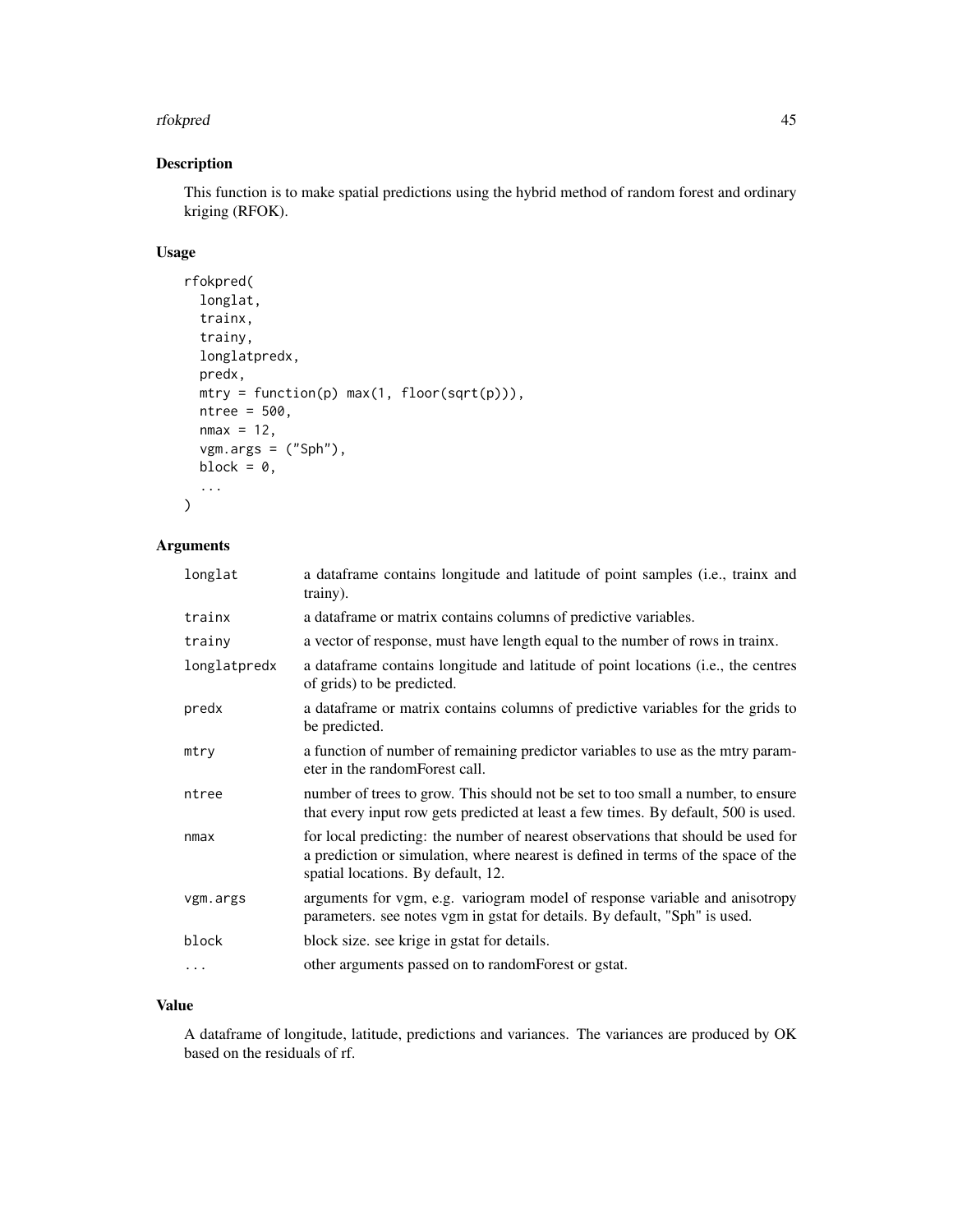#### rfokpred 45

# Description

This function is to make spatial predictions using the hybrid method of random forest and ordinary kriging (RFOK).

## Usage

```
rfokpred(
  longlat,
  trainx,
  trainy,
  longlatpredx,
 predx,
 mtry = function(p) max(1, float(sqrt(p))),ntree = 500,
 nmax = 12,
 vgm.args = ("Sph"),
 block = \theta,
  ...
)
```
## Arguments

| longlat      | a dataframe contains longitude and latitude of point samples (i.e., trainx and<br>trainy).                                                                                                                  |
|--------------|-------------------------------------------------------------------------------------------------------------------------------------------------------------------------------------------------------------|
| trainx       | a dataframe or matrix contains columns of predictive variables.                                                                                                                                             |
| trainy       | a vector of response, must have length equal to the number of rows in trainx.                                                                                                                               |
| longlatpredx | a data frame contains longitude and latitude of point locations (i.e., the centres<br>of grids) to be predicted.                                                                                            |
| predx        | a dataframe or matrix contains columns of predictive variables for the grids to<br>be predicted.                                                                                                            |
| mtry         | a function of number of remaining predictor variables to use as the mtry param-<br>eter in the random Forest call.                                                                                          |
| ntree        | number of trees to grow. This should not be set to too small a number, to ensure<br>that every input row gets predicted at least a few times. By default, 500 is used.                                      |
| nmax         | for local predicting: the number of nearest observations that should be used for<br>a prediction or simulation, where nearest is defined in terms of the space of the<br>spatial locations. By default, 12. |
| vgm.args     | arguments for vgm, e.g. variogram model of response variable and anisotropy<br>parameters. see notes vgm in gstat for details. By default, "Sph" is used.                                                   |
| block        | block size. see krige in gstat for details.                                                                                                                                                                 |
| $\ddots$     | other arguments passed on to randomForest or gstat.                                                                                                                                                         |
|              |                                                                                                                                                                                                             |

## Value

A dataframe of longitude, latitude, predictions and variances. The variances are produced by OK based on the residuals of rf.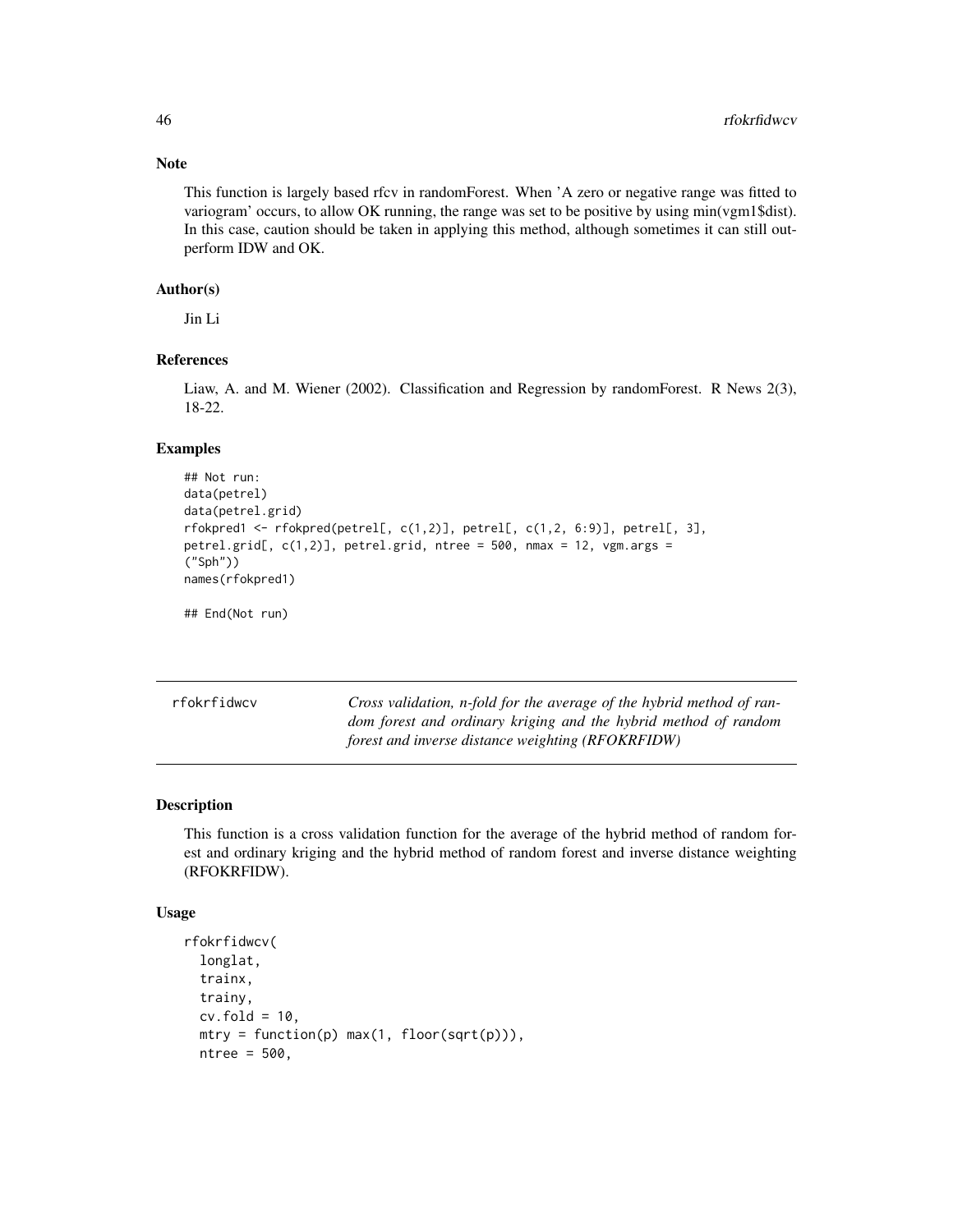## Note

This function is largely based rfcv in randomForest. When 'A zero or negative range was fitted to variogram' occurs, to allow OK running, the range was set to be positive by using min(vgm1\$dist). In this case, caution should be taken in applying this method, although sometimes it can still outperform IDW and OK.

## Author(s)

Jin Li

## References

Liaw, A. and M. Wiener (2002). Classification and Regression by randomForest. R News 2(3), 18-22.

## Examples

```
## Not run:
data(petrel)
data(petrel.grid)
rfokpred1 <- rfokpred(petrel[, c(1,2)], petrel[, c(1,2, 6:9)], petrel[, 3],
petrel.grid[, c(1,2)], petrel.grid, ntree = 500, nmax = 12, vgm.args =
("Sph"))
names(rfokpred1)
```
## End(Not run)

rfokrfidwcv *Cross validation, n-fold for the average of the hybrid method of random forest and ordinary kriging and the hybrid method of random forest and inverse distance weighting (RFOKRFIDW)*

#### Description

This function is a cross validation function for the average of the hybrid method of random forest and ordinary kriging and the hybrid method of random forest and inverse distance weighting (RFOKRFIDW).

#### Usage

```
rfokrfidwcv(
  longlat,
  trainx,
  trainy,
 cv.fold = 10,mtry = function(p) max(1, floor(sqrt(p))),ntree = 500,
```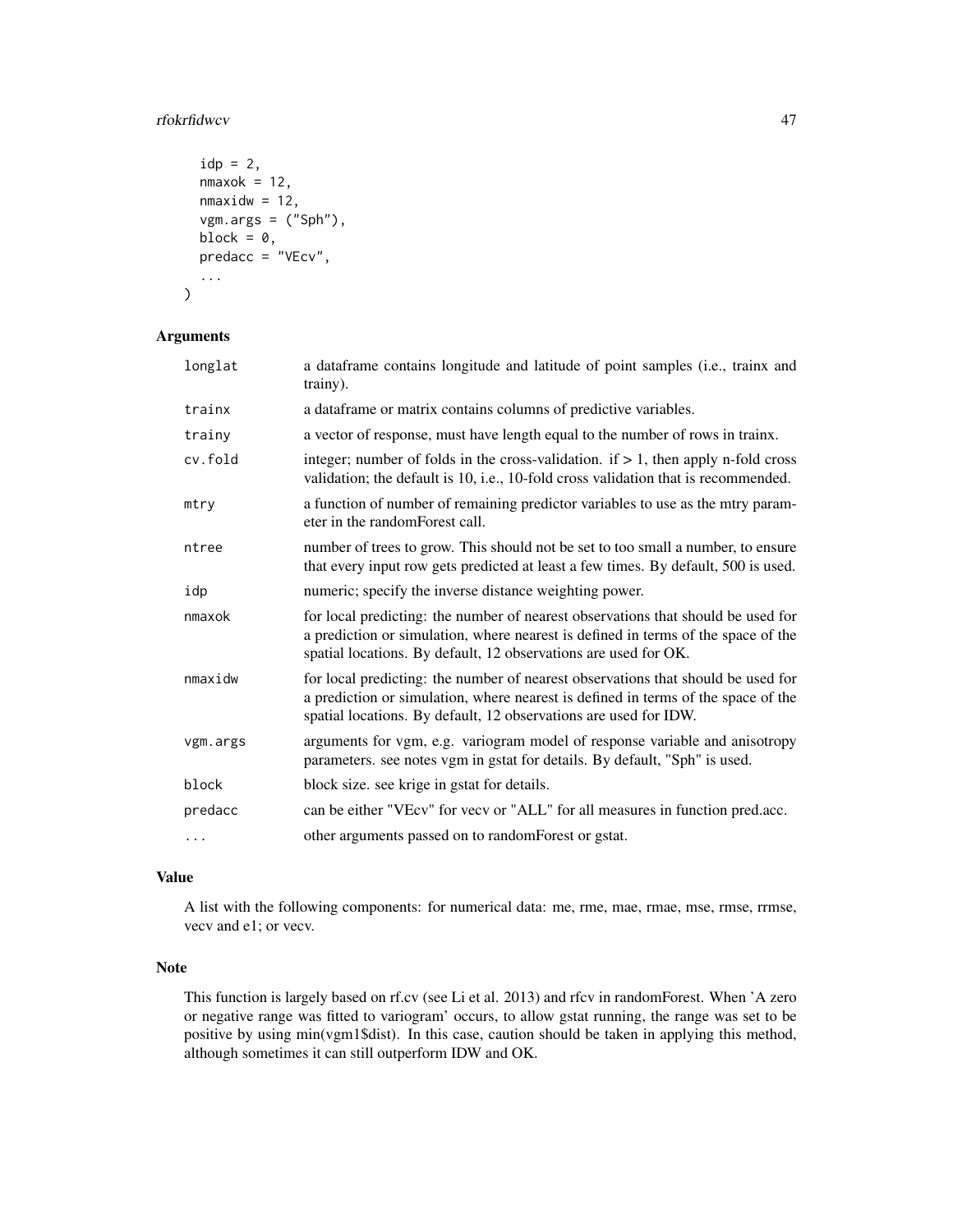#### rfokrfidwcv 47

```
idp = 2,
nmaxok = 12,
nmaxidw = 12,
vgm.args = ("Sph"),
block = 0,predacc = "VEcv",
...
```
#### Arguments

)

| longlat  | a dataframe contains longitude and latitude of point samples (i.e., trainx and<br>trainy).                                                                                                                                                |
|----------|-------------------------------------------------------------------------------------------------------------------------------------------------------------------------------------------------------------------------------------------|
| trainx   | a dataframe or matrix contains columns of predictive variables.                                                                                                                                                                           |
| trainy   | a vector of response, must have length equal to the number of rows in trainx.                                                                                                                                                             |
| cv.fold  | integer; number of folds in the cross-validation. if $> 1$ , then apply n-fold cross<br>validation; the default is 10, i.e., 10-fold cross validation that is recommended.                                                                |
| mtry     | a function of number of remaining predictor variables to use as the mtry param-<br>eter in the random Forest call.                                                                                                                        |
| ntree    | number of trees to grow. This should not be set to too small a number, to ensure<br>that every input row gets predicted at least a few times. By default, 500 is used.                                                                    |
| idp      | numeric; specify the inverse distance weighting power.                                                                                                                                                                                    |
| nmaxok   | for local predicting: the number of nearest observations that should be used for<br>a prediction or simulation, where nearest is defined in terms of the space of the<br>spatial locations. By default, 12 observations are used for OK.  |
| nmaxidw  | for local predicting: the number of nearest observations that should be used for<br>a prediction or simulation, where nearest is defined in terms of the space of the<br>spatial locations. By default, 12 observations are used for IDW. |
| vgm.args | arguments for vgm, e.g. variogram model of response variable and anisotropy<br>parameters. see notes vgm in gstat for details. By default, "Sph" is used.                                                                                 |
| block    | block size. see krige in gstat for details.                                                                                                                                                                                               |
| predacc  | can be either "VEcv" for vecv or "ALL" for all measures in function pred.acc.                                                                                                                                                             |
| $\ddots$ | other arguments passed on to randomForest or gstat.                                                                                                                                                                                       |
|          |                                                                                                                                                                                                                                           |

## Value

A list with the following components: for numerical data: me, rme, mae, rmae, mse, rmse, rrmse, vecv and e1; or vecv.

## Note

This function is largely based on rf.cv (see Li et al. 2013) and rfcv in randomForest. When 'A zero or negative range was fitted to variogram' occurs, to allow gstat running, the range was set to be positive by using min(vgm1\$dist). In this case, caution should be taken in applying this method, although sometimes it can still outperform IDW and OK.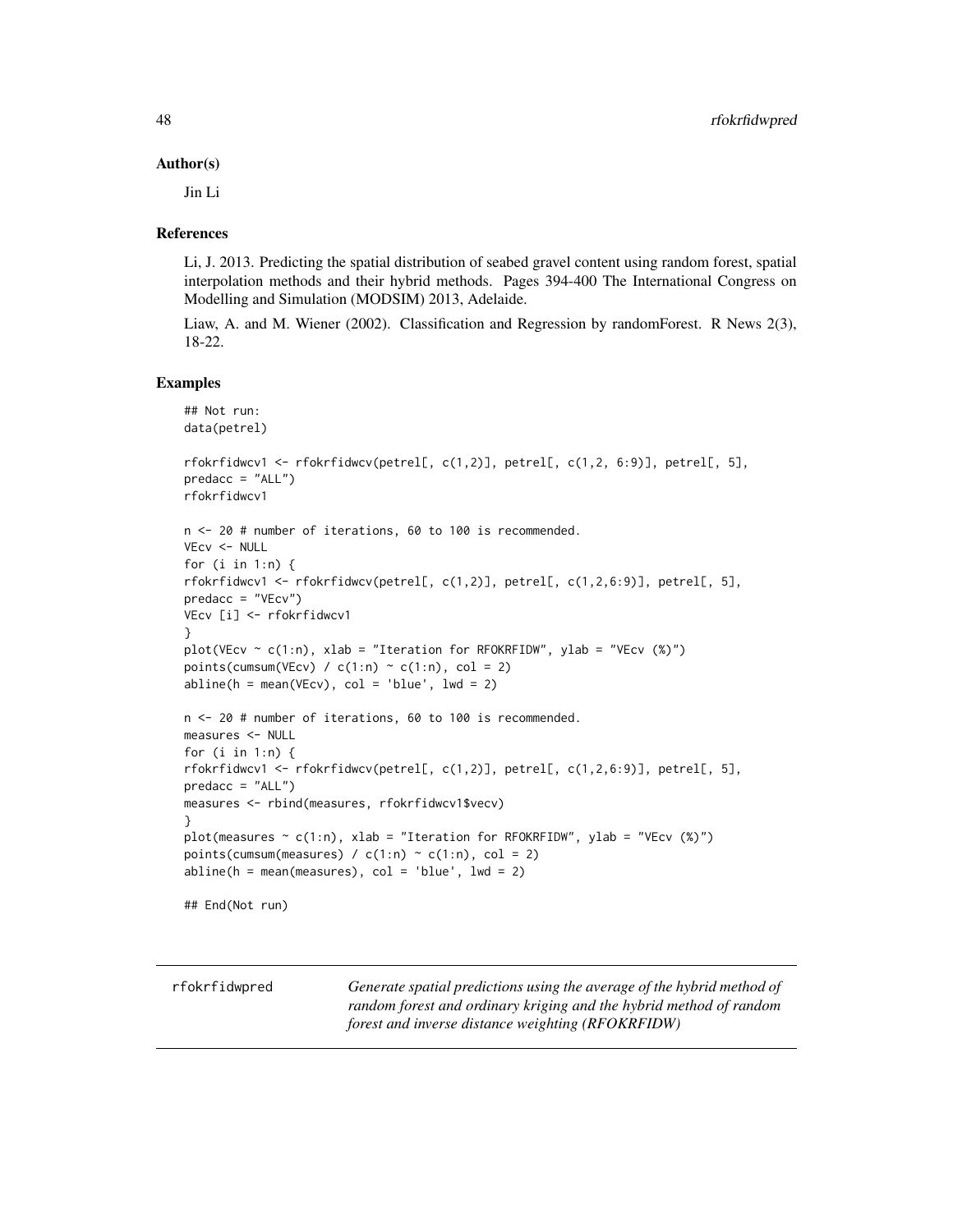#### Author(s)

Jin Li

#### References

Li, J. 2013. Predicting the spatial distribution of seabed gravel content using random forest, spatial interpolation methods and their hybrid methods. Pages 394-400 The International Congress on Modelling and Simulation (MODSIM) 2013, Adelaide.

Liaw, A. and M. Wiener (2002). Classification and Regression by randomForest. R News 2(3), 18-22.

## Examples

```
## Not run:
data(petrel)
rfokrfidwcv1 <- rfokrfidwcv(petrel[, c(1,2)], petrel[, c(1,2, 6:9)], petrel[, 5],
predacc = "ALL")rfokrfidwcv1
n <- 20 # number of iterations, 60 to 100 is recommended.
VEcv <- NULL
for (i in 1:n) {
rfokrfidwcv1 <- rfokrfidwcv(petrel[, c(1,2)], petrel[, c(1,2,6:9)], petrel[, 5],
predacc = "VEcv")
VEcv [i] <- rfokrfidwcv1
}
plot(VEcv ~ c(1:n), xlab = "Iteration for RFOKRFIDW", ylab = "VEcv (%)")
points(cumsum(VEcv) / c(1:n) \sim c(1:n), col = 2)
abline(h = mean(VEcv), col = 'blue', lwd = 2)n <- 20 # number of iterations, 60 to 100 is recommended.
measures <- NULL
for (i in 1:n) {
rfokrfidwcv1 <- rfokrfidwcv(petrel[, c(1,2)], petrel[, c(1,2,6:9)], petrel[, 5],
predacc = "ALL")
measures <- rbind(measures, rfokrfidwcv1$vecv)
}
plot(measures \sim c(1:n), xlab = "Iteration for RFOKRFIDW", ylab = "VEcv (%)")
points(cumsum(measures) / c(1:n) \sim c(1:n), col = 2)
abline(h = mean(measures), col = 'blue', lwd = 2)## End(Not run)
```

| rfokrfidwpred | Generate spatial predictions using the average of the hybrid method of |
|---------------|------------------------------------------------------------------------|
|               | random forest and ordinary kriging and the hybrid method of random     |
|               | forest and inverse distance weighting (RFOKRFIDW)                      |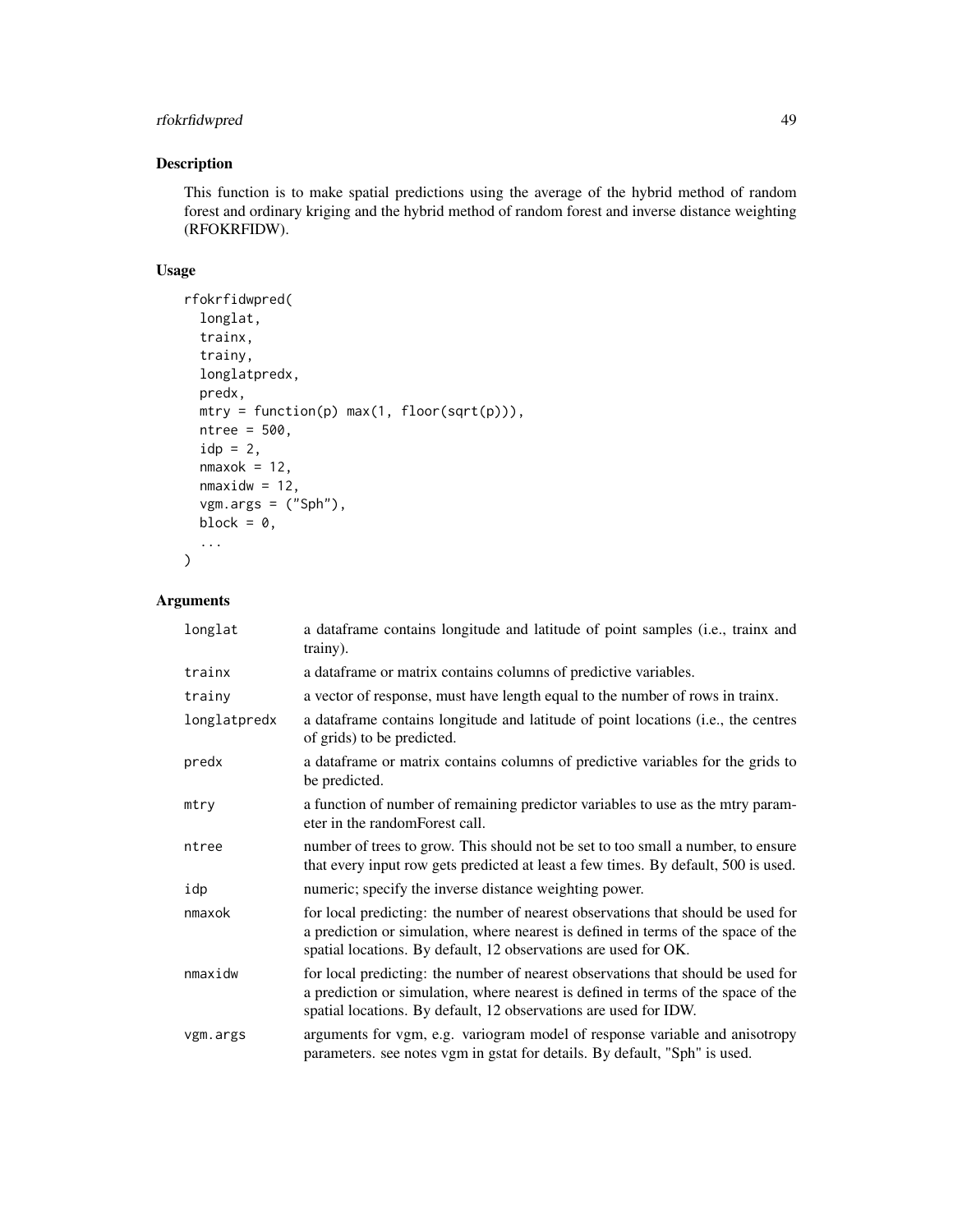## rfokrfidwpred 49

## Description

This function is to make spatial predictions using the average of the hybrid method of random forest and ordinary kriging and the hybrid method of random forest and inverse distance weighting (RFOKRFIDW).

#### Usage

```
rfokrfidwpred(
  longlat,
  trainx,
  trainy,
  longlatpredx,
 predx,
 mtry = function(p) max(1, floor(sqrt(p))),
 ntree = 500,
  idp = 2,
  nmaxok = 12,
 nmaxidw = 12,
  vgm.args = ("Sph"),
 block = 0,
  ...
)
```

| longlat      | a dataframe contains longitude and latitude of point samples (i.e., trainx and<br>trainy).                                                                                                                                                |
|--------------|-------------------------------------------------------------------------------------------------------------------------------------------------------------------------------------------------------------------------------------------|
| trainx       | a dataframe or matrix contains columns of predictive variables.                                                                                                                                                                           |
| trainy       | a vector of response, must have length equal to the number of rows in trainx.                                                                                                                                                             |
| longlatpredx | a data frame contains longitude and latitude of point locations (i.e., the centres<br>of grids) to be predicted.                                                                                                                          |
| predx        | a dataframe or matrix contains columns of predictive variables for the grids to<br>be predicted.                                                                                                                                          |
| mtry         | a function of number of remaining predictor variables to use as the mtry param-<br>eter in the randomForest call.                                                                                                                         |
| ntree        | number of trees to grow. This should not be set to too small a number, to ensure<br>that every input row gets predicted at least a few times. By default, 500 is used.                                                                    |
| idp          | numeric; specify the inverse distance weighting power.                                                                                                                                                                                    |
| nmaxok       | for local predicting: the number of nearest observations that should be used for<br>a prediction or simulation, where nearest is defined in terms of the space of the<br>spatial locations. By default, 12 observations are used for OK.  |
| nmaxidw      | for local predicting: the number of nearest observations that should be used for<br>a prediction or simulation, where nearest is defined in terms of the space of the<br>spatial locations. By default, 12 observations are used for IDW. |
| vgm.args     | arguments for vgm, e.g. variogram model of response variable and anisotropy<br>parameters. see notes vgm in gstat for details. By default, "Sph" is used.                                                                                 |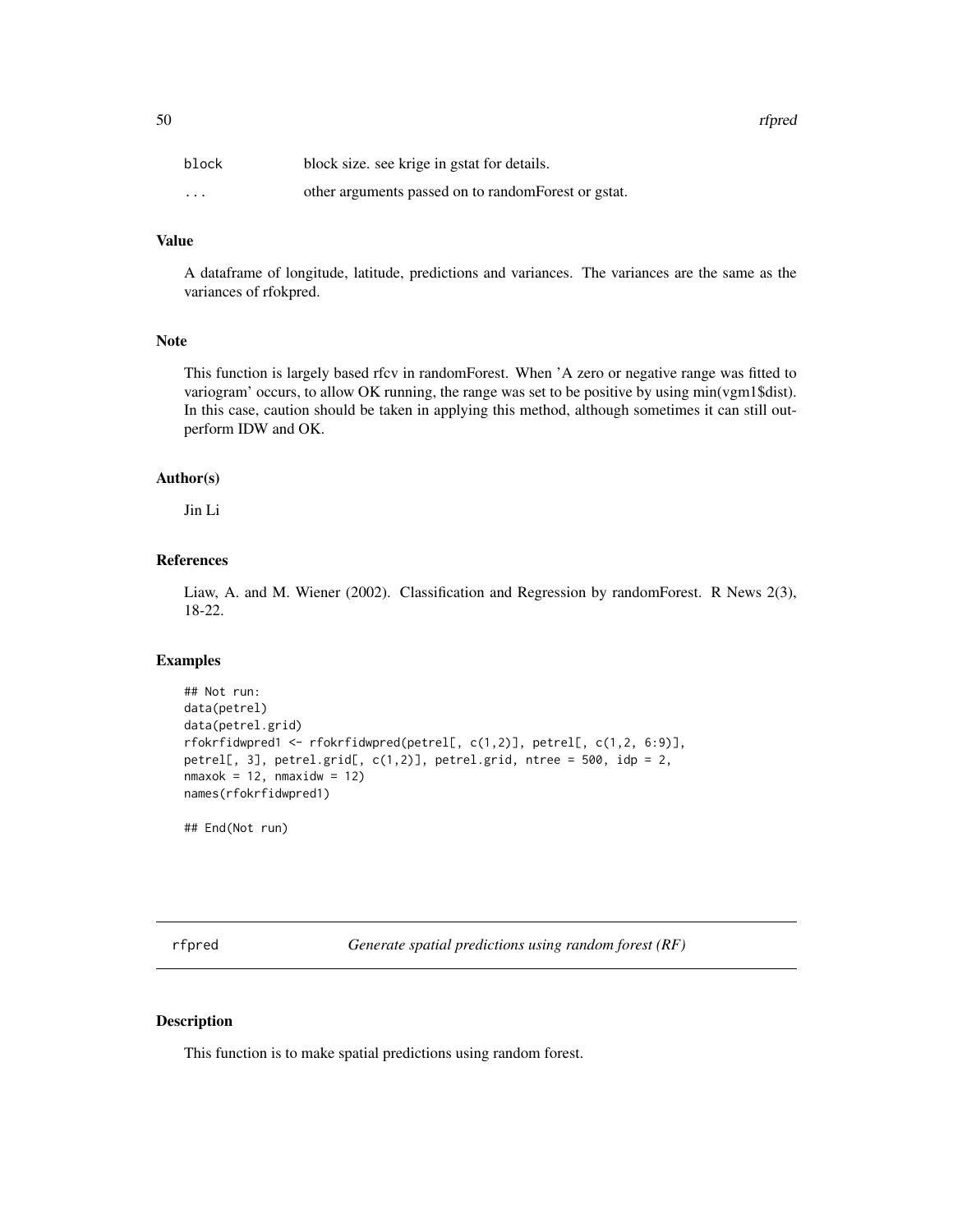50 rfpred

| block                   | block size, see krige in gstat for details.          |
|-------------------------|------------------------------------------------------|
| $\cdot$ $\cdot$ $\cdot$ | other arguments passed on to random Forest or gstat. |

# Value

A dataframe of longitude, latitude, predictions and variances. The variances are the same as the variances of rfokpred.

## Note

This function is largely based rfcv in randomForest. When 'A zero or negative range was fitted to variogram' occurs, to allow OK running, the range was set to be positive by using min(vgm1\$dist). In this case, caution should be taken in applying this method, although sometimes it can still outperform IDW and OK.

## Author(s)

Jin Li

## References

Liaw, A. and M. Wiener (2002). Classification and Regression by randomForest. R News 2(3), 18-22.

#### Examples

```
## Not run:
data(petrel)
data(petrel.grid)
rfokrfidwpred1 <- rfokrfidwpred(petrel[, c(1,2)], petrel[, c(1,2, 6:9)],
petrel[, 3], petrel.grid[, c(1,2)], petrel.grid, ntree = 500, idp = 2,
nmaxok = 12, nmaxidw = 12names(rfokrfidwpred1)
```
## End(Not run)

rfpred *Generate spatial predictions using random forest (RF)*

#### Description

This function is to make spatial predictions using random forest.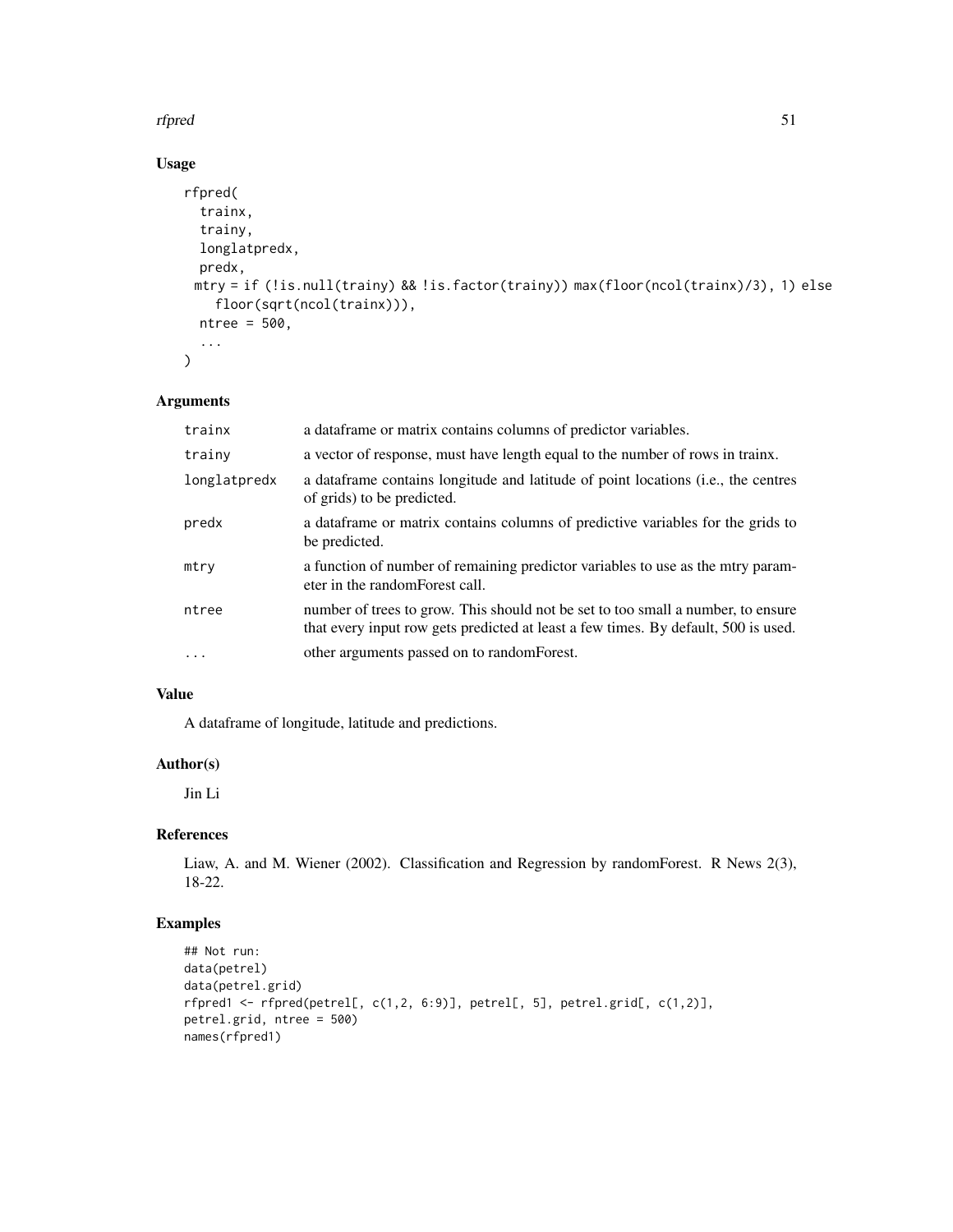#### rfpred 51

# Usage

```
rfpred(
  trainx,
  trainy,
 longlatpredx,
 predx,
 mtry = if (!is.null(trainy) && !is.factor(trainy)) max(floor(ncol(trainx)/3), 1) else
    floor(sqrt(ncol(trainx))),
 ntree = 500,...
\mathcal{L}
```
## Arguments

| trainx       | a data frame or matrix contains columns of predictor variables.                                                                                                        |
|--------------|------------------------------------------------------------------------------------------------------------------------------------------------------------------------|
| trainy       | a vector of response, must have length equal to the number of rows in trainx.                                                                                          |
| longlatpredx | a data frame contains longitude and latitude of point locations (i.e., the centres<br>of grids) to be predicted.                                                       |
| predx        | a dataframe or matrix contains columns of predictive variables for the grids to<br>be predicted.                                                                       |
| mtry         | a function of number of remaining predictor variables to use as the mtry param-<br>eter in the random Forest call.                                                     |
| ntree        | number of trees to grow. This should not be set to too small a number, to ensure<br>that every input row gets predicted at least a few times. By default, 500 is used. |
| $\cdot$      | other arguments passed on to random Forest.                                                                                                                            |

# Value

A dataframe of longitude, latitude and predictions.

# Author(s)

Jin Li

# References

Liaw, A. and M. Wiener (2002). Classification and Regression by randomForest. R News 2(3), 18-22.

# Examples

```
## Not run:
data(petrel)
data(petrel.grid)
rfpred1 <- rfpred(petrel[, c(1,2, 6:9)], petrel[, 5], petrel.grid[, c(1,2)],
petrel.grid, ntree = 500)
names(rfpred1)
```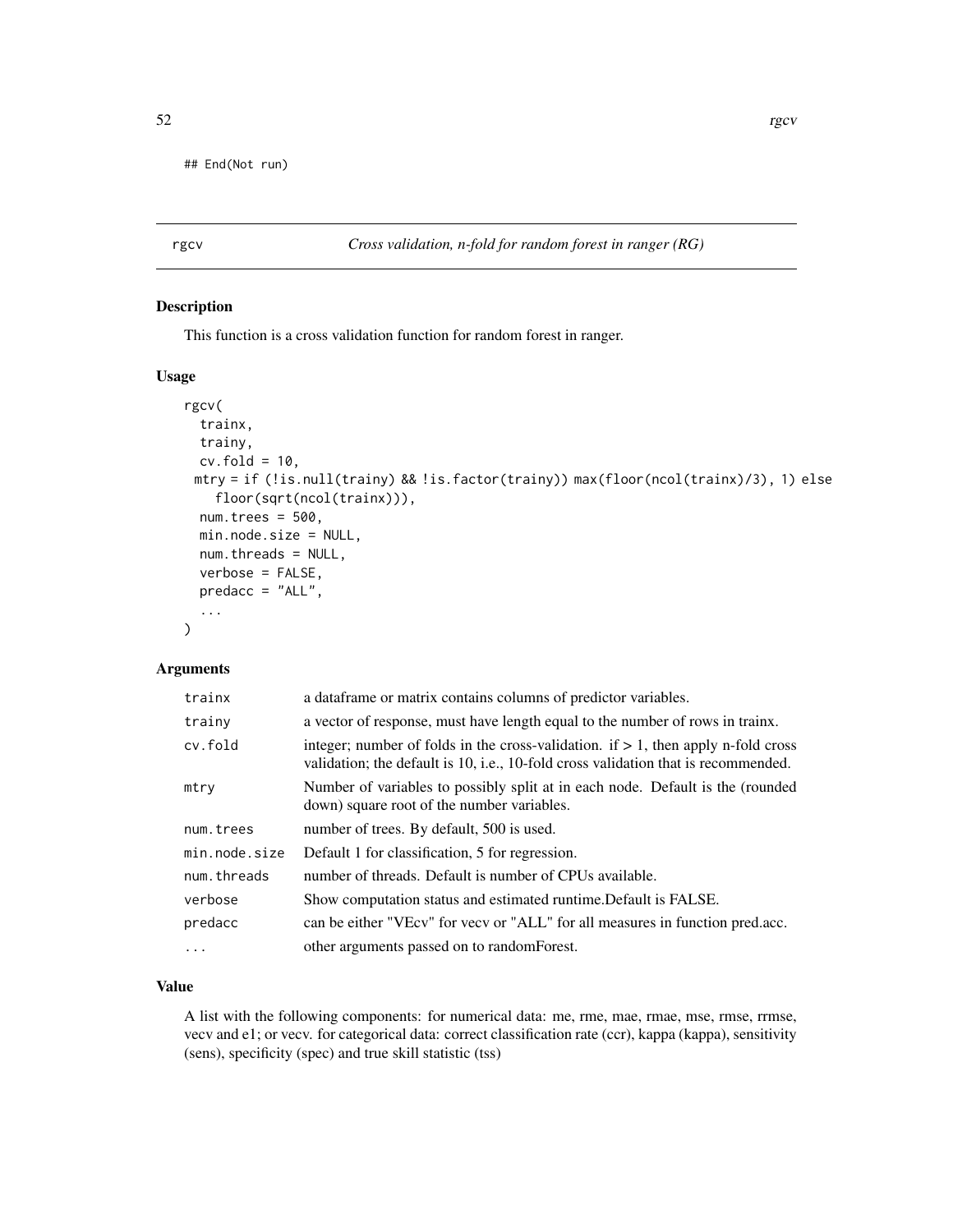## End(Not run)

rgcv *Cross validation, n-fold for random forest in ranger (RG)*

## Description

This function is a cross validation function for random forest in ranger.

## Usage

```
rgcv(
  trainx,
  trainy,
  cv.fold = 10,
 mtry = if (!is.null(trainy) && !is.factor(trainy)) max(floor(ncol(trainx)/3), 1) else
    floor(sqrt(ncol(trainx))),
  num.trees = 500,
 min.node.size = NULL,
 num.threads = NULL,
  verbose = FALSE,
 predacc = "ALL",
  ...
)
```
# Arguments

| trainx        | a data frame or matrix contains columns of predictor variables.                                                                                                            |
|---------------|----------------------------------------------------------------------------------------------------------------------------------------------------------------------------|
| trainy        | a vector of response, must have length equal to the number of rows in trainx.                                                                                              |
| cv.fold       | integer; number of folds in the cross-validation. if $> 1$ , then apply n-fold cross<br>validation; the default is 10, i.e., 10-fold cross validation that is recommended. |
| mtry          | Number of variables to possibly split at in each node. Default is the (rounded<br>down) square root of the number variables.                                               |
| num.trees     | number of trees. By default, 500 is used.                                                                                                                                  |
| min.node.size | Default 1 for classification, 5 for regression.                                                                                                                            |
| num.threads   | number of threads. Default is number of CPUs available.                                                                                                                    |
| verbose       | Show computation status and estimated runtime. Default is FALSE.                                                                                                           |
| predacc       | can be either "VEcv" for vecv or "ALL" for all measures in function pred.acc.                                                                                              |
| $\cdots$      | other arguments passed on to random Forest.                                                                                                                                |

## Value

A list with the following components: for numerical data: me, rme, mae, rmae, mse, rmse, rrmse, vecv and e1; or vecv. for categorical data: correct classification rate (ccr), kappa (kappa), sensitivity (sens), specificity (spec) and true skill statistic (tss)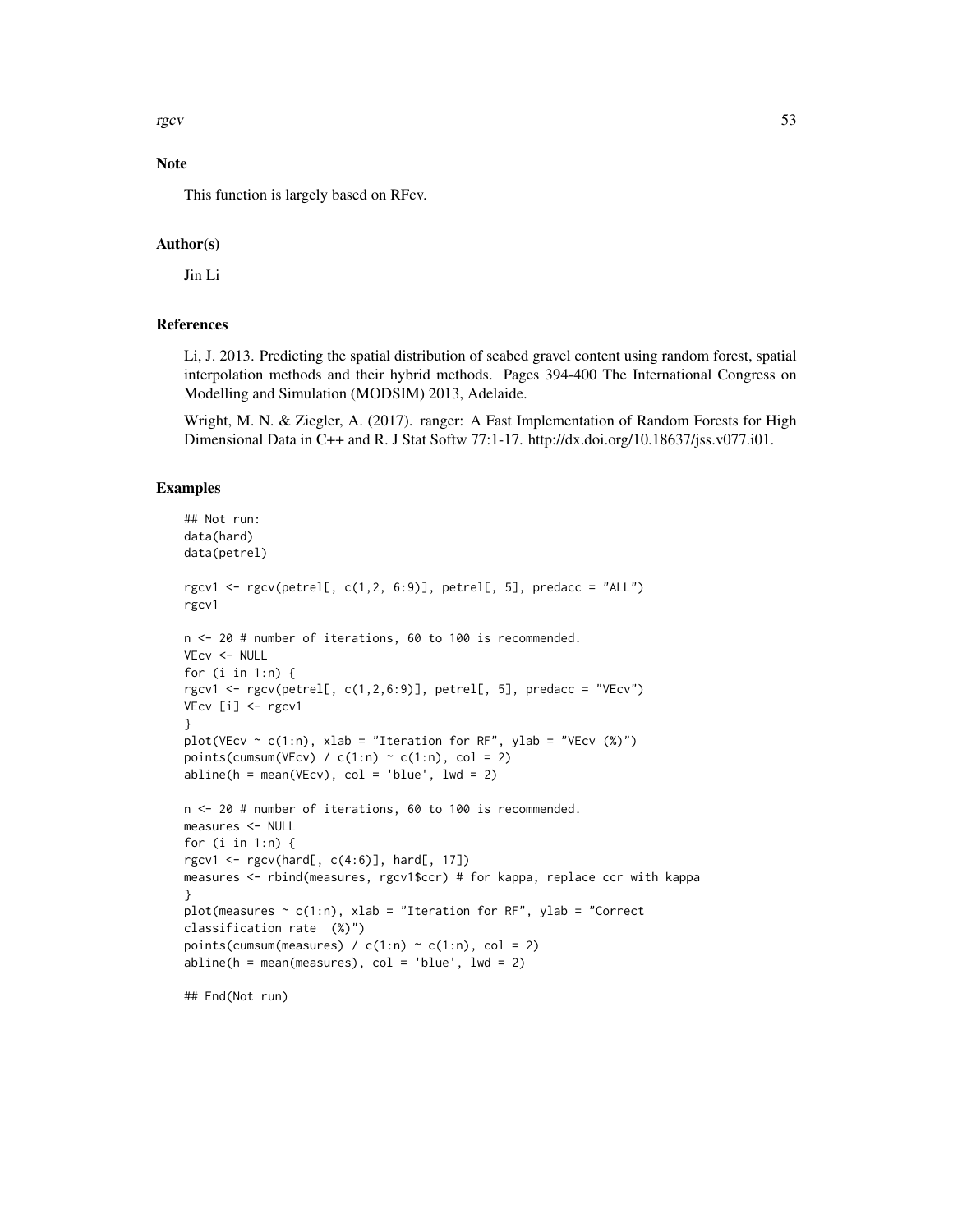rgcv  $53$ 

# Note

This function is largely based on RFcv.

#### Author(s)

Jin Li

## References

Li, J. 2013. Predicting the spatial distribution of seabed gravel content using random forest, spatial interpolation methods and their hybrid methods. Pages 394-400 The International Congress on Modelling and Simulation (MODSIM) 2013, Adelaide.

Wright, M. N. & Ziegler, A. (2017). ranger: A Fast Implementation of Random Forests for High Dimensional Data in C++ and R. J Stat Softw 77:1-17. http://dx.doi.org/10.18637/jss.v077.i01.

#### Examples

```
## Not run:
data(hard)
data(petrel)
rgcv1 <- rgcv(petrel[, c(1,2, 6:9)], petrel[, 5], predacc = "ALL")
rgcv1
n <- 20 # number of iterations, 60 to 100 is recommended.
VEcv <- NULL
for (i in 1:n) {
rgcv1 <- rgcv(petrel[, c(1,2,6:9)], petrel[, 5], predacc = "VEcv")
VEcv [i] <- rgcv1
}
plot(VEcv \sim c(1:n), xlab = "Iteration for RF", ylab = "VEcv (%)")
points(cumsum(VEcv) / c(1:n) \sim c(1:n), col = 2)
abline(h = mean(VEcv), col = 'blue', lwd = 2)n <- 20 # number of iterations, 60 to 100 is recommended.
measures <- NULL
for (i in 1:n) {
rgcv1 <- rgcv(hard[, c(4:6)], hard[, 17])measures <- rbind(measures, rgcv1$ccr) # for kappa, replace ccr with kappa
}
plot(measures \sim c(1:n), xlab = "Iteration for RF", ylab = "Correct
classification rate (%)")
points(cumsum(measures) / c(1:n) \sim c(1:n), col = 2)
abline(h = mean(measures), col = 'blue', lwd = 2)## End(Not run)
```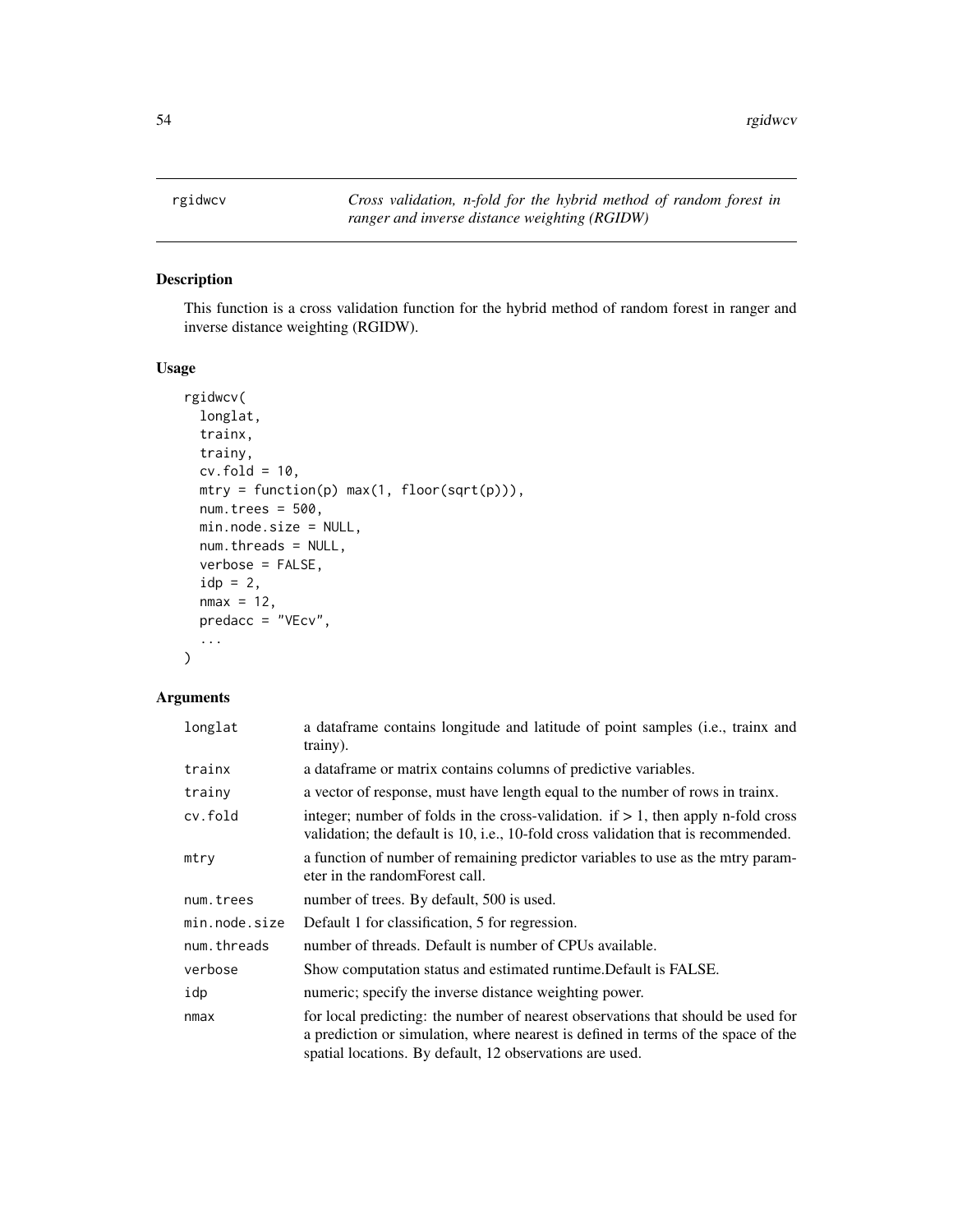## Description

This function is a cross validation function for the hybrid method of random forest in ranger and inverse distance weighting (RGIDW).

## Usage

```
rgidwcv(
  longlat,
  trainx,
  trainy,
 cv.fold = 10,
 mtry = function(p) max(1, float(sqrt(p))),num.trees = 500,
 min.node.size = NULL,
 num.threads = NULL,
 verbose = FALSE,
  idp = 2,
 nmax = 12,
 predacc = "VEcv",
  ...
)
```

| longlat       | a dataframe contains longitude and latitude of point samples (i.e., trainx and<br>trainy).                                                                                                                                        |
|---------------|-----------------------------------------------------------------------------------------------------------------------------------------------------------------------------------------------------------------------------------|
| trainx        | a data frame or matrix contains columns of predictive variables.                                                                                                                                                                  |
| trainy        | a vector of response, must have length equal to the number of rows in trainx.                                                                                                                                                     |
| cv.fold       | integer; number of folds in the cross-validation. if $> 1$ , then apply n-fold cross<br>validation; the default is 10, i.e., 10-fold cross validation that is recommended.                                                        |
| mtry          | a function of number of remaining predictor variables to use as the mtry param-<br>eter in the randomForest call.                                                                                                                 |
| num.trees     | number of trees. By default, 500 is used.                                                                                                                                                                                         |
| min.node.size | Default 1 for classification, 5 for regression.                                                                                                                                                                                   |
| num.threads   | number of threads. Default is number of CPUs available.                                                                                                                                                                           |
| verbose       | Show computation status and estimated runtime. Default is FALSE.                                                                                                                                                                  |
| idp           | numeric; specify the inverse distance weighting power.                                                                                                                                                                            |
| nmax          | for local predicting: the number of nearest observations that should be used for<br>a prediction or simulation, where nearest is defined in terms of the space of the<br>spatial locations. By default, 12 observations are used. |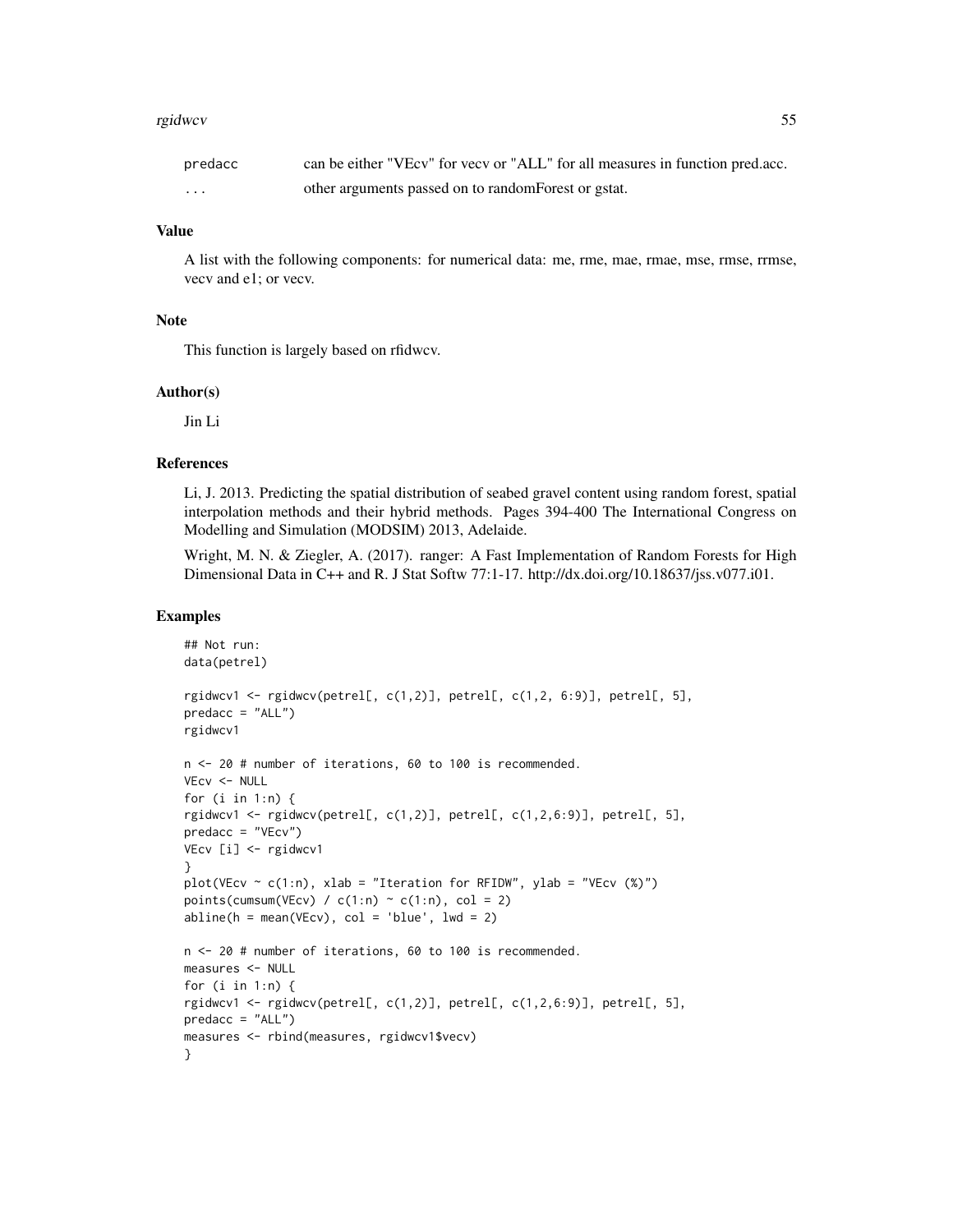#### rgidwcv 55

| predacc | can be either "VEcv" for vecv or "ALL" for all measures in function pred.acc. |
|---------|-------------------------------------------------------------------------------|
| .       | other arguments passed on to random Forest or gstat.                          |

## Value

A list with the following components: for numerical data: me, rme, mae, rmae, mse, rmse, rrmse, vecv and e1; or vecv.

#### Note

This function is largely based on rfidwcv.

#### Author(s)

Jin Li

#### References

Li, J. 2013. Predicting the spatial distribution of seabed gravel content using random forest, spatial interpolation methods and their hybrid methods. Pages 394-400 The International Congress on Modelling and Simulation (MODSIM) 2013, Adelaide.

Wright, M. N. & Ziegler, A. (2017). ranger: A Fast Implementation of Random Forests for High Dimensional Data in C++ and R. J Stat Softw 77:1-17. http://dx.doi.org/10.18637/jss.v077.i01.

#### Examples

```
## Not run:
data(petrel)
rgidwcv1 <- rgidwcv(petrel[, c(1,2)], petrel[, c(1,2, 6:9)], petrel[, 5],
predacc = "ALL")
rgidwcv1
n <- 20 # number of iterations, 60 to 100 is recommended.
VEcv <- NULL
for (i in 1:n) {
rgidwcv1 <- rgidwcv(petrel[, c(1,2)], petrel[, c(1,2,6:9)], petrel[, 5],
predacc = "VEcv")
VEcv [i] <- rgidwcv1
}
plot(VEcv \sim c(1:n), xlab = "Iteration for RFIDW", ylab = "VEcv (%)")
points(cumsum(VEcv) / c(1:n) \sim c(1:n), col = 2)
abline(h = mean(VEcv), col = 'blue', lwd = 2)n <- 20 # number of iterations, 60 to 100 is recommended.
measures <- NULL
for (i in 1:n) {
rgidwcv1 <- rgidwcv(petrel[, c(1,2)], petrel[, c(1,2,6:9)], petrel[, 5],
predacc = "ALL")measures <- rbind(measures, rgidwcv1$vecv)
}
```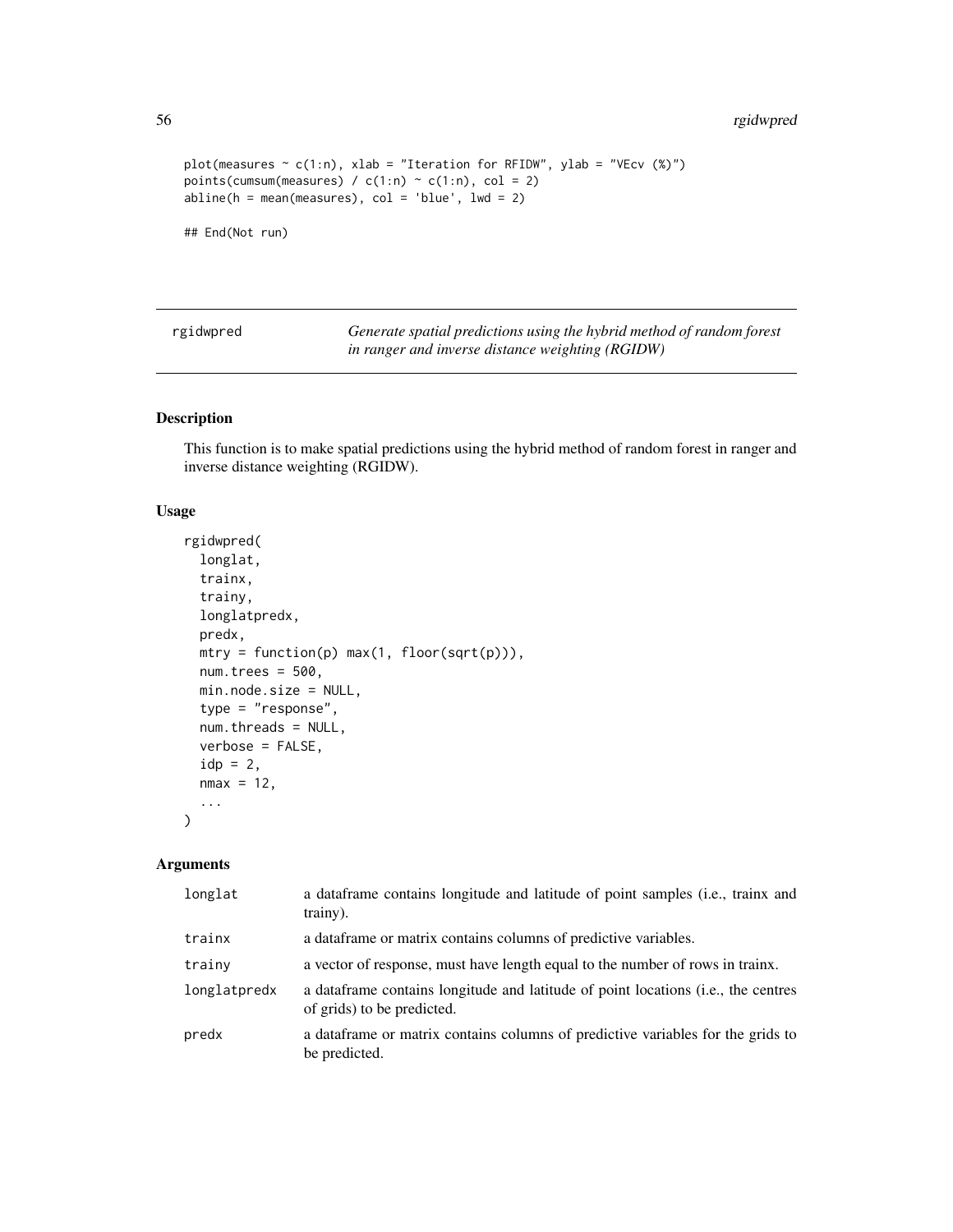## 56 rgidwpred

```
plot(measures \sim c(1:n), xlab = "Iteration for RFIDW", ylab = "VEcv (%)")
points(cumsum(measures) / c(1:n) \sim c(1:n), col = 2)
abline(h = mean(measures), col = 'blue', lwd = 2)## End(Not run)
```
rgidwpred *Generate spatial predictions using the hybrid method of random forest in ranger and inverse distance weighting (RGIDW)*

## Description

This function is to make spatial predictions using the hybrid method of random forest in ranger and inverse distance weighting (RGIDW).

## Usage

```
rgidwpred(
  longlat,
  trainx,
  trainy,
  longlatpredx,
 predx,
 mtry = function(p) max(1, float(sqrt(p))),num.trees = 500,
 min.node.size = NULL,
  type = "response",
 num.threads = NULL,
  verbose = FALSE,
  idp = 2,
 nmax = 12,
  ...
\mathcal{L}
```

| longlat      | a dataframe contains longitude and latitude of point samples (i.e., trainx and<br>trainy).                       |
|--------------|------------------------------------------------------------------------------------------------------------------|
| trainx       | a data frame or matrix contains columns of predictive variables.                                                 |
| trainy       | a vector of response, must have length equal to the number of rows in trainx.                                    |
| longlatpredx | a data frame contains longitude and latitude of point locations (i.e., the centres<br>of grids) to be predicted. |
| predx        | a data frame or matrix contains columns of predictive variables for the grids to<br>be predicted.                |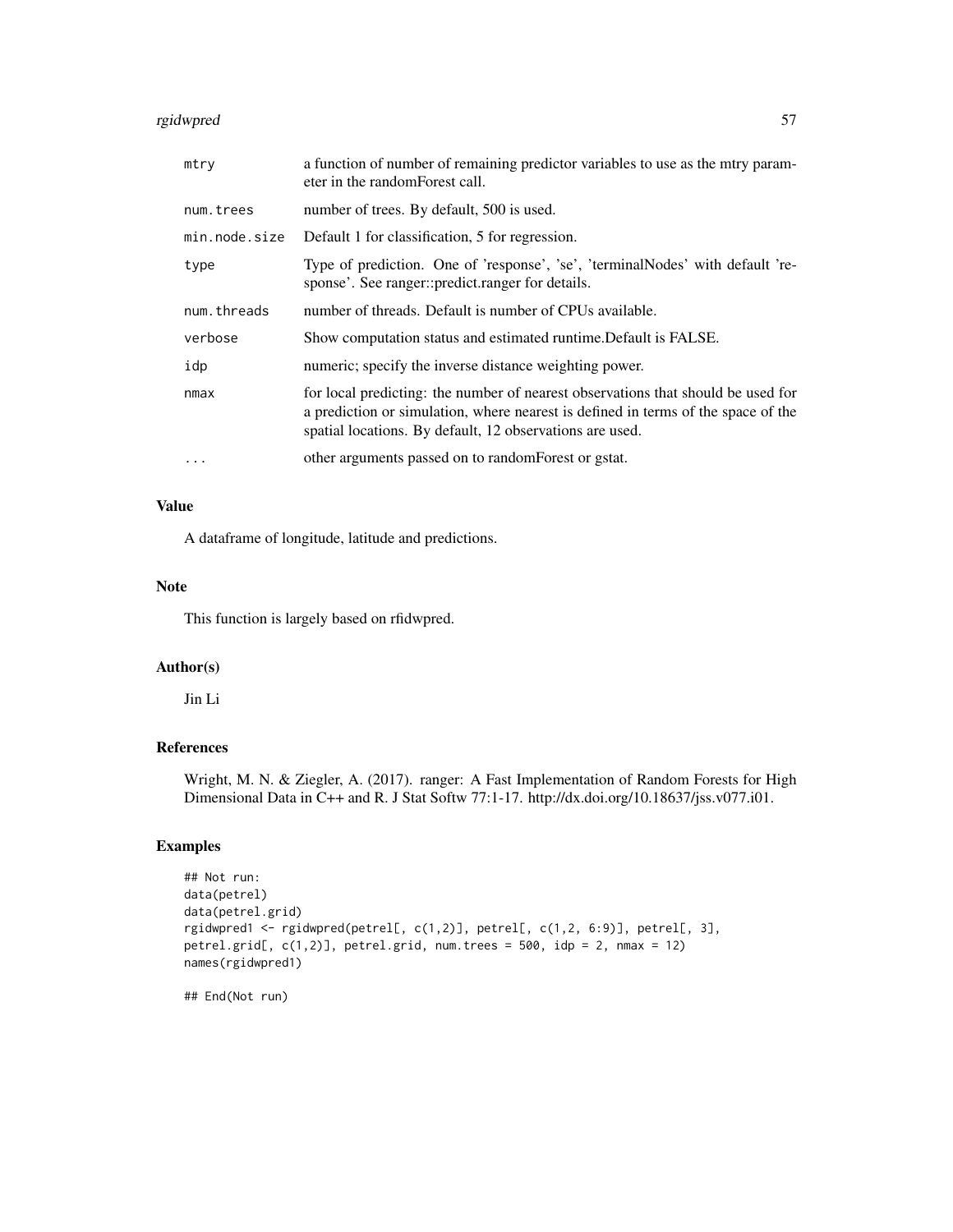## rgidwpred 57

| mtry          | a function of number of remaining predictor variables to use as the mirry param-<br>eter in the random Forest call.                                                                                                               |
|---------------|-----------------------------------------------------------------------------------------------------------------------------------------------------------------------------------------------------------------------------------|
| num.trees     | number of trees. By default, 500 is used.                                                                                                                                                                                         |
| min.node.size | Default 1 for classification, 5 for regression.                                                                                                                                                                                   |
| type          | Type of prediction. One of 'response', 'se', 'terminalNodes' with default 're-<br>sponse'. See ranger::predict.ranger for details.                                                                                                |
| num.threads   | number of threads. Default is number of CPUs available.                                                                                                                                                                           |
| verbose       | Show computation status and estimated runtime. Default is FALSE.                                                                                                                                                                  |
| idp           | numeric; specify the inverse distance weighting power.                                                                                                                                                                            |
| nmax          | for local predicting: the number of nearest observations that should be used for<br>a prediction or simulation, where nearest is defined in terms of the space of the<br>spatial locations. By default, 12 observations are used. |
| $\cdots$      | other arguments passed on to random Forest or gstat.                                                                                                                                                                              |

# Value

A dataframe of longitude, latitude and predictions.

## Note

This function is largely based on rfidwpred.

# Author(s)

Jin Li

## References

Wright, M. N. & Ziegler, A. (2017). ranger: A Fast Implementation of Random Forests for High Dimensional Data in C++ and R. J Stat Softw 77:1-17. http://dx.doi.org/10.18637/jss.v077.i01.

## Examples

```
## Not run:
data(petrel)
data(petrel.grid)
rgidwpred1 <- rgidwpred(petrel[, c(1,2)], petrel[, c(1,2, 6:9)], petrel[, 3],
petrel.grid[, c(1,2)], petrel.grid, num.trees = 500, idp = 2, nmax = 12)
names(rgidwpred1)
```
## End(Not run)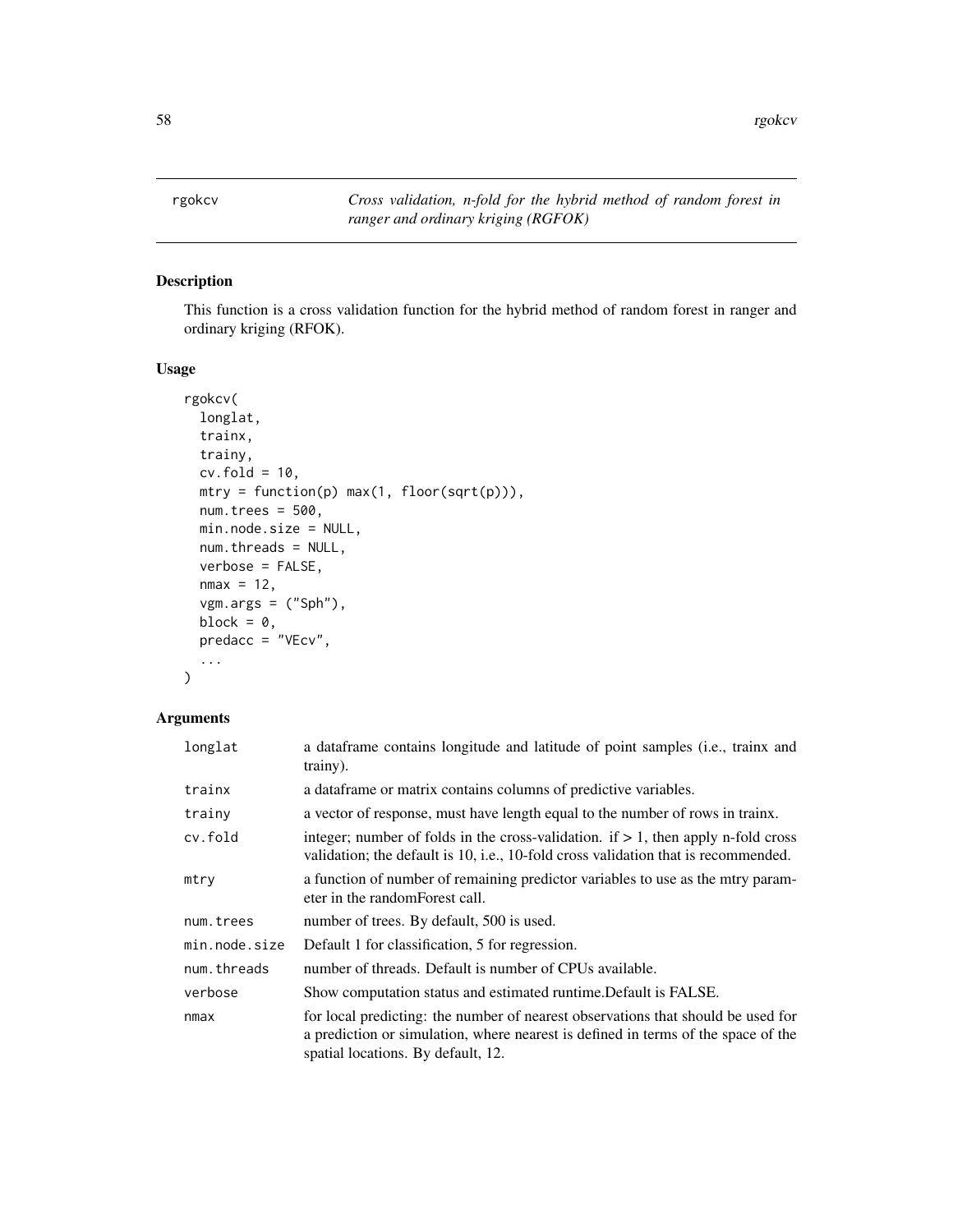rgokcv *Cross validation, n-fold for the hybrid method of random forest in ranger and ordinary kriging (RGFOK)*

## Description

This function is a cross validation function for the hybrid method of random forest in ranger and ordinary kriging (RFOK).

## Usage

```
rgokcv(
 longlat,
  trainx,
  trainy,
 cv.fold = 10,
 mtry = function(p) max(1, floor(sqrt(p))),
 num.trees = 500,
 min.node.size = NULL,
 num.threads = NULL,
 verbose = FALSE,
 nmax = 12,
 vgm.args = ("Sph"),
 block = \theta,
 predacc = "VEcv",
  ...
\mathcal{L}
```

| longlat       | a dataframe contains longitude and latitude of point samples (i.e., trainx and<br>trainy).                                                                                                                  |
|---------------|-------------------------------------------------------------------------------------------------------------------------------------------------------------------------------------------------------------|
| trainx        | a data frame or matrix contains columns of predictive variables.                                                                                                                                            |
| trainy        | a vector of response, must have length equal to the number of rows in trainx.                                                                                                                               |
| cv.fold       | integer; number of folds in the cross-validation. if $> 1$ , then apply n-fold cross<br>validation; the default is 10, i.e., 10-fold cross validation that is recommended.                                  |
| mtry          | a function of number of remaining predictor variables to use as the mtry param-<br>eter in the randomForest call.                                                                                           |
| num.trees     | number of trees. By default, 500 is used.                                                                                                                                                                   |
| min.node.size | Default 1 for classification, 5 for regression.                                                                                                                                                             |
| num.threads   | number of threads. Default is number of CPUs available.                                                                                                                                                     |
| verbose       | Show computation status and estimated runtime. Default is FALSE.                                                                                                                                            |
| nmax          | for local predicting: the number of nearest observations that should be used for<br>a prediction or simulation, where nearest is defined in terms of the space of the<br>spatial locations. By default, 12. |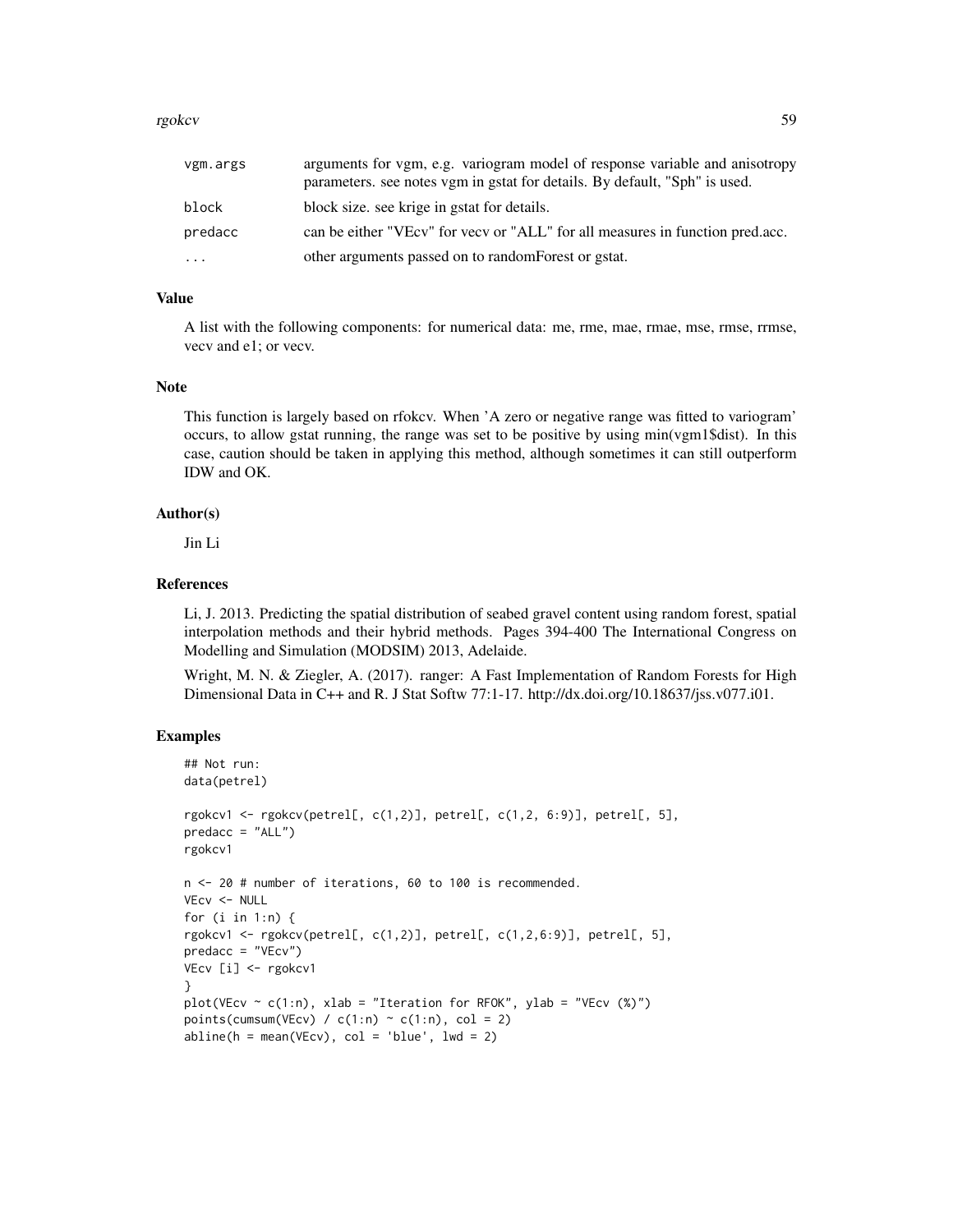#### rgokcv 59 states that the states of the states of the states of the states of the states of the states of the states of the states of the states of the states of the states of the states of the states of the states of the

| vgm.args | arguments for vgm, e.g. variogram model of response variable and anisotropy<br>parameters. see notes vgm in gstat for details. By default, "Sph" is used. |
|----------|-----------------------------------------------------------------------------------------------------------------------------------------------------------|
| block    | block size, see krige in gstat for details.                                                                                                               |
| predacc  | can be either "VEcv" for year or "ALL" for all measures in function pred.acc.                                                                             |
| $\ddots$ | other arguments passed on to random Forest or gstat.                                                                                                      |

## Value

A list with the following components: for numerical data: me, rme, mae, rmae, mse, rmse, rrmse, vecv and e1; or vecv.

## Note

This function is largely based on rfokcv. When 'A zero or negative range was fitted to variogram' occurs, to allow gstat running, the range was set to be positive by using min(vgm1\$dist). In this case, caution should be taken in applying this method, although sometimes it can still outperform IDW and OK.

## Author(s)

Jin Li

## References

Li, J. 2013. Predicting the spatial distribution of seabed gravel content using random forest, spatial interpolation methods and their hybrid methods. Pages 394-400 The International Congress on Modelling and Simulation (MODSIM) 2013, Adelaide.

Wright, M. N. & Ziegler, A. (2017). ranger: A Fast Implementation of Random Forests for High Dimensional Data in C++ and R. J Stat Softw 77:1-17. http://dx.doi.org/10.18637/jss.v077.i01.

## Examples

```
## Not run:
data(petrel)
rgokcv1 <- rgokcv(petrel[, c(1,2)], petrel[, c(1,2, 6:9)], petrel[, 5],
predacc = "ALL")rgokcv1
n <- 20 # number of iterations, 60 to 100 is recommended.
VEcv <- NULL
for (i in 1:n) {
rgokcv1 <- rgokcv(petrel[, c(1,2)], petrel[, c(1,2,6:9)], petrel[, 5],
predacc = "VEcv")
VEcv [i] <- rgokcv1
}
plot(VEcv \sim c(1:n), xlab = "Iteration for RFOK", ylab = "VEcv (%)")
points(cumsum(VEcv) / c(1:n) \sim c(1:n), col = 2)
abline(h = mean(VEcv), col = 'blue', lwd = 2)
```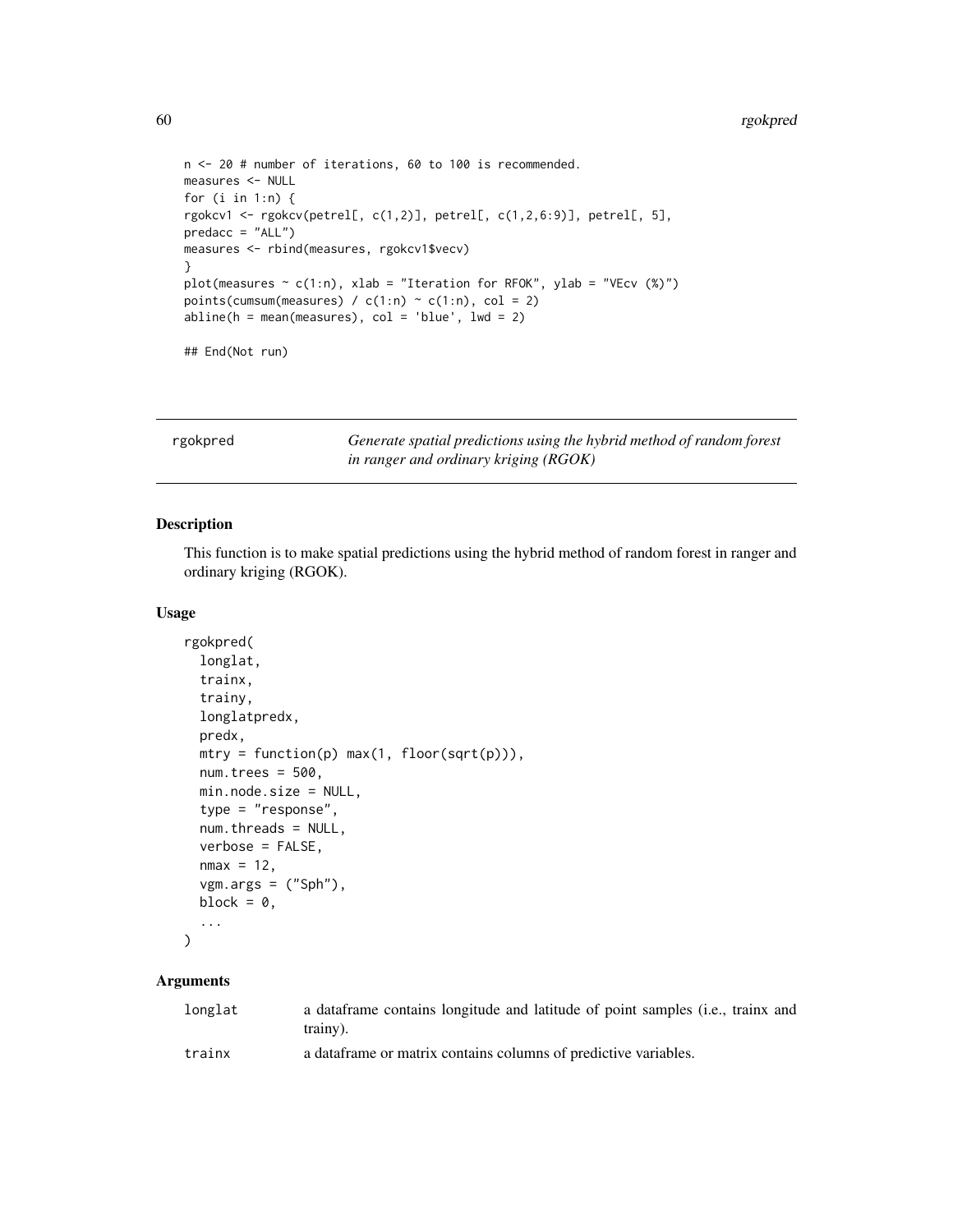```
n <- 20 # number of iterations, 60 to 100 is recommended.
measures <- NULL
for (i in 1:n) {
rgokcv1 <- rgokcv(petrel[, c(1,2)], petrel[, c(1,2,6:9)], petrel[, 5],
predacc = "ALL")measures <- rbind(measures, rgokcv1$vecv)
}
plot(measures \sim c(1:n), xlab = "Iteration for RFOK", ylab = "VEcv (%)")
points(cumsum(measures) / c(1:n) \sim c(1:n), col = 2)
abline(h = mean(measures), col = 'blue', lwd = 2)## End(Not run)
```
rgokpred *Generate spatial predictions using the hybrid method of random forest in ranger and ordinary kriging (RGOK)*

#### Description

This function is to make spatial predictions using the hybrid method of random forest in ranger and ordinary kriging (RGOK).

#### Usage

```
rgokpred(
  longlat,
  trainx,
  trainy,
 longlatpredx,
 predx,
 mtry = function(p) max(1, floor(sqrt(p))),num.trees = 500.
 min.node.size = NULL,
  type = "response",
 num.threads = NULL,
 verbose = FALSE,
 nmax = 12,
  vgm.args = ("Sph"),
 block = \theta,
  ...
\mathcal{L}
```

| longlat | a data frame contains longitude and latitude of point samples (i.e., trainx and<br>trainy). |
|---------|---------------------------------------------------------------------------------------------|
| trainx  | a data frame or matrix contains columns of predictive variables.                            |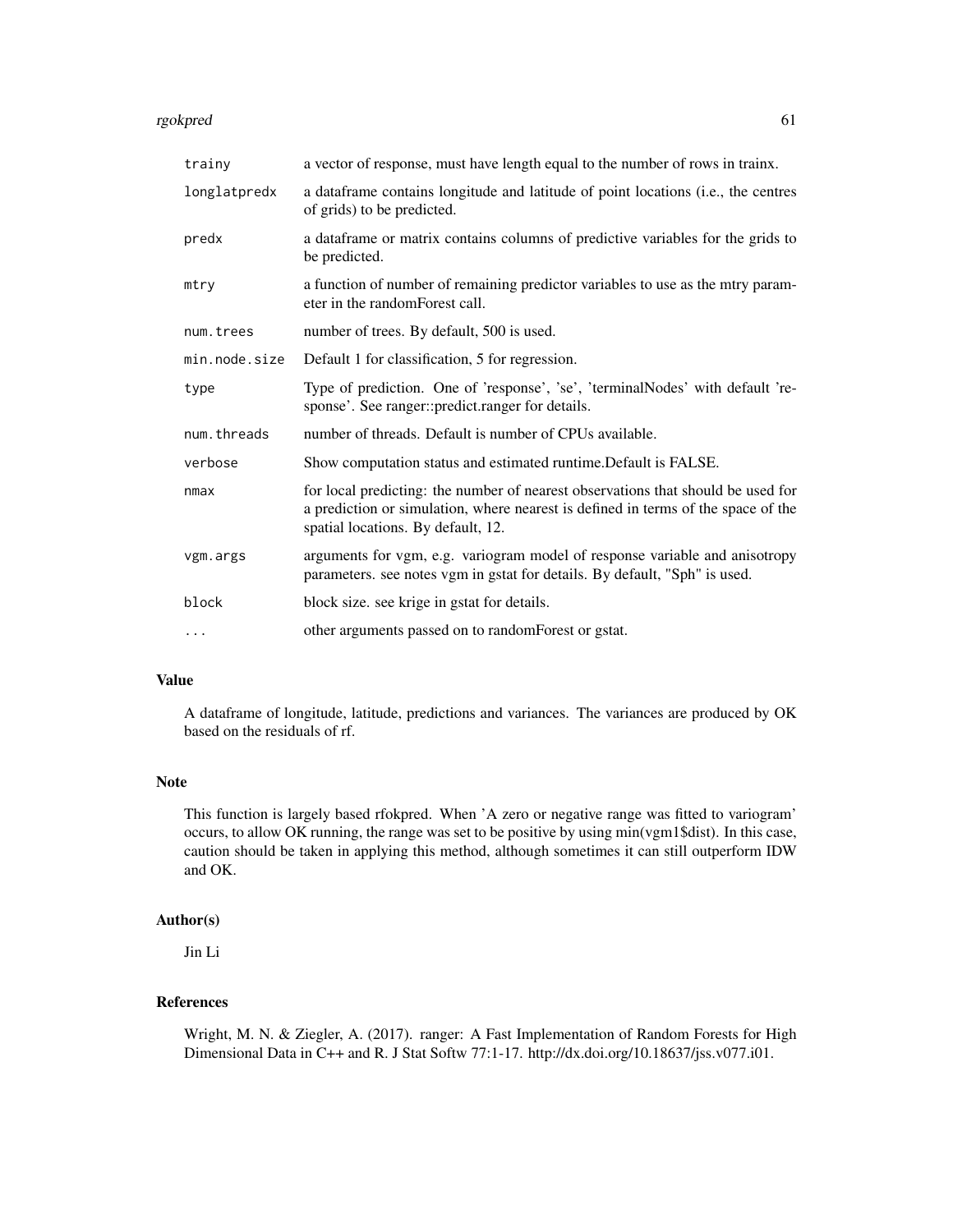#### rgokpred 61

| trainy        | a vector of response, must have length equal to the number of rows in trainx.                                                                                                                               |
|---------------|-------------------------------------------------------------------------------------------------------------------------------------------------------------------------------------------------------------|
| longlatpredx  | a dataframe contains longitude and latitude of point locations (i.e., the centres<br>of grids) to be predicted.                                                                                             |
| predx         | a data frame or matrix contains columns of predictive variables for the grids to<br>be predicted.                                                                                                           |
| mtry          | a function of number of remaining predictor variables to use as the mtry param-<br>eter in the random Forest call.                                                                                          |
| num.trees     | number of trees. By default, 500 is used.                                                                                                                                                                   |
| min.node.size | Default 1 for classification, 5 for regression.                                                                                                                                                             |
| type          | Type of prediction. One of 'response', 'se', 'terminalNodes' with default 're-<br>sponse'. See ranger::predict.ranger for details.                                                                          |
| num.threads   | number of threads. Default is number of CPUs available.                                                                                                                                                     |
| verbose       | Show computation status and estimated runtime. Default is FALSE.                                                                                                                                            |
| nmax          | for local predicting: the number of nearest observations that should be used for<br>a prediction or simulation, where nearest is defined in terms of the space of the<br>spatial locations. By default, 12. |
| vgm.args      | arguments for vgm, e.g. variogram model of response variable and anisotropy<br>parameters. see notes vgm in gstat for details. By default, "Sph" is used.                                                   |
| block         | block size. see krige in gstat for details.                                                                                                                                                                 |
| $\ddotsc$     | other arguments passed on to randomForest or gstat.                                                                                                                                                         |

#### Value

A dataframe of longitude, latitude, predictions and variances. The variances are produced by OK based on the residuals of rf.

## Note

This function is largely based rfokpred. When 'A zero or negative range was fitted to variogram' occurs, to allow OK running, the range was set to be positive by using min(vgm1\$dist). In this case, caution should be taken in applying this method, although sometimes it can still outperform IDW and OK.

## Author(s)

Jin Li

# References

Wright, M. N. & Ziegler, A. (2017). ranger: A Fast Implementation of Random Forests for High Dimensional Data in C++ and R. J Stat Softw 77:1-17. http://dx.doi.org/10.18637/jss.v077.i01.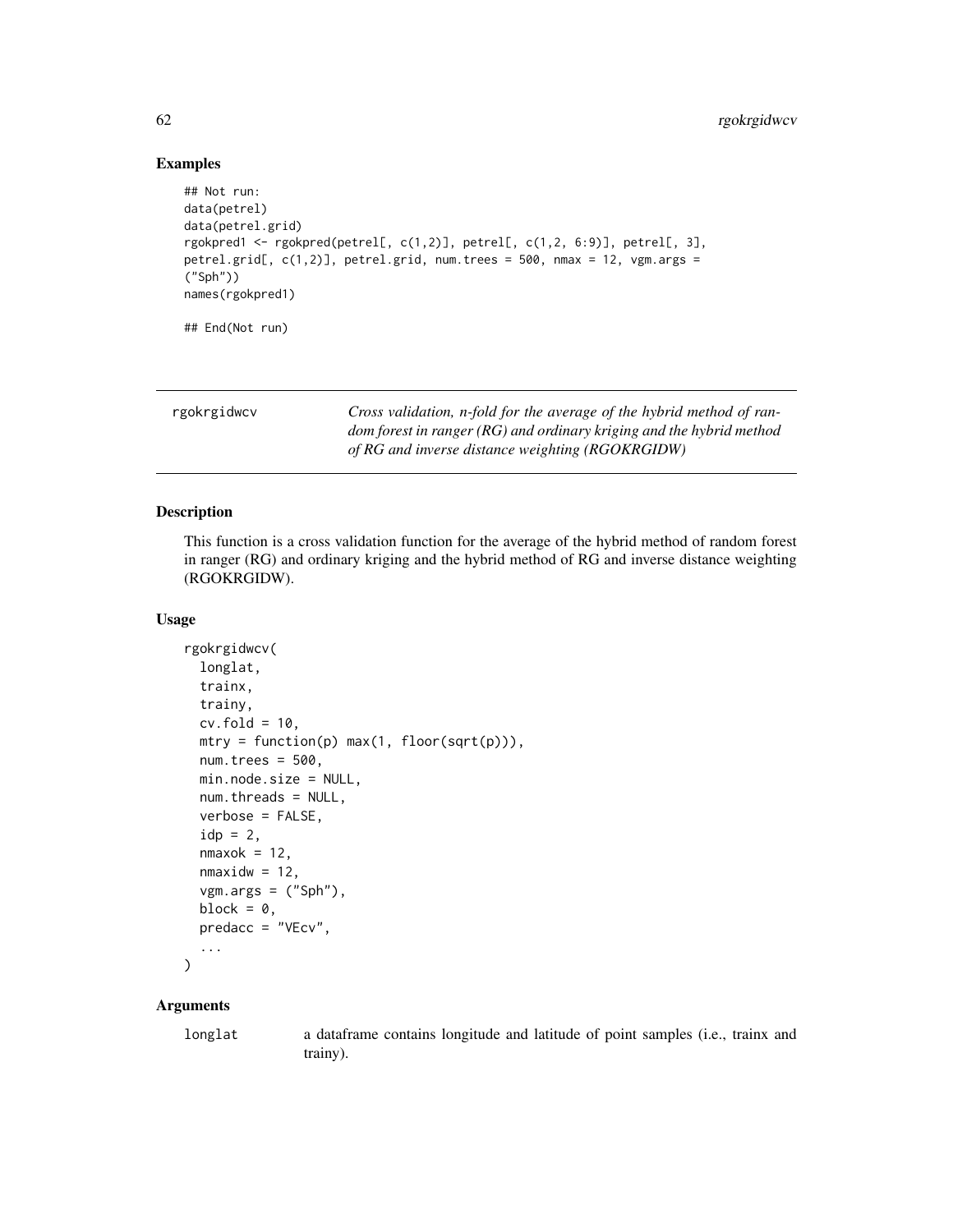## Examples

```
## Not run:
data(petrel)
data(petrel.grid)
rgokpred1 <- rgokpred(petrel[, c(1,2)], petrel[, c(1,2, 6:9)], petrel[, 3],
petrel.grid[, c(1,2)], petrel.grid, num.trees = 500, nmax = 12, vgm.args =
("Sph"))
names(rgokpred1)
## End(Not run)
```

|  | rgokrgidwcv |
|--|-------------|
|--|-------------|

Cross validation, n-fold for the average of the hybrid method of ran*dom forest in ranger (RG) and ordinary kriging and the hybrid method of RG and inverse distance weighting (RGOKRGIDW)*

## Description

This function is a cross validation function for the average of the hybrid method of random forest in ranger (RG) and ordinary kriging and the hybrid method of RG and inverse distance weighting (RGOKRGIDW).

#### Usage

```
rgokrgidwcv(
  longlat,
  trainx,
  trainy,
  cv.fold = 10,
 mtry = function(p) max(1, floor(sqrt(p))),num.trees = 500,
 min.node.size = NULL,
 num.threads = NULL,
  verbose = FALSE,
  idp = 2,
  nmaxok = 12,
  nmaxidw = 12,
  vgm.args = ('Sph''),
 block = \theta,
 predacc = "VEcv",
  ...
)
```
## Arguments

longlat a dataframe contains longitude and latitude of point samples (i.e., trainx and trainy).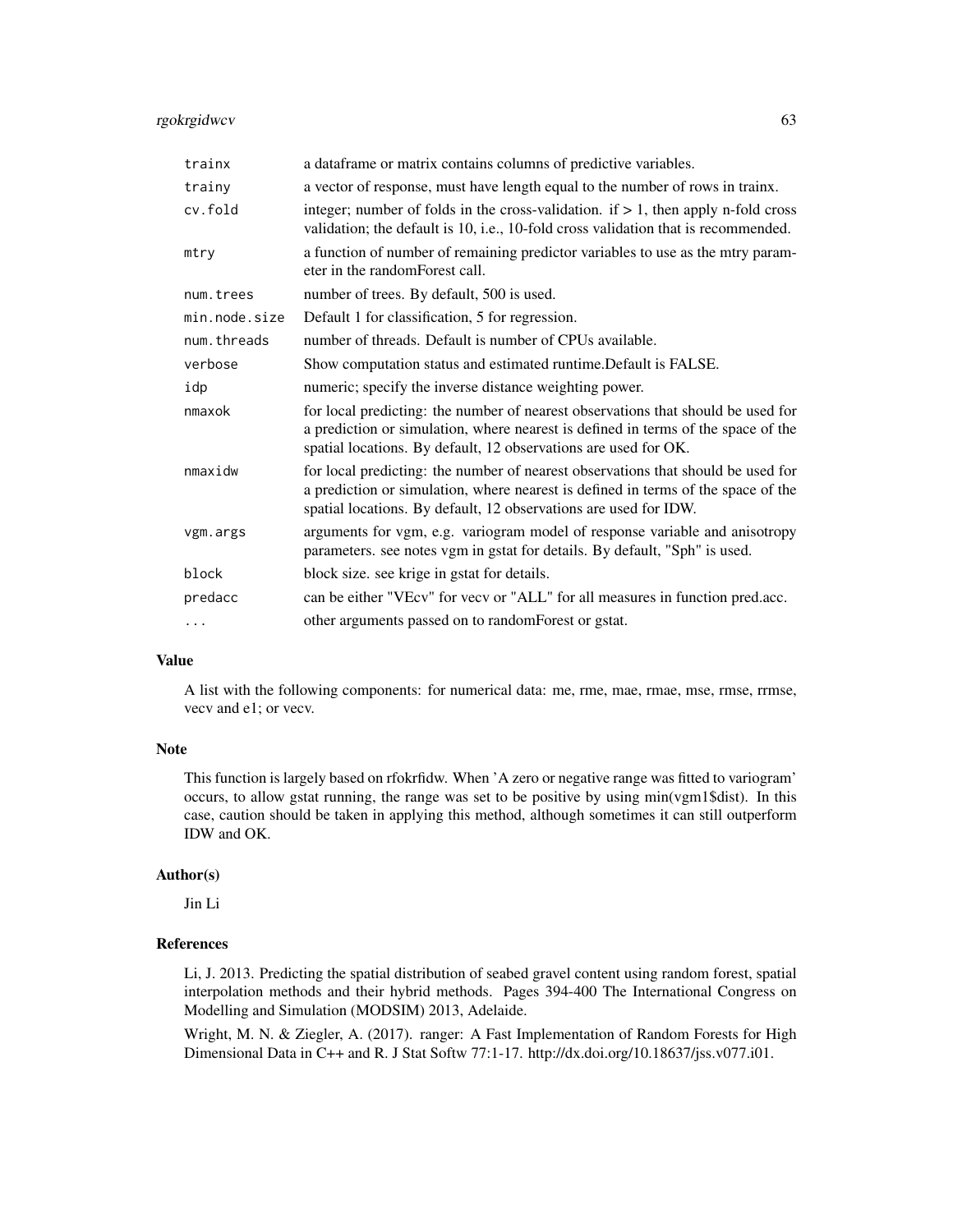## rgokrgidwcv 63

| trainx        | a dataframe or matrix contains columns of predictive variables.                                                                                                                                                                           |
|---------------|-------------------------------------------------------------------------------------------------------------------------------------------------------------------------------------------------------------------------------------------|
| trainy        | a vector of response, must have length equal to the number of rows in trainx.                                                                                                                                                             |
| cv.fold       | integer; number of folds in the cross-validation. if $> 1$ , then apply n-fold cross<br>validation; the default is 10, i.e., 10-fold cross validation that is recommended.                                                                |
| mtry          | a function of number of remaining predictor variables to use as the mtry param-<br>eter in the random Forest call.                                                                                                                        |
| num.trees     | number of trees. By default, 500 is used.                                                                                                                                                                                                 |
| min.node.size | Default 1 for classification, 5 for regression.                                                                                                                                                                                           |
| num.threads   | number of threads. Default is number of CPUs available.                                                                                                                                                                                   |
| verbose       | Show computation status and estimated runtime. Default is FALSE.                                                                                                                                                                          |
| idp           | numeric; specify the inverse distance weighting power.                                                                                                                                                                                    |
| nmaxok        | for local predicting: the number of nearest observations that should be used for<br>a prediction or simulation, where nearest is defined in terms of the space of the<br>spatial locations. By default, 12 observations are used for OK.  |
| nmaxidw       | for local predicting: the number of nearest observations that should be used for<br>a prediction or simulation, where nearest is defined in terms of the space of the<br>spatial locations. By default, 12 observations are used for IDW. |
| vgm.args      | arguments for vgm, e.g. variogram model of response variable and anisotropy<br>parameters. see notes vgm in gstat for details. By default, "Sph" is used.                                                                                 |
| block         | block size. see krige in gstat for details.                                                                                                                                                                                               |
| predacc       | can be either "VEcv" for vecv or "ALL" for all measures in function pred.acc.                                                                                                                                                             |
| .             | other arguments passed on to randomForest or gstat.                                                                                                                                                                                       |

#### Value

A list with the following components: for numerical data: me, rme, mae, rmae, mse, rmse, rrmse, vecv and e1; or vecv.

## Note

This function is largely based on rfokrfidw. When 'A zero or negative range was fitted to variogram' occurs, to allow gstat running, the range was set to be positive by using min(vgm1\$dist). In this case, caution should be taken in applying this method, although sometimes it can still outperform IDW and OK.

#### Author(s)

Jin Li

#### References

Li, J. 2013. Predicting the spatial distribution of seabed gravel content using random forest, spatial interpolation methods and their hybrid methods. Pages 394-400 The International Congress on Modelling and Simulation (MODSIM) 2013, Adelaide.

Wright, M. N. & Ziegler, A. (2017). ranger: A Fast Implementation of Random Forests for High Dimensional Data in C++ and R. J Stat Softw 77:1-17. http://dx.doi.org/10.18637/jss.v077.i01.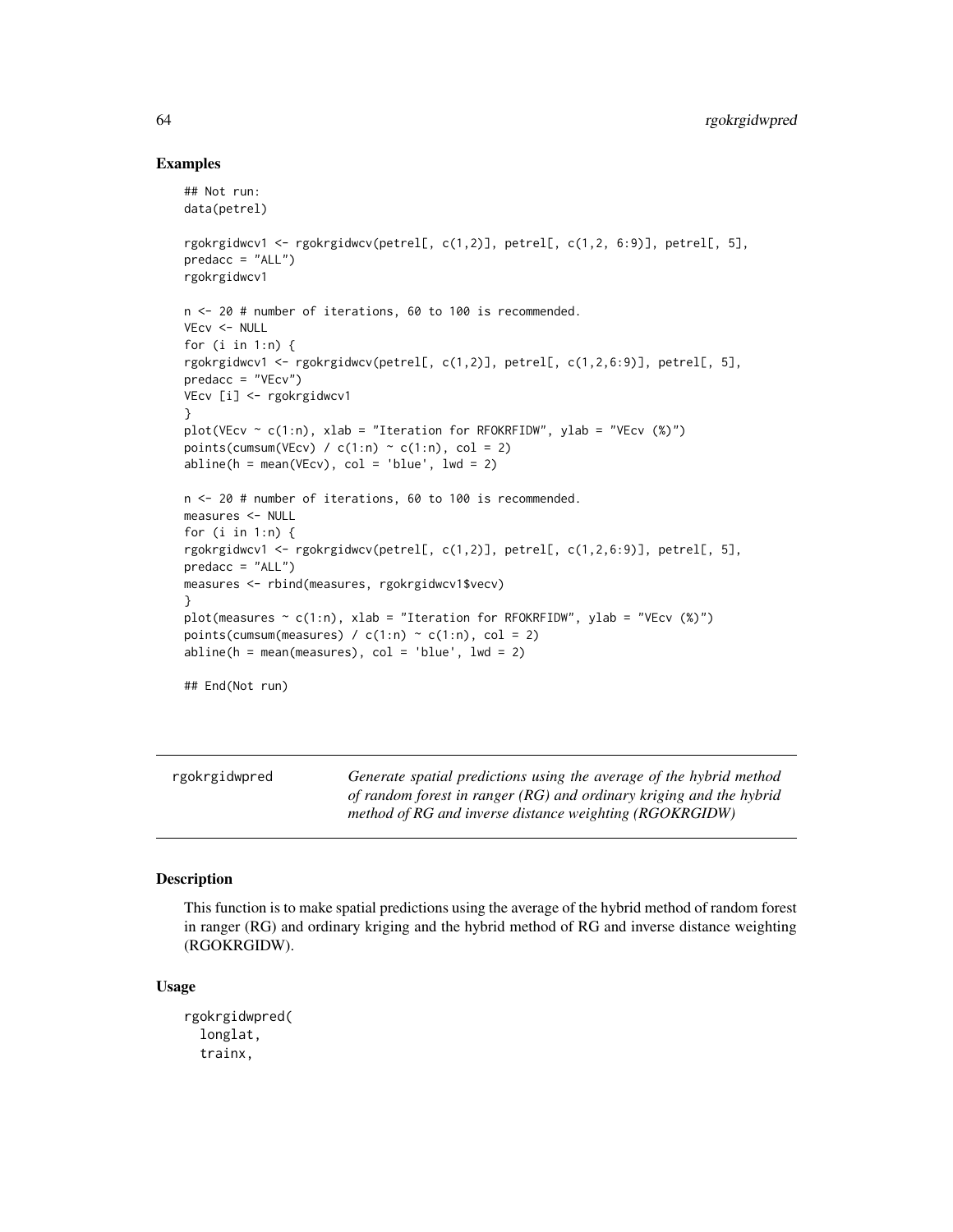#### Examples

```
## Not run:
data(petrel)
rgokrgidwcv1 <- rgokrgidwcv(petrel[, c(1,2)], petrel[, c(1,2, 6:9)], petrel[, 5],
predacc = "ALL")rgokrgidwcv1
n <- 20 # number of iterations, 60 to 100 is recommended.
VEcv <- NULL
for (i in 1:n) {
rgokrgidwcv1 <- rgokrgidwcv(petrel[, c(1,2)], petrel[, c(1,2,6:9)], petrel[, 5],
predacc = "VEcv")
VEcv [i] <- rgokrgidwcv1
}
plot(VEcv \sim c(1:n), xlab = "Iteration for RFOKRFIDW", ylab = "VEcv (%)")
points(cumsum(VEcv) / c(1:n) \sim c(1:n), col = 2)
abline(h = mean(VEcv), col = 'blue', lwd = 2)n <- 20 # number of iterations, 60 to 100 is recommended.
measures <- NULL
for (i in 1:n) {
rgokrgidwcv1 <- rgokrgidwcv(petrel[, c(1,2)], petrel[, c(1,2,6:9)], petrel[, 5],
predacc = "ALL")measures <- rbind(measures, rgokrgidwcv1$vecv)
}
plot(measures \sim c(1:n), xlab = "Iteration for RFOKRFIDW", ylab = "VEcv (%)")
points(cumsum(measures) / c(1:n) \sim c(1:n), col = 2)
abline(h = mean(measures), col = 'blue', lwd = 2)## End(Not run)
```
rgokrgidwpred *Generate spatial predictions using the average of the hybrid method of random forest in ranger (RG) and ordinary kriging and the hybrid method of RG and inverse distance weighting (RGOKRGIDW)*

## Description

This function is to make spatial predictions using the average of the hybrid method of random forest in ranger (RG) and ordinary kriging and the hybrid method of RG and inverse distance weighting (RGOKRGIDW).

#### Usage

rgokrgidwpred( longlat, trainx,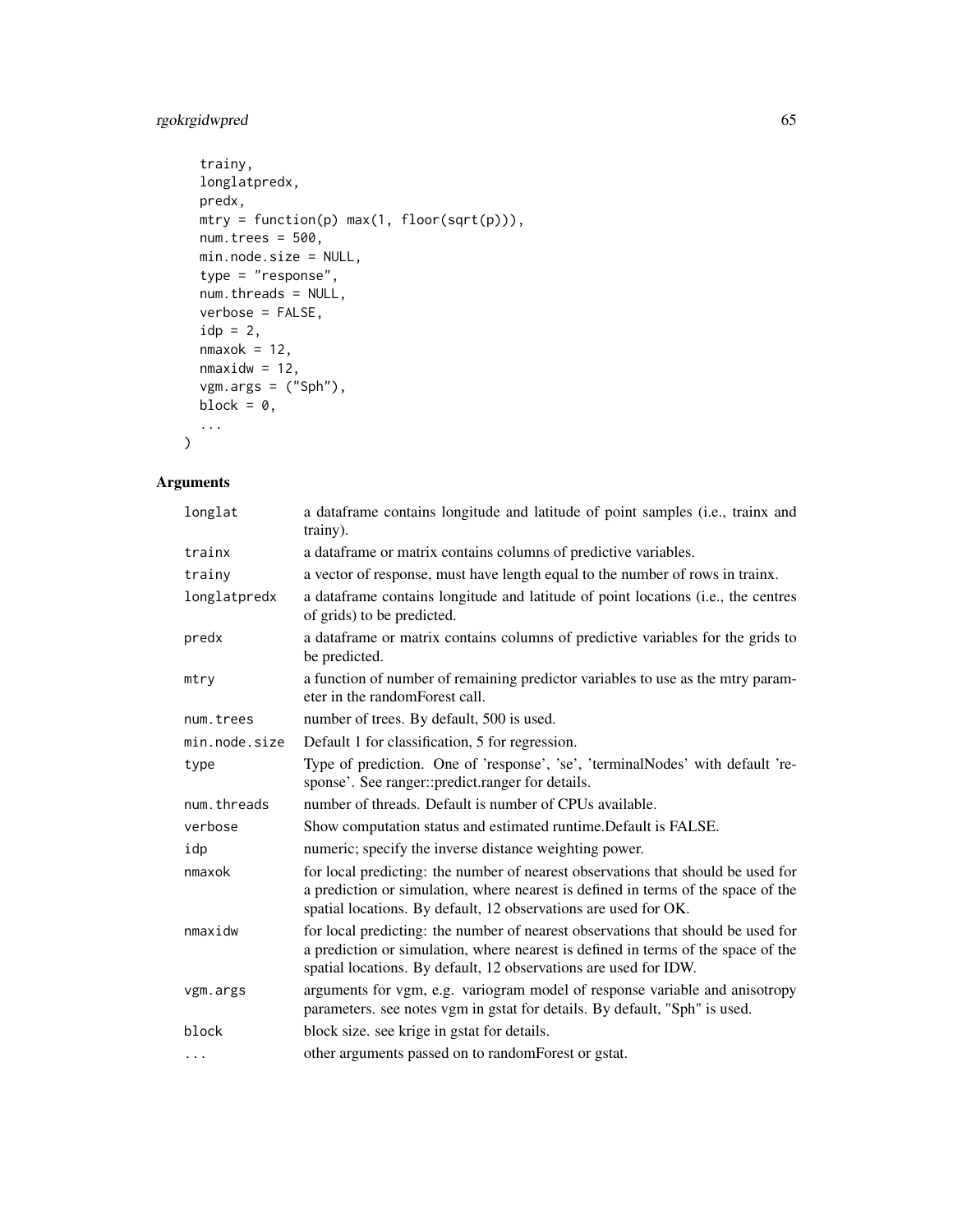# rgokrgidwpred 65

```
trainy,
 longlatpredx,
 predx,
 mtry = function(p) max(1, floor(sqrt(p))),num.trees = 500,
 min.node.size = NULL,
 type = "response",
 num.threads = NULL,
 verbose = FALSE,
 idp = 2,
 nmaxok = 12,
 nmaxidw = 12,
 vgm.args = ("Sph"),
 block = 0,
  ...
)
```

| longlat       | a dataframe contains longitude and latitude of point samples (i.e., trainx and<br>trainy).                                                                                                                                                |
|---------------|-------------------------------------------------------------------------------------------------------------------------------------------------------------------------------------------------------------------------------------------|
| trainx        | a data frame or matrix contains columns of predictive variables.                                                                                                                                                                          |
| trainy        | a vector of response, must have length equal to the number of rows in trainx.                                                                                                                                                             |
| longlatpredx  | a dataframe contains longitude and latitude of point locations (i.e., the centres<br>of grids) to be predicted.                                                                                                                           |
| predx         | a dataframe or matrix contains columns of predictive variables for the grids to<br>be predicted.                                                                                                                                          |
| mtry          | a function of number of remaining predictor variables to use as the mtry param-<br>eter in the random Forest call.                                                                                                                        |
| num.trees     | number of trees. By default, 500 is used.                                                                                                                                                                                                 |
| min.node.size | Default 1 for classification, 5 for regression.                                                                                                                                                                                           |
| type          | Type of prediction. One of 'response', 'se', 'terminalNodes' with default 're-<br>sponse'. See ranger::predict.ranger for details.                                                                                                        |
| num.threads   | number of threads. Default is number of CPUs available.                                                                                                                                                                                   |
| verbose       | Show computation status and estimated runtime. Default is FALSE.                                                                                                                                                                          |
| idp           | numeric; specify the inverse distance weighting power.                                                                                                                                                                                    |
| nmaxok        | for local predicting: the number of nearest observations that should be used for<br>a prediction or simulation, where nearest is defined in terms of the space of the<br>spatial locations. By default, 12 observations are used for OK.  |
| nmaxidw       | for local predicting: the number of nearest observations that should be used for<br>a prediction or simulation, where nearest is defined in terms of the space of the<br>spatial locations. By default, 12 observations are used for IDW. |
| vgm.args      | arguments for vgm, e.g. variogram model of response variable and anisotropy<br>parameters. see notes vgm in gstat for details. By default, "Sph" is used.                                                                                 |
| block         | block size. see krige in gstat for details.                                                                                                                                                                                               |
| .             | other arguments passed on to randomForest or gstat.                                                                                                                                                                                       |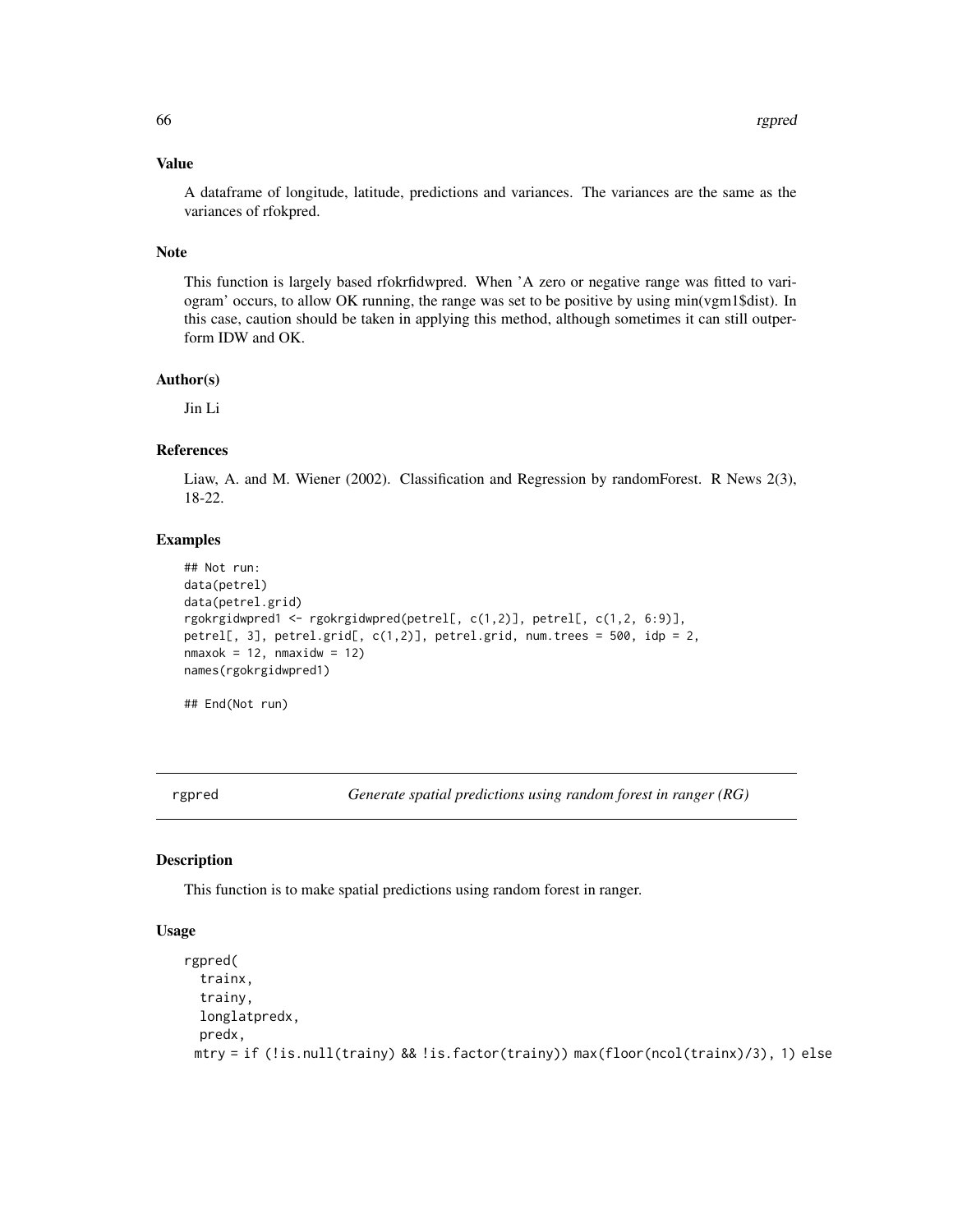## Value

A dataframe of longitude, latitude, predictions and variances. The variances are the same as the variances of rfokpred.

#### Note

This function is largely based rfokrfidwpred. When 'A zero or negative range was fitted to variogram' occurs, to allow OK running, the range was set to be positive by using min(vgm1\$dist). In this case, caution should be taken in applying this method, although sometimes it can still outperform IDW and OK.

## Author(s)

Jin Li

## References

Liaw, A. and M. Wiener (2002). Classification and Regression by randomForest. R News 2(3), 18-22.

## Examples

```
## Not run:
data(petrel)
data(petrel.grid)
rgokrgidwpred1 <- rgokrgidwpred(petrel[, c(1,2)], petrel[, c(1,2, 6:9)],
petrel[, 3], petrel.grid[, c(1,2)], petrel.grid, num.trees = 500, idp = 2,
nmaxok = 12, nmaxidw = 12names(rgokrgidwpred1)
## End(Not run)
```
rgpred *Generate spatial predictions using random forest in ranger (RG)*

## Description

This function is to make spatial predictions using random forest in ranger.

#### Usage

```
rgpred(
  trainx,
  trainy,
 longlatpredx,
 predx,
 mtry = if (!is.null(trainy) && !is.factor(trainy)) max(floor(ncol(trainx)/3), 1) else
```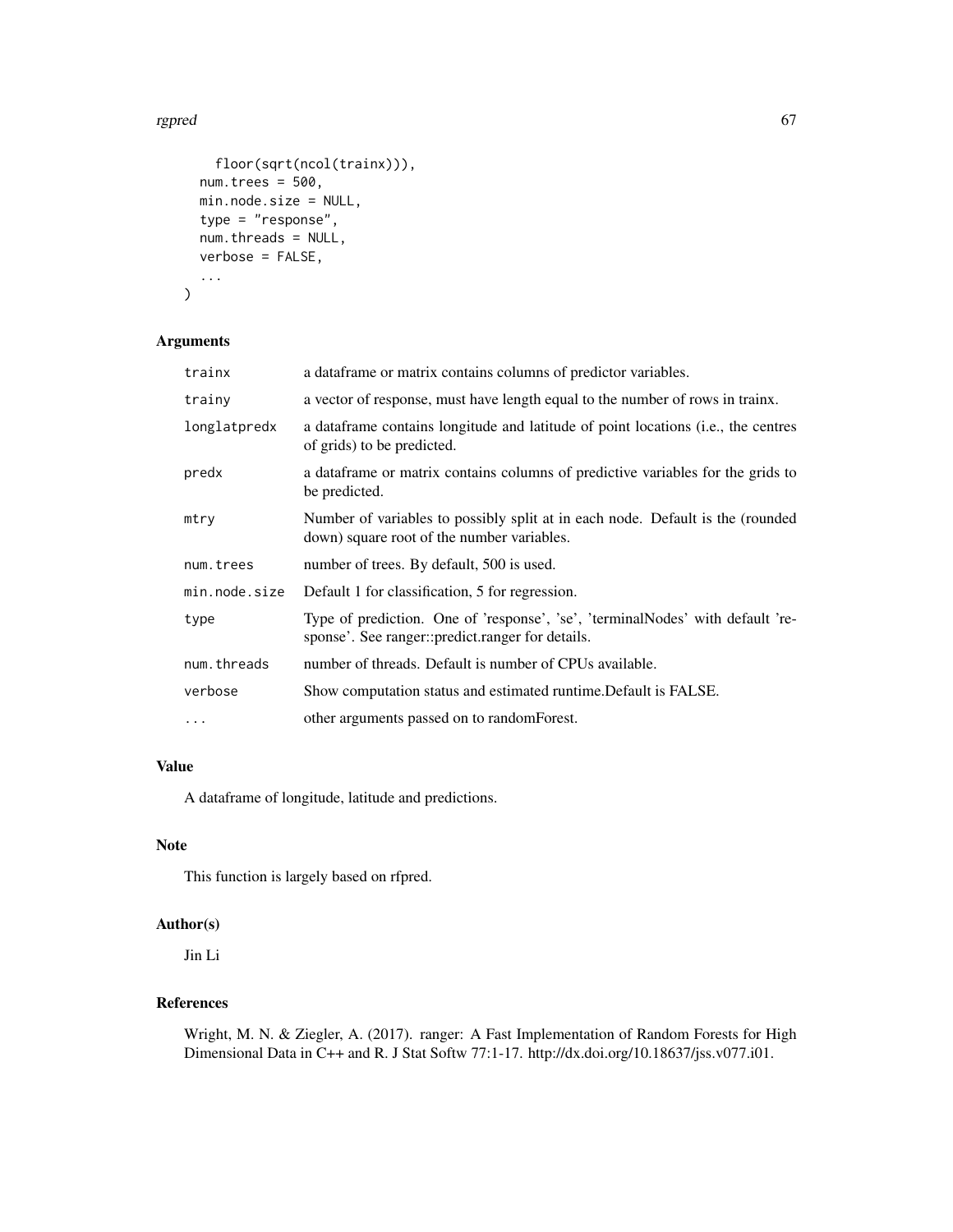#### rgpred 67

```
floor(sqrt(ncol(trainx))),
num.trees = 500,
min.node.size = NULL,
type = "response",
num.threads = NULL,
verbose = FALSE,
...
```
# Arguments

 $\mathcal{L}$ 

| trainx        | a data frame or matrix contains columns of predictor variables.                                                                    |
|---------------|------------------------------------------------------------------------------------------------------------------------------------|
| trainy        | a vector of response, must have length equal to the number of rows in trainx.                                                      |
| longlatpredx  | a data frame contains longitude and latitude of point locations (i.e., the centres<br>of grids) to be predicted.                   |
| predx         | a data frame or matrix contains columns of predictive variables for the grids to<br>be predicted.                                  |
| mtry          | Number of variables to possibly split at in each node. Default is the (rounded<br>down) square root of the number variables.       |
| num.trees     | number of trees. By default, 500 is used.                                                                                          |
| min.node.size | Default 1 for classification, 5 for regression.                                                                                    |
| type          | Type of prediction. One of 'response', 'se', 'terminalNodes' with default 're-<br>sponse'. See ranger::predict.ranger for details. |
| num.threads   | number of threads. Default is number of CPUs available.                                                                            |
| verbose       | Show computation status and estimated runtime. Default is FALSE.                                                                   |
| $\ddots$ .    | other arguments passed on to random Forest.                                                                                        |

# Value

A dataframe of longitude, latitude and predictions.

## Note

This function is largely based on rfpred.

# Author(s)

Jin Li

## References

Wright, M. N. & Ziegler, A. (2017). ranger: A Fast Implementation of Random Forests for High Dimensional Data in C++ and R. J Stat Softw 77:1-17. http://dx.doi.org/10.18637/jss.v077.i01.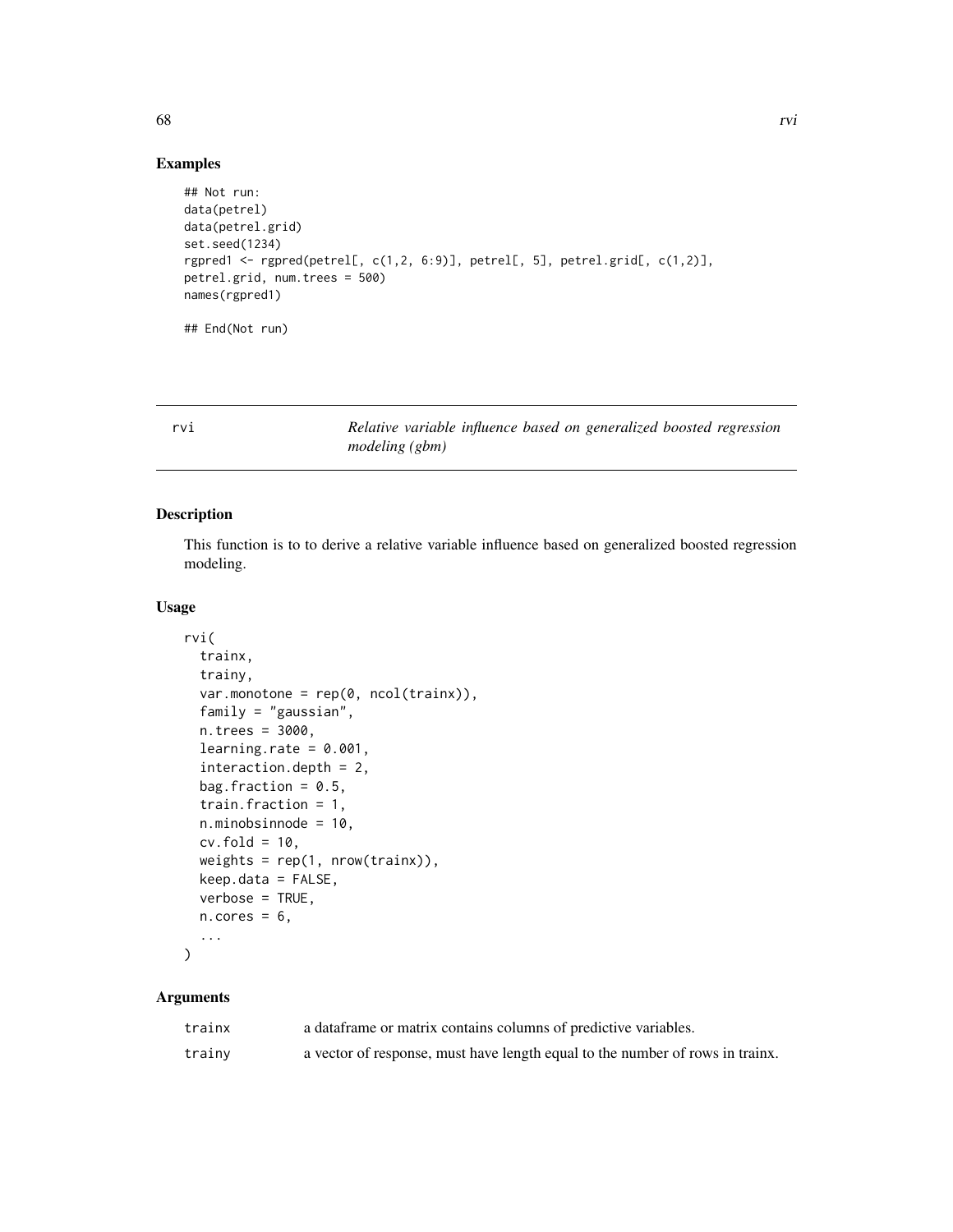## Examples

```
## Not run:
data(petrel)
data(petrel.grid)
set.seed(1234)
rgpred1 <- rgpred(petrel[, c(1,2, 6:9)], petrel[, 5], petrel.grid[, c(1,2)],
petrel.grid, num.trees = 500)
names(rgpred1)
## End(Not run)
```
rvi *Relative variable influence based on generalized boosted regression modeling (gbm)*

## Description

This function is to to derive a relative variable influence based on generalized boosted regression modeling.

## Usage

```
rvi(
  trainx,
  trainy,
  var.monotone = rep(0, ncol(trainx)),family = "gaussian",
  n.trees = 3000,
  learning.rate = 0.001,
  interaction.depth = 2,
  bag.fraction = 0.5,
  train.fraction = 1,
  n.minobsinnode = 10,
  cv.fold = 10,
  weights = rep(1, nrow(trainx)),
  keep.data = FALSE,
  verbose = TRUE,
 n.core<sub>s</sub> = 6,
  ...
)
```
## Arguments

| trainx | a data frame or matrix contains columns of predictive variables.              |
|--------|-------------------------------------------------------------------------------|
| trainv | a vector of response, must have length equal to the number of rows in trainx. |

68 rvi and the contract of the contract of the contract of the contract of the contract of the contract of the contract of the contract of the contract of the contract of the contract of the contract of the contract of the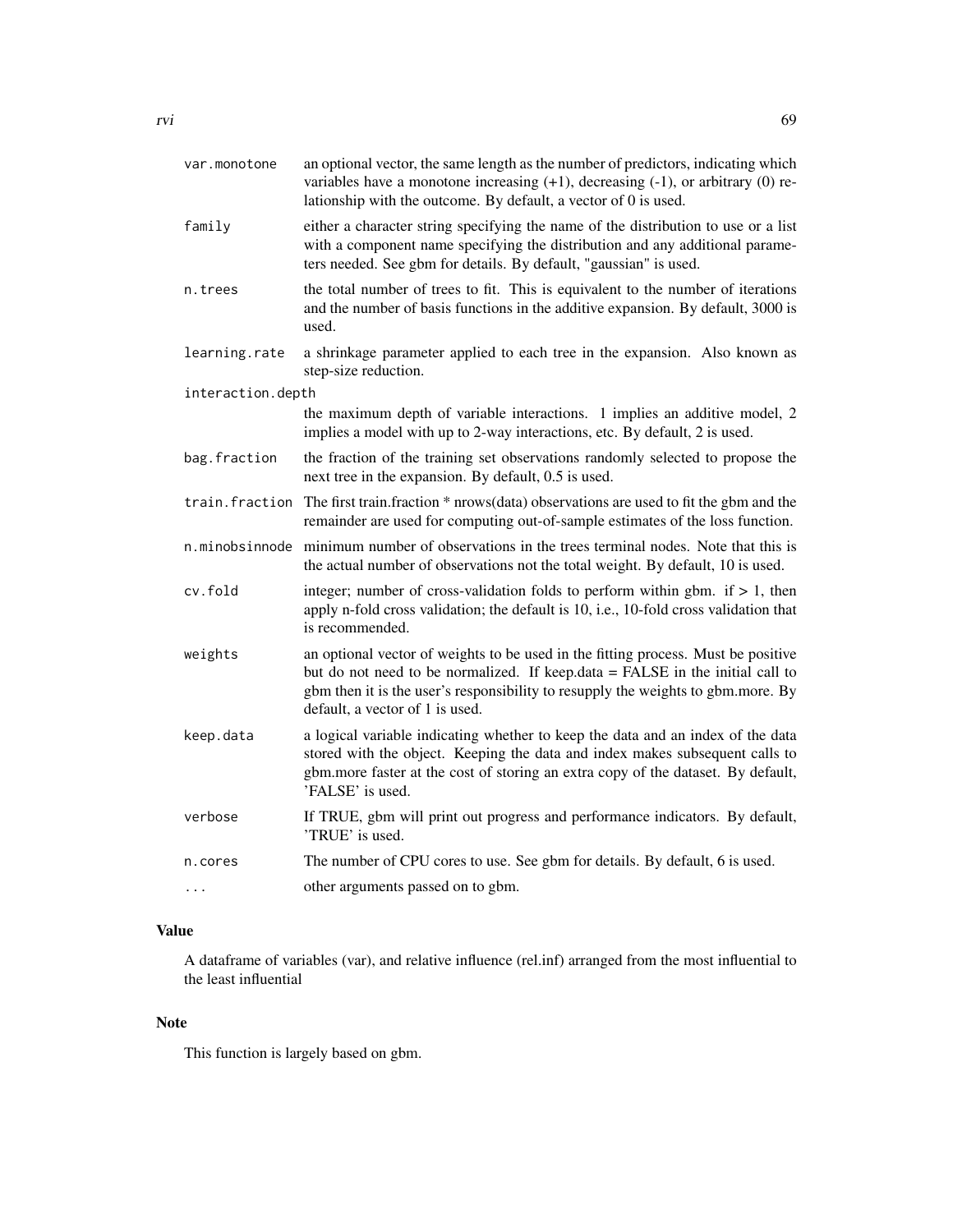| var.monotone      | an optional vector, the same length as the number of predictors, indicating which<br>variables have a monotone increasing $(+1)$ , decreasing $(-1)$ , or arbitrary $(0)$ re-<br>lationship with the outcome. By default, a vector of 0 is used.                                          |  |
|-------------------|-------------------------------------------------------------------------------------------------------------------------------------------------------------------------------------------------------------------------------------------------------------------------------------------|--|
| family            | either a character string specifying the name of the distribution to use or a list<br>with a component name specifying the distribution and any additional parame-<br>ters needed. See gbm for details. By default, "gaussian" is used.                                                   |  |
| n.trees           | the total number of trees to fit. This is equivalent to the number of iterations<br>and the number of basis functions in the additive expansion. By default, 3000 is<br>used.                                                                                                             |  |
| learning.rate     | a shrinkage parameter applied to each tree in the expansion. Also known as<br>step-size reduction.                                                                                                                                                                                        |  |
| interaction.depth |                                                                                                                                                                                                                                                                                           |  |
|                   | the maximum depth of variable interactions. 1 implies an additive model, 2<br>implies a model with up to 2-way interactions, etc. By default, 2 is used.                                                                                                                                  |  |
| bag.fraction      | the fraction of the training set observations randomly selected to propose the<br>next tree in the expansion. By default, 0.5 is used.                                                                                                                                                    |  |
| train.fraction    | The first train.fraction * nrows(data) observations are used to fit the gbm and the<br>remainder are used for computing out-of-sample estimates of the loss function.                                                                                                                     |  |
|                   | n.minobsinnode minimum number of observations in the trees terminal nodes. Note that this is<br>the actual number of observations not the total weight. By default, 10 is used.                                                                                                           |  |
| cv.fold           | integer; number of cross-validation folds to perform within gbm. if $> 1$ , then<br>apply n-fold cross validation; the default is 10, i.e., 10-fold cross validation that<br>is recommended.                                                                                              |  |
| weights           | an optional vector of weights to be used in the fitting process. Must be positive<br>but do not need to be normalized. If keep.data = FALSE in the initial call to<br>gbm then it is the user's responsibility to resupply the weights to gbm.more. By<br>default, a vector of 1 is used. |  |
| keep.data         | a logical variable indicating whether to keep the data and an index of the data<br>stored with the object. Keeping the data and index makes subsequent calls to<br>gbm.more faster at the cost of storing an extra copy of the dataset. By default,<br>'FALSE' is used.                   |  |
| verbose           | If TRUE, gbm will print out progress and performance indicators. By default,<br>'TRUE' is used.                                                                                                                                                                                           |  |

n.cores The number of CPU cores to use. See gbm for details. By default, 6 is used.

... other arguments passed on to gbm.

# Value

A dataframe of variables (var), and relative influence (rel.inf) arranged from the most influential to the least influential

# Note

This function is largely based on gbm.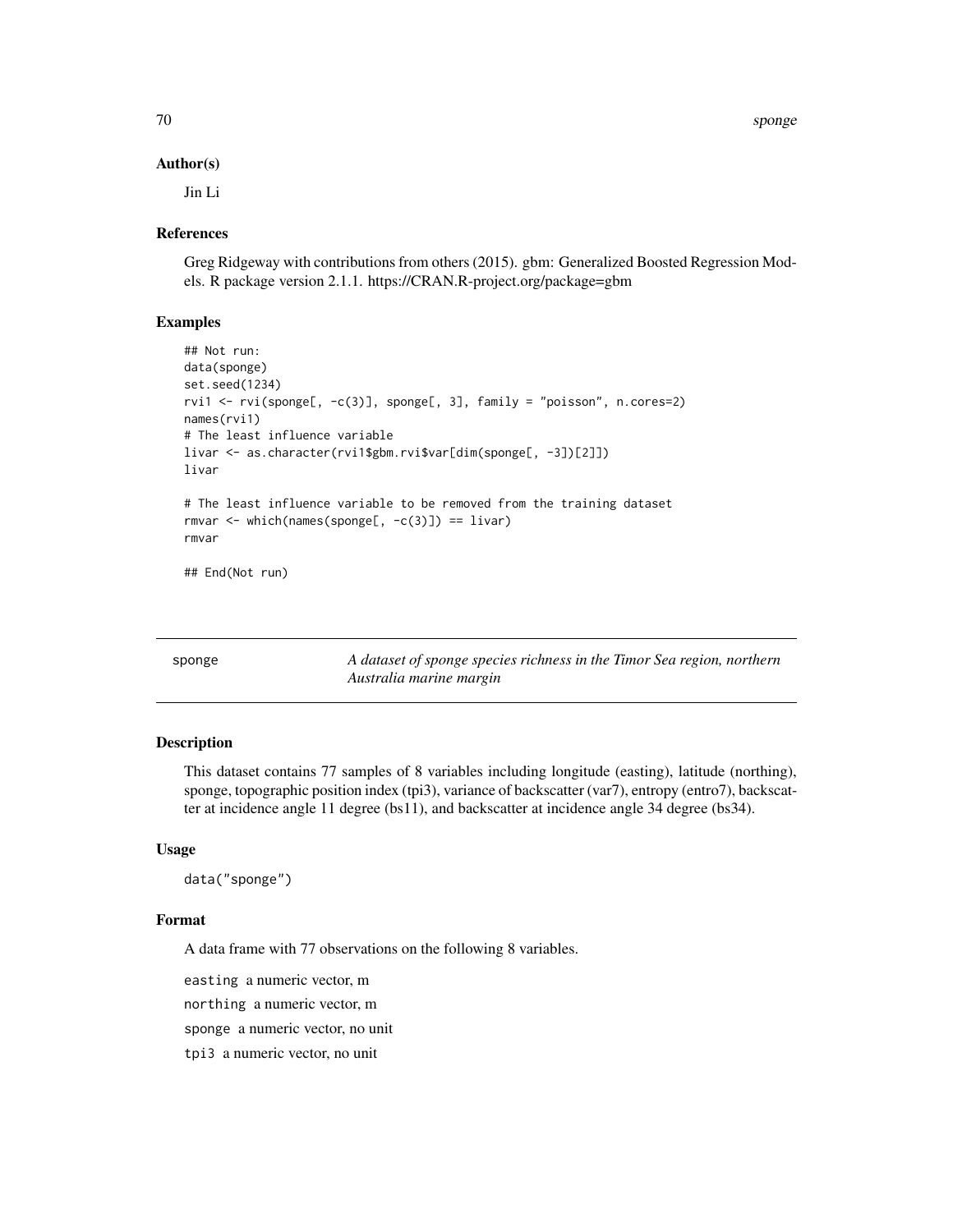70 sponge

#### Author(s)

Jin Li

## References

Greg Ridgeway with contributions from others (2015). gbm: Generalized Boosted Regression Models. R package version 2.1.1. https://CRAN.R-project.org/package=gbm

## Examples

```
## Not run:
data(sponge)
set.seed(1234)
rvi1 <- rvi(sponge[, -c(3)], sponge[, 3], family = "poisson", n.cores=2)
names(rvi1)
# The least influence variable
livar <- as.character(rvi1$gbm.rvi$var[dim(sponge[, -3])[2]])
livar
# The least influence variable to be removed from the training dataset
rmvar \leq which(names(sponge[, -c(3)]) == livar)
rmvar
## End(Not run)
```

| sponge | A dataset of sponge species richness in the Timor Sea region, northern |
|--------|------------------------------------------------------------------------|
|        | Australia marine margin                                                |

## Description

This dataset contains 77 samples of 8 variables including longitude (easting), latitude (northing), sponge, topographic position index (tpi3), variance of backscatter (var7), entropy (entro7), backscatter at incidence angle 11 degree (bs11), and backscatter at incidence angle 34 degree (bs34).

#### Usage

```
data("sponge")
```
#### Format

A data frame with 77 observations on the following 8 variables.

easting a numeric vector, m

northing a numeric vector, m

sponge a numeric vector, no unit

tpi3 a numeric vector, no unit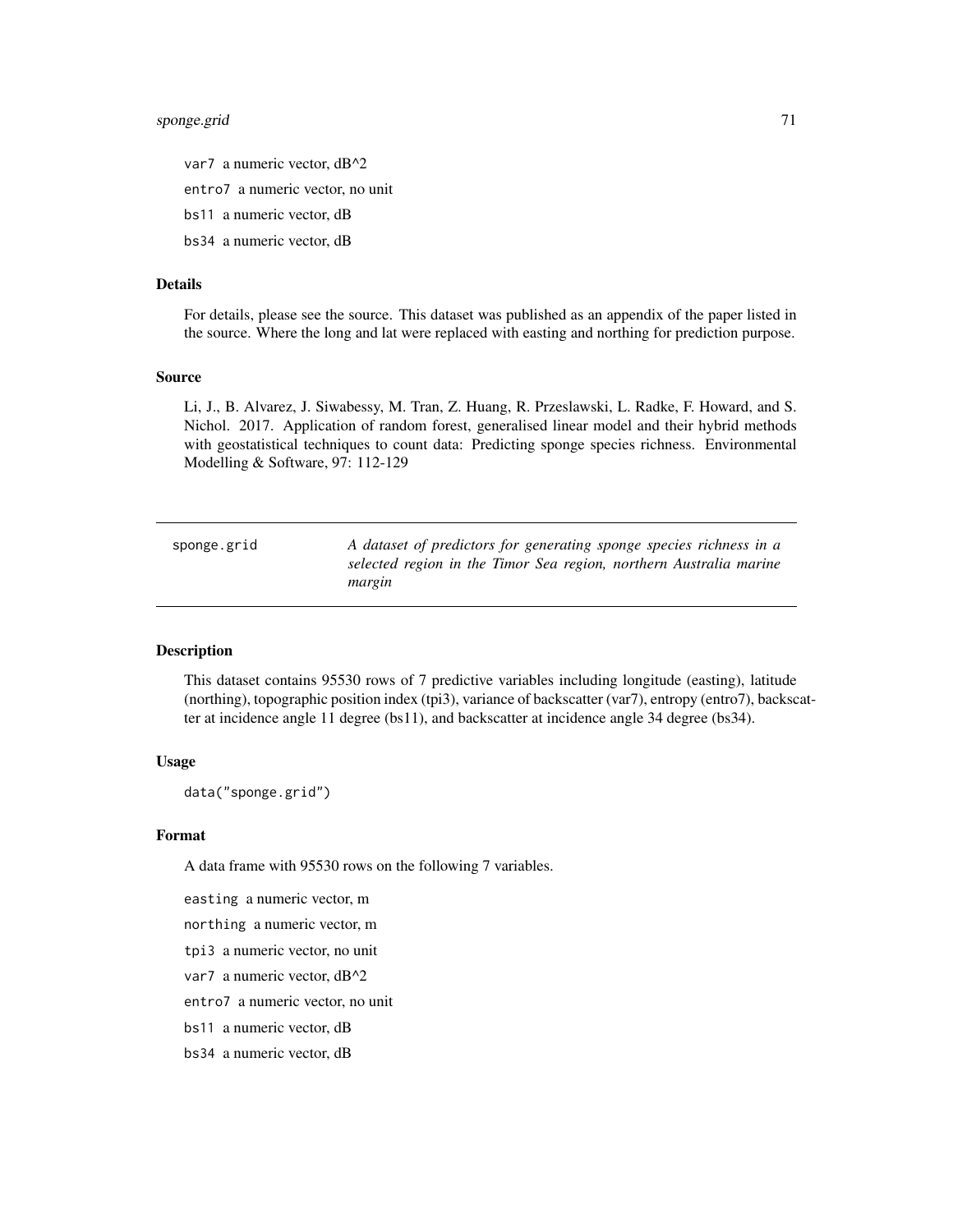## sponge.grid 71

- var7 a numeric vector, dB^2
- entro7 a numeric vector, no unit
- bs11 a numeric vector, dB
- bs34 a numeric vector, dB

## Details

For details, please see the source. This dataset was published as an appendix of the paper listed in the source. Where the long and lat were replaced with easting and northing for prediction purpose.

#### Source

Li, J., B. Alvarez, J. Siwabessy, M. Tran, Z. Huang, R. Przeslawski, L. Radke, F. Howard, and S. Nichol. 2017. Application of random forest, generalised linear model and their hybrid methods with geostatistical techniques to count data: Predicting sponge species richness. Environmental Modelling & Software, 97: 112-129

| sponge.grid | A dataset of predictors for generating sponge species richness in a |
|-------------|---------------------------------------------------------------------|
|             | selected region in the Timor Sea region, northern Australia marine  |
|             | margin                                                              |

## **Description**

This dataset contains 95530 rows of 7 predictive variables including longitude (easting), latitude (northing), topographic position index (tpi3), variance of backscatter (var7), entropy (entro7), backscatter at incidence angle 11 degree (bs11), and backscatter at incidence angle 34 degree (bs34).

## Usage

```
data("sponge.grid")
```
#### Format

A data frame with 95530 rows on the following 7 variables.

easting a numeric vector, m

northing a numeric vector, m

tpi3 a numeric vector, no unit

var7 a numeric vector, dB^2

entro7 a numeric vector, no unit

bs11 a numeric vector, dB

bs34 a numeric vector, dB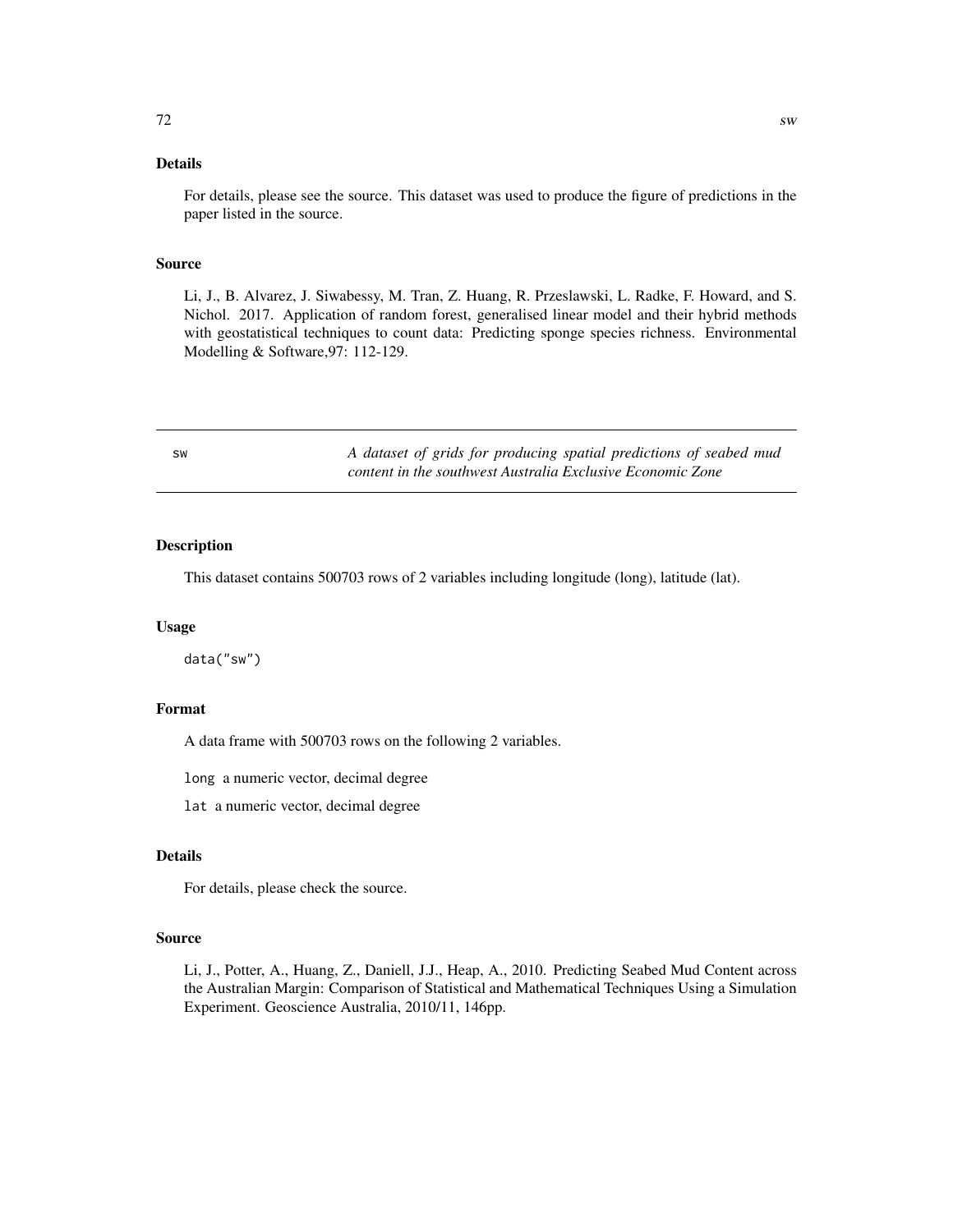# Details

For details, please see the source. This dataset was used to produce the figure of predictions in the paper listed in the source.

## Source

Li, J., B. Alvarez, J. Siwabessy, M. Tran, Z. Huang, R. Przeslawski, L. Radke, F. Howard, and S. Nichol. 2017. Application of random forest, generalised linear model and their hybrid methods with geostatistical techniques to count data: Predicting sponge species richness. Environmental Modelling & Software,97: 112-129.

| <b>SW</b> | A dataset of grids for producing spatial predictions of seabed mud |
|-----------|--------------------------------------------------------------------|
|           | content in the southwest Australia Exclusive Economic Zone         |

#### Description

This dataset contains 500703 rows of 2 variables including longitude (long), latitude (lat).

#### Usage

data("sw")

## Format

A data frame with 500703 rows on the following 2 variables.

long a numeric vector, decimal degree

lat a numeric vector, decimal degree

# Details

For details, please check the source.

#### Source

Li, J., Potter, A., Huang, Z., Daniell, J.J., Heap, A., 2010. Predicting Seabed Mud Content across the Australian Margin: Comparison of Statistical and Mathematical Techniques Using a Simulation Experiment. Geoscience Australia, 2010/11, 146pp.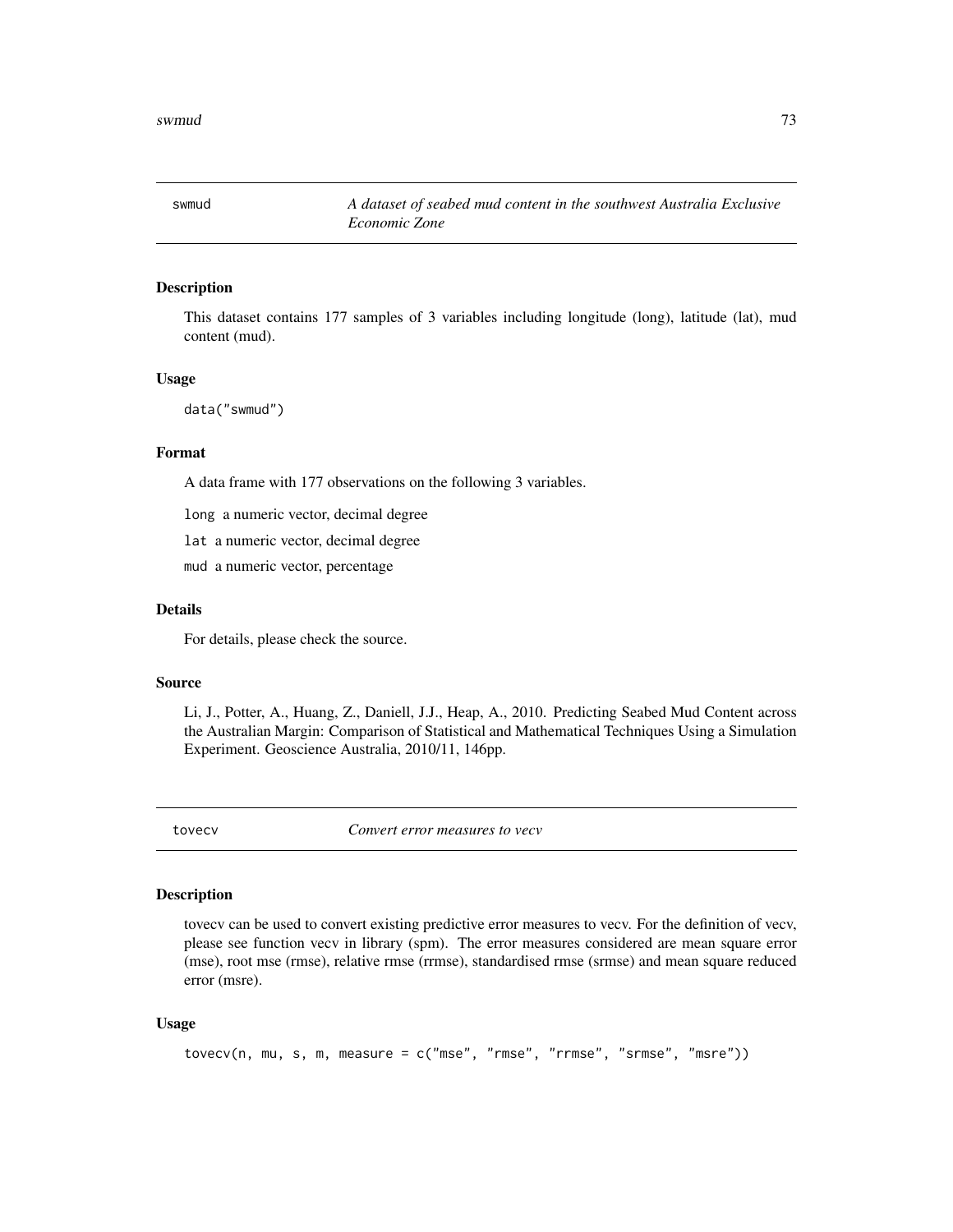<span id="page-72-0"></span>

#### Description

This dataset contains 177 samples of 3 variables including longitude (long), latitude (lat), mud content (mud).

#### Usage

data("swmud")

# Format

A data frame with 177 observations on the following 3 variables.

long a numeric vector, decimal degree

lat a numeric vector, decimal degree

mud a numeric vector, percentage

# Details

For details, please check the source.

#### Source

Li, J., Potter, A., Huang, Z., Daniell, J.J., Heap, A., 2010. Predicting Seabed Mud Content across the Australian Margin: Comparison of Statistical and Mathematical Techniques Using a Simulation Experiment. Geoscience Australia, 2010/11, 146pp.

tovecv *Convert error measures to vecv*

### Description

tovecv can be used to convert existing predictive error measures to vecv. For the definition of vecv, please see function vecv in library (spm). The error measures considered are mean square error (mse), root mse (rmse), relative rmse (rrmse), standardised rmse (srmse) and mean square reduced error (msre).

#### Usage

```
tovecv(n, mu, s, m, measure = c("mse", "rmse", "rrmse", "srmse", "msre"))
```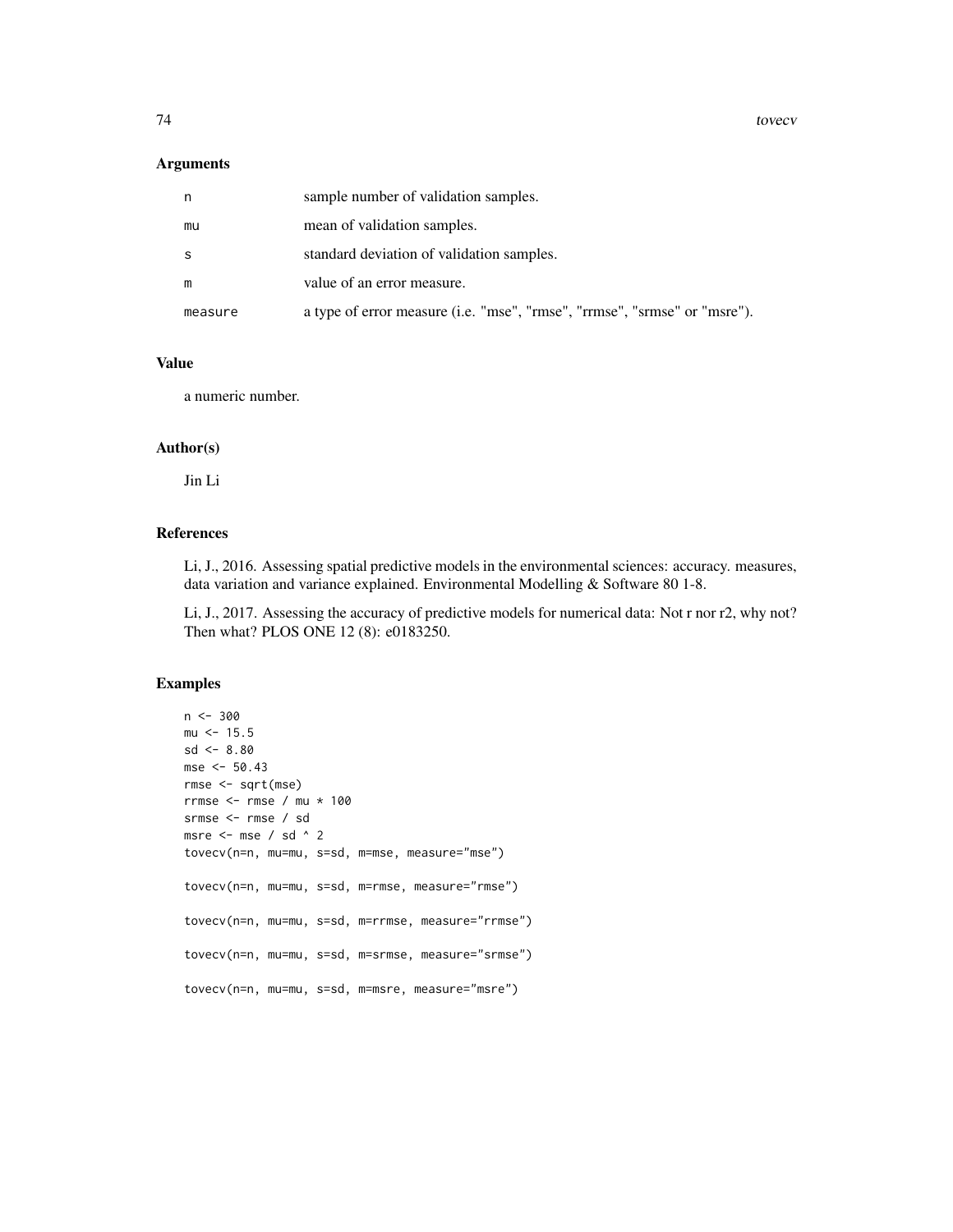74 tovecv

#### Arguments

| n.      | sample number of validation samples.                                      |
|---------|---------------------------------------------------------------------------|
| mu      | mean of validation samples.                                               |
| -S      | standard deviation of validation samples.                                 |
| m       | value of an error measure.                                                |
| measure | a type of error measure (i.e. "mse", "rmse", "rrmse", "srmse" or "msre"). |

# Value

a numeric number.

# Author(s)

Jin Li

# References

Li, J., 2016. Assessing spatial predictive models in the environmental sciences: accuracy. measures, data variation and variance explained. Environmental Modelling & Software 80 1-8.

Li, J., 2017. Assessing the accuracy of predictive models for numerical data: Not r nor r2, why not? Then what? PLOS ONE 12 (8): e0183250.

# Examples

```
n < -300mu < -15.5sd < -8.80mse <- 50.43
rmse <- sqrt(mse)
rrmse <- rmse / mu * 100
srmse <- rmse / sd
msre <- mse / sd ^ 2
tovecv(n=n, mu=mu, s=sd, m=mse, measure="mse")
tovecv(n=n, mu=mu, s=sd, m=rmse, measure="rmse")
tovecv(n=n, mu=mu, s=sd, m=rrmse, measure="rrmse")
tovecv(n=n, mu=mu, s=sd, m=srmse, measure="srmse")
tovecv(n=n, mu=mu, s=sd, m=msre, measure="msre")
```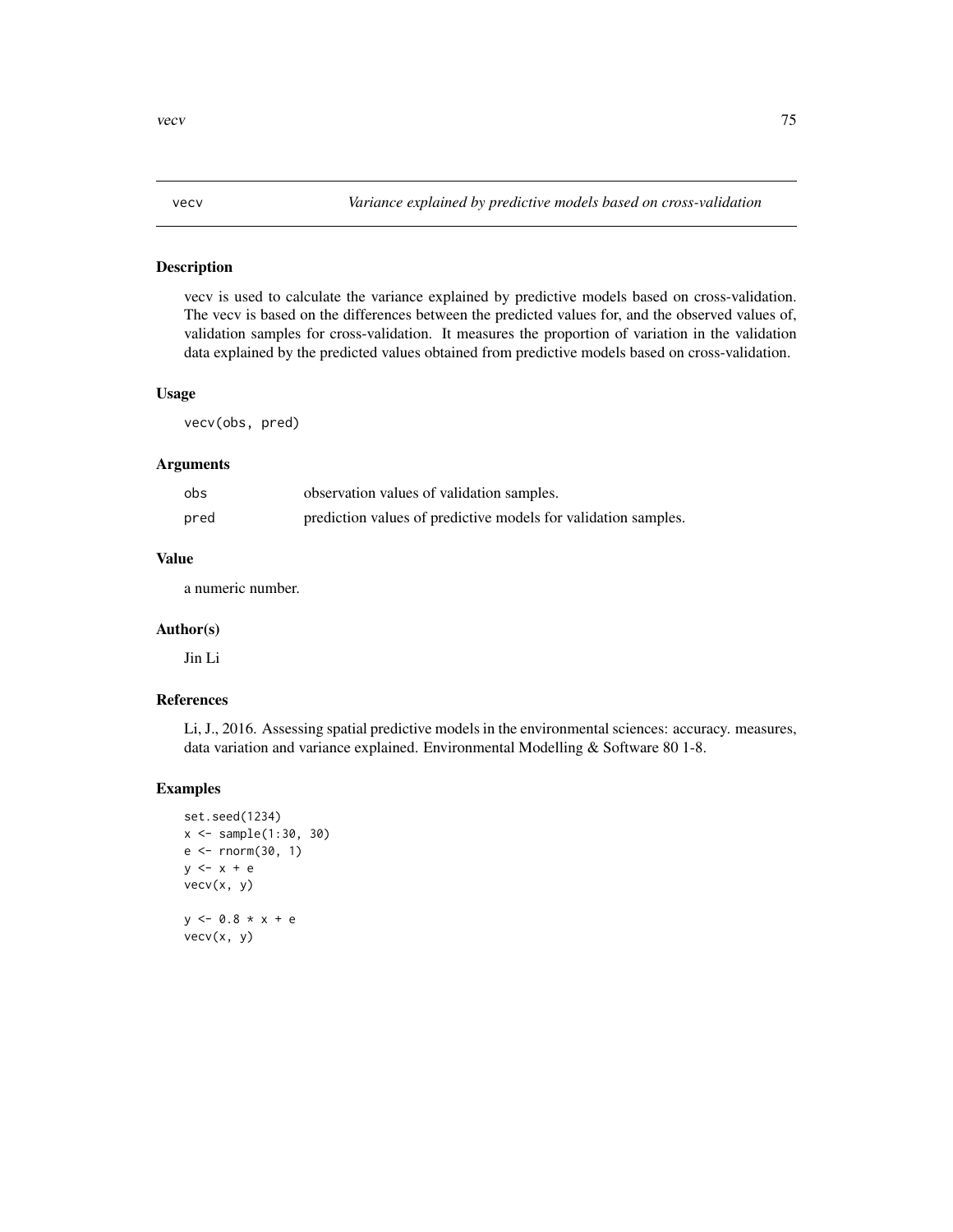# <span id="page-74-0"></span>Description

vecv is used to calculate the variance explained by predictive models based on cross-validation. The vecv is based on the differences between the predicted values for, and the observed values of, validation samples for cross-validation. It measures the proportion of variation in the validation data explained by the predicted values obtained from predictive models based on cross-validation.

#### Usage

vecv(obs, pred)

#### Arguments

| obs  | observation values of validation samples.                      |
|------|----------------------------------------------------------------|
| pred | prediction values of predictive models for validation samples. |

## Value

a numeric number.

#### Author(s)

Jin Li

# References

Li, J., 2016. Assessing spatial predictive models in the environmental sciences: accuracy. measures, data variation and variance explained. Environmental Modelling & Software 80 1-8.

# Examples

```
set.seed(1234)
x <- sample(1:30, 30)
e <- rnorm(30, 1)
y \leftarrow x + evecv(x, y)
y \le -0.8 \times x + evecv(x, y)
```